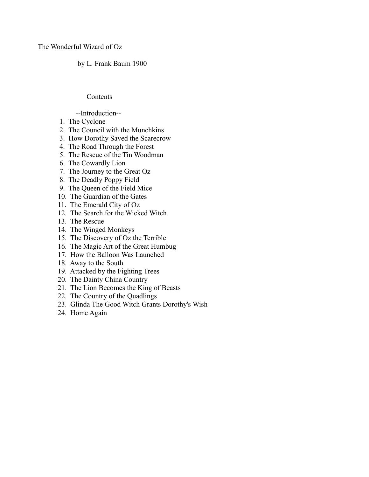The Wonderful Wizard of Oz

by L. Frank Baum 1900

# Contents

# --Introduction--

- 1. The Cyclone
- 2. The Council with the Munchkins
- 3. How Dorothy Saved the Scarecrow
- 4. The Road Through the Forest
- 5. The Rescue of the Tin Woodman
- 6. The Cowardly Lion
- 7. The Journey to the Great Oz
- 8. The Deadly Poppy Field
- 9. The Queen of the Field Mice
- 10. The Guardian of the Gates
- 11. The Emerald City of Oz
- 12. The Search for the Wicked Witch
- 13. The Rescue
- 14. The Winged Monkeys
- 15. The Discovery of Oz the Terrible
- 16. The Magic Art of the Great Humbug
- 17. How the Balloon Was Launched
- 18. Away to the South
- 19. Attacked by the Fighting Trees
- 20. The Dainty China Country
- 21. The Lion Becomes the King of Beasts
- 22. The Country of the Quadlings
- 23. Glinda The Good Witch Grants Dorothy's Wish
- 24. Home Again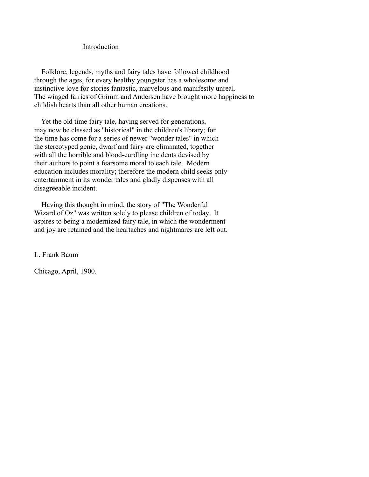Introduction

 Folklore, legends, myths and fairy tales have followed childhood through the ages, for every healthy youngster has a wholesome and instinctive love for stories fantastic, marvelous and manifestly unreal. The winged fairies of Grimm and Andersen have brought more happiness to childish hearts than all other human creations.

 Yet the old time fairy tale, having served for generations, may now be classed as "historical" in the children's library; for the time has come for a series of newer "wonder tales" in which the stereotyped genie, dwarf and fairy are eliminated, together with all the horrible and blood-curdling incidents devised by their authors to point a fearsome moral to each tale. Modern education includes morality; therefore the modern child seeks only entertainment in its wonder tales and gladly dispenses with all disagreeable incident.

 Having this thought in mind, the story of "The Wonderful Wizard of Oz" was written solely to please children of today. It aspires to being a modernized fairy tale, in which the wonderment and joy are retained and the heartaches and nightmares are left out.

L. Frank Baum

Chicago, April, 1900.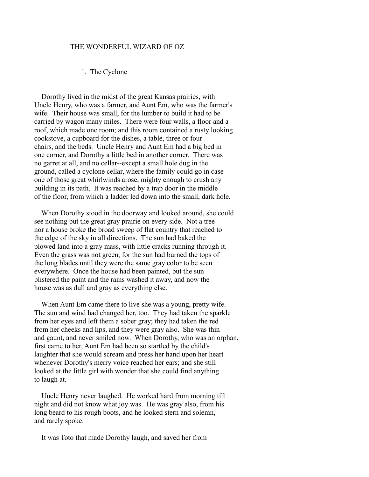#### THE WONDERFUL WIZARD OF OZ

#### 1. The Cyclone

 Dorothy lived in the midst of the great Kansas prairies, with Uncle Henry, who was a farmer, and Aunt Em, who was the farmer's wife. Their house was small, for the lumber to build it had to be carried by wagon many miles. There were four walls, a floor and a roof, which made one room; and this room contained a rusty looking cookstove, a cupboard for the dishes, a table, three or four chairs, and the beds. Uncle Henry and Aunt Em had a big bed in one corner, and Dorothy a little bed in another corner. There was no garret at all, and no cellar--except a small hole dug in the ground, called a cyclone cellar, where the family could go in case one of those great whirlwinds arose, mighty enough to crush any building in its path. It was reached by a trap door in the middle of the floor, from which a ladder led down into the small, dark hole.

 When Dorothy stood in the doorway and looked around, she could see nothing but the great gray prairie on every side. Not a tree nor a house broke the broad sweep of flat country that reached to the edge of the sky in all directions. The sun had baked the plowed land into a gray mass, with little cracks running through it. Even the grass was not green, for the sun had burned the tops of the long blades until they were the same gray color to be seen everywhere. Once the house had been painted, but the sun blistered the paint and the rains washed it away, and now the house was as dull and gray as everything else.

 When Aunt Em came there to live she was a young, pretty wife. The sun and wind had changed her, too. They had taken the sparkle from her eyes and left them a sober gray; they had taken the red from her cheeks and lips, and they were gray also. She was thin and gaunt, and never smiled now. When Dorothy, who was an orphan, first came to her, Aunt Em had been so startled by the child's laughter that she would scream and press her hand upon her heart whenever Dorothy's merry voice reached her ears; and she still looked at the little girl with wonder that she could find anything to laugh at.

 Uncle Henry never laughed. He worked hard from morning till night and did not know what joy was. He was gray also, from his long beard to his rough boots, and he looked stern and solemn, and rarely spoke.

It was Toto that made Dorothy laugh, and saved her from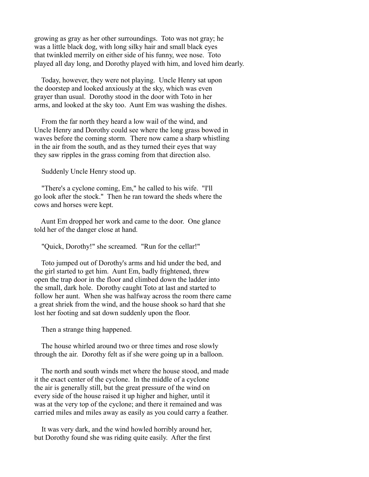growing as gray as her other surroundings. Toto was not gray; he was a little black dog, with long silky hair and small black eyes that twinkled merrily on either side of his funny, wee nose. Toto played all day long, and Dorothy played with him, and loved him dearly.

 Today, however, they were not playing. Uncle Henry sat upon the doorstep and looked anxiously at the sky, which was even grayer than usual. Dorothy stood in the door with Toto in her arms, and looked at the sky too. Aunt Em was washing the dishes.

 From the far north they heard a low wail of the wind, and Uncle Henry and Dorothy could see where the long grass bowed in waves before the coming storm. There now came a sharp whistling in the air from the south, and as they turned their eyes that way they saw ripples in the grass coming from that direction also.

Suddenly Uncle Henry stood up.

 "There's a cyclone coming, Em," he called to his wife. "I'll go look after the stock." Then he ran toward the sheds where the cows and horses were kept.

 Aunt Em dropped her work and came to the door. One glance told her of the danger close at hand.

"Quick, Dorothy!" she screamed. "Run for the cellar!"

 Toto jumped out of Dorothy's arms and hid under the bed, and the girl started to get him. Aunt Em, badly frightened, threw open the trap door in the floor and climbed down the ladder into the small, dark hole. Dorothy caught Toto at last and started to follow her aunt. When she was halfway across the room there came a great shriek from the wind, and the house shook so hard that she lost her footing and sat down suddenly upon the floor.

Then a strange thing happened.

 The house whirled around two or three times and rose slowly through the air. Dorothy felt as if she were going up in a balloon.

 The north and south winds met where the house stood, and made it the exact center of the cyclone. In the middle of a cyclone the air is generally still, but the great pressure of the wind on every side of the house raised it up higher and higher, until it was at the very top of the cyclone; and there it remained and was carried miles and miles away as easily as you could carry a feather.

 It was very dark, and the wind howled horribly around her, but Dorothy found she was riding quite easily. After the first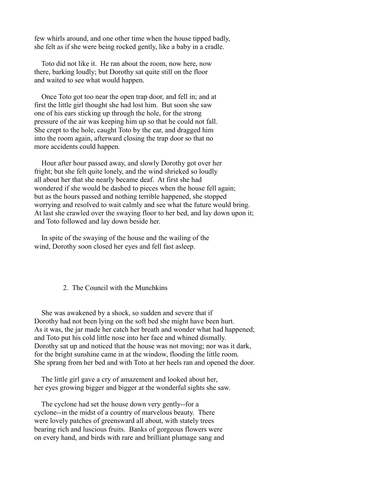few whirls around, and one other time when the house tipped badly, she felt as if she were being rocked gently, like a baby in a cradle.

 Toto did not like it. He ran about the room, now here, now there, barking loudly; but Dorothy sat quite still on the floor and waited to see what would happen.

 Once Toto got too near the open trap door, and fell in; and at first the little girl thought she had lost him. But soon she saw one of his ears sticking up through the hole, for the strong pressure of the air was keeping him up so that he could not fall. She crept to the hole, caught Toto by the ear, and dragged him into the room again, afterward closing the trap door so that no more accidents could happen.

 Hour after hour passed away, and slowly Dorothy got over her fright; but she felt quite lonely, and the wind shrieked so loudly all about her that she nearly became deaf. At first she had wondered if she would be dashed to pieces when the house fell again; but as the hours passed and nothing terrible happened, she stopped worrying and resolved to wait calmly and see what the future would bring. At last she crawled over the swaying floor to her bed, and lay down upon it; and Toto followed and lay down beside her.

 In spite of the swaying of the house and the wailing of the wind, Dorothy soon closed her eyes and fell fast asleep.

#### 2. The Council with the Munchkins

 She was awakened by a shock, so sudden and severe that if Dorothy had not been lying on the soft bed she might have been hurt. As it was, the jar made her catch her breath and wonder what had happened; and Toto put his cold little nose into her face and whined dismally. Dorothy sat up and noticed that the house was not moving; nor was it dark, for the bright sunshine came in at the window, flooding the little room. She sprang from her bed and with Toto at her heels ran and opened the door.

 The little girl gave a cry of amazement and looked about her, her eyes growing bigger and bigger at the wonderful sights she saw.

 The cyclone had set the house down very gently--for a cyclone--in the midst of a country of marvelous beauty. There were lovely patches of greensward all about, with stately trees bearing rich and luscious fruits. Banks of gorgeous flowers were on every hand, and birds with rare and brilliant plumage sang and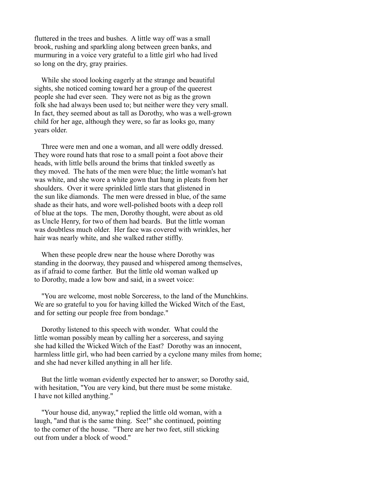fluttered in the trees and bushes. A little way off was a small brook, rushing and sparkling along between green banks, and murmuring in a voice very grateful to a little girl who had lived so long on the dry, gray prairies.

 While she stood looking eagerly at the strange and beautiful sights, she noticed coming toward her a group of the queerest people she had ever seen. They were not as big as the grown folk she had always been used to; but neither were they very small. In fact, they seemed about as tall as Dorothy, who was a well-grown child for her age, although they were, so far as looks go, many years older.

 Three were men and one a woman, and all were oddly dressed. They wore round hats that rose to a small point a foot above their heads, with little bells around the brims that tinkled sweetly as they moved. The hats of the men were blue; the little woman's hat was white, and she wore a white gown that hung in pleats from her shoulders. Over it were sprinkled little stars that glistened in the sun like diamonds. The men were dressed in blue, of the same shade as their hats, and wore well-polished boots with a deep roll of blue at the tops. The men, Dorothy thought, were about as old as Uncle Henry, for two of them had beards. But the little woman was doubtless much older. Her face was covered with wrinkles, her hair was nearly white, and she walked rather stiffly.

 When these people drew near the house where Dorothy was standing in the doorway, they paused and whispered among themselves, as if afraid to come farther. But the little old woman walked up to Dorothy, made a low bow and said, in a sweet voice:

 "You are welcome, most noble Sorceress, to the land of the Munchkins. We are so grateful to you for having killed the Wicked Witch of the East, and for setting our people free from bondage."

 Dorothy listened to this speech with wonder. What could the little woman possibly mean by calling her a sorceress, and saying she had killed the Wicked Witch of the East? Dorothy was an innocent, harmless little girl, who had been carried by a cyclone many miles from home; and she had never killed anything in all her life.

 But the little woman evidently expected her to answer; so Dorothy said, with hesitation, "You are very kind, but there must be some mistake. I have not killed anything."

 "Your house did, anyway," replied the little old woman, with a laugh, "and that is the same thing. See!" she continued, pointing to the corner of the house. "There are her two feet, still sticking out from under a block of wood."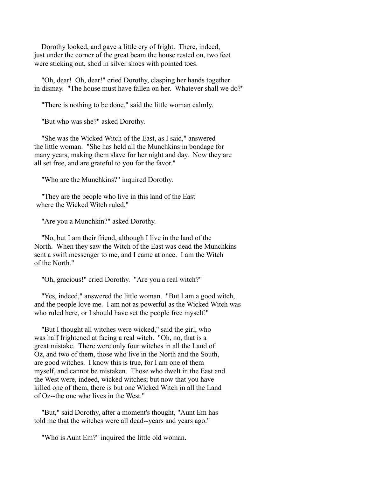Dorothy looked, and gave a little cry of fright. There, indeed, just under the corner of the great beam the house rested on, two feet were sticking out, shod in silver shoes with pointed toes.

 "Oh, dear! Oh, dear!" cried Dorothy, clasping her hands together in dismay. "The house must have fallen on her. Whatever shall we do?"

"There is nothing to be done," said the little woman calmly.

"But who was she?" asked Dorothy.

 "She was the Wicked Witch of the East, as I said," answered the little woman. "She has held all the Munchkins in bondage for many years, making them slave for her night and day. Now they are all set free, and are grateful to you for the favor."

"Who are the Munchkins?" inquired Dorothy.

 "They are the people who live in this land of the East where the Wicked Witch ruled."

"Are you a Munchkin?" asked Dorothy.

 "No, but I am their friend, although I live in the land of the North. When they saw the Witch of the East was dead the Munchkins sent a swift messenger to me, and I came at once. I am the Witch of the North."

"Oh, gracious!" cried Dorothy. "Are you a real witch?"

 "Yes, indeed," answered the little woman. "But I am a good witch, and the people love me. I am not as powerful as the Wicked Witch was who ruled here, or I should have set the people free myself."

 "But I thought all witches were wicked," said the girl, who was half frightened at facing a real witch. "Oh, no, that is a great mistake. There were only four witches in all the Land of Oz, and two of them, those who live in the North and the South, are good witches. I know this is true, for I am one of them myself, and cannot be mistaken. Those who dwelt in the East and the West were, indeed, wicked witches; but now that you have killed one of them, there is but one Wicked Witch in all the Land of Oz--the one who lives in the West."

 "But," said Dorothy, after a moment's thought, "Aunt Em has told me that the witches were all dead--years and years ago."

"Who is Aunt Em?" inquired the little old woman.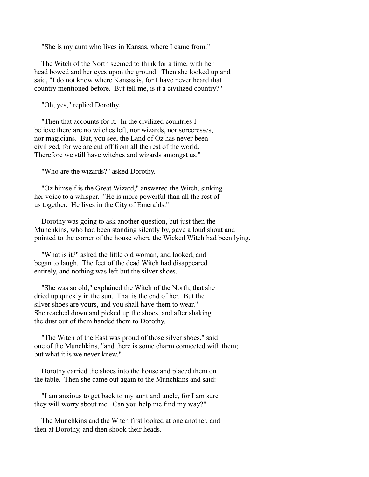"She is my aunt who lives in Kansas, where I came from."

 The Witch of the North seemed to think for a time, with her head bowed and her eyes upon the ground. Then she looked up and said, "I do not know where Kansas is, for I have never heard that country mentioned before. But tell me, is it a civilized country?"

"Oh, yes," replied Dorothy.

 "Then that accounts for it. In the civilized countries I believe there are no witches left, nor wizards, nor sorceresses, nor magicians. But, you see, the Land of Oz has never been civilized, for we are cut off from all the rest of the world. Therefore we still have witches and wizards amongst us."

"Who are the wizards?" asked Dorothy.

 "Oz himself is the Great Wizard," answered the Witch, sinking her voice to a whisper. "He is more powerful than all the rest of us together. He lives in the City of Emeralds."

 Dorothy was going to ask another question, but just then the Munchkins, who had been standing silently by, gave a loud shout and pointed to the corner of the house where the Wicked Witch had been lying.

 "What is it?" asked the little old woman, and looked, and began to laugh. The feet of the dead Witch had disappeared entirely, and nothing was left but the silver shoes.

 "She was so old," explained the Witch of the North, that she dried up quickly in the sun. That is the end of her. But the silver shoes are yours, and you shall have them to wear." She reached down and picked up the shoes, and after shaking the dust out of them handed them to Dorothy.

 "The Witch of the East was proud of those silver shoes," said one of the Munchkins, "and there is some charm connected with them; but what it is we never knew."

 Dorothy carried the shoes into the house and placed them on the table. Then she came out again to the Munchkins and said:

 "I am anxious to get back to my aunt and uncle, for I am sure they will worry about me. Can you help me find my way?"

 The Munchkins and the Witch first looked at one another, and then at Dorothy, and then shook their heads.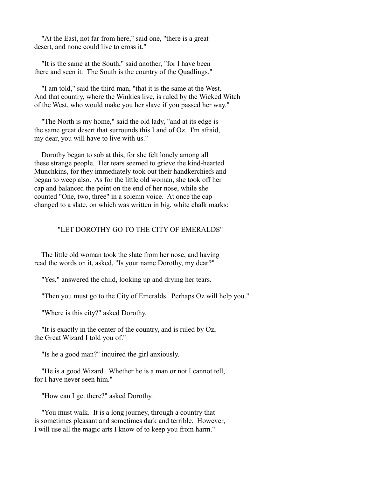"At the East, not far from here," said one, "there is a great desert, and none could live to cross it."

 "It is the same at the South," said another, "for I have been there and seen it. The South is the country of the Quadlings."

 "I am told," said the third man, "that it is the same at the West. And that country, where the Winkies live, is ruled by the Wicked Witch of the West, who would make you her slave if you passed her way."

 "The North is my home," said the old lady, "and at its edge is the same great desert that surrounds this Land of Oz. I'm afraid, my dear, you will have to live with us."

 Dorothy began to sob at this, for she felt lonely among all these strange people. Her tears seemed to grieve the kind-hearted Munchkins, for they immediately took out their handkerchiefs and began to weep also. As for the little old woman, she took off her cap and balanced the point on the end of her nose, while she counted "One, two, three" in a solemn voice. At once the cap changed to a slate, on which was written in big, white chalk marks:

# "LET DOROTHY GO TO THE CITY OF EMERALDS"

 The little old woman took the slate from her nose, and having read the words on it, asked, "Is your name Dorothy, my dear?"

"Yes," answered the child, looking up and drying her tears.

"Then you must go to the City of Emeralds. Perhaps Oz will help you."

"Where is this city?" asked Dorothy.

 "It is exactly in the center of the country, and is ruled by Oz, the Great Wizard I told you of."

"Is he a good man?" inquired the girl anxiously.

 "He is a good Wizard. Whether he is a man or not I cannot tell, for I have never seen him."

"How can I get there?" asked Dorothy.

 "You must walk. It is a long journey, through a country that is sometimes pleasant and sometimes dark and terrible. However, I will use all the magic arts I know of to keep you from harm."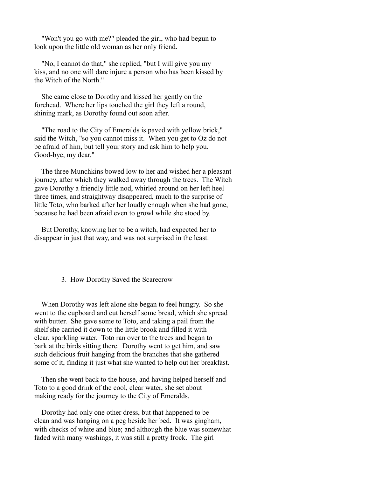"Won't you go with me?" pleaded the girl, who had begun to look upon the little old woman as her only friend.

 "No, I cannot do that," she replied, "but I will give you my kiss, and no one will dare injure a person who has been kissed by the Witch of the North."

 She came close to Dorothy and kissed her gently on the forehead. Where her lips touched the girl they left a round, shining mark, as Dorothy found out soon after.

 "The road to the City of Emeralds is paved with yellow brick," said the Witch, "so you cannot miss it. When you get to Oz do not be afraid of him, but tell your story and ask him to help you. Good-bye, my dear."

 The three Munchkins bowed low to her and wished her a pleasant journey, after which they walked away through the trees. The Witch gave Dorothy a friendly little nod, whirled around on her left heel three times, and straightway disappeared, much to the surprise of little Toto, who barked after her loudly enough when she had gone, because he had been afraid even to growl while she stood by.

 But Dorothy, knowing her to be a witch, had expected her to disappear in just that way, and was not surprised in the least.

### 3. How Dorothy Saved the Scarecrow

 When Dorothy was left alone she began to feel hungry. So she went to the cupboard and cut herself some bread, which she spread with butter. She gave some to Toto, and taking a pail from the shelf she carried it down to the little brook and filled it with clear, sparkling water. Toto ran over to the trees and began to bark at the birds sitting there. Dorothy went to get him, and saw such delicious fruit hanging from the branches that she gathered some of it, finding it just what she wanted to help out her breakfast.

 Then she went back to the house, and having helped herself and Toto to a good drink of the cool, clear water, she set about making ready for the journey to the City of Emeralds.

 Dorothy had only one other dress, but that happened to be clean and was hanging on a peg beside her bed. It was gingham, with checks of white and blue; and although the blue was somewhat faded with many washings, it was still a pretty frock. The girl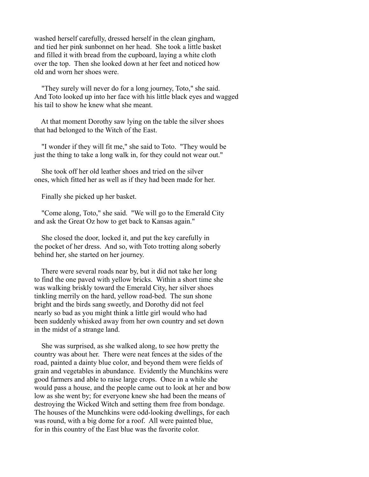washed herself carefully, dressed herself in the clean gingham, and tied her pink sunbonnet on her head. She took a little basket and filled it with bread from the cupboard, laying a white cloth over the top. Then she looked down at her feet and noticed how old and worn her shoes were.

 "They surely will never do for a long journey, Toto," she said. And Toto looked up into her face with his little black eyes and wagged his tail to show he knew what she meant.

 At that moment Dorothy saw lying on the table the silver shoes that had belonged to the Witch of the East.

 "I wonder if they will fit me," she said to Toto. "They would be just the thing to take a long walk in, for they could not wear out."

 She took off her old leather shoes and tried on the silver ones, which fitted her as well as if they had been made for her.

Finally she picked up her basket.

 "Come along, Toto," she said. "We will go to the Emerald City and ask the Great Oz how to get back to Kansas again."

 She closed the door, locked it, and put the key carefully in the pocket of her dress. And so, with Toto trotting along soberly behind her, she started on her journey.

 There were several roads near by, but it did not take her long to find the one paved with yellow bricks. Within a short time she was walking briskly toward the Emerald City, her silver shoes tinkling merrily on the hard, yellow road-bed. The sun shone bright and the birds sang sweetly, and Dorothy did not feel nearly so bad as you might think a little girl would who had been suddenly whisked away from her own country and set down in the midst of a strange land.

 She was surprised, as she walked along, to see how pretty the country was about her. There were neat fences at the sides of the road, painted a dainty blue color, and beyond them were fields of grain and vegetables in abundance. Evidently the Munchkins were good farmers and able to raise large crops. Once in a while she would pass a house, and the people came out to look at her and bow low as she went by; for everyone knew she had been the means of destroying the Wicked Witch and setting them free from bondage. The houses of the Munchkins were odd-looking dwellings, for each was round, with a big dome for a roof. All were painted blue, for in this country of the East blue was the favorite color.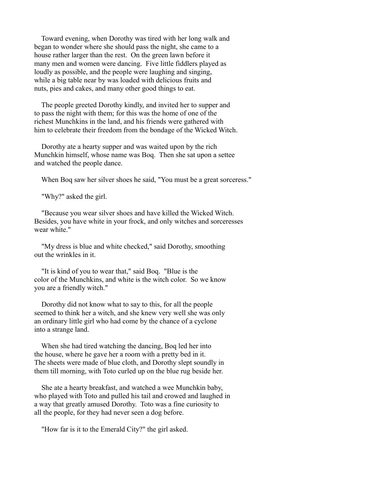Toward evening, when Dorothy was tired with her long walk and began to wonder where she should pass the night, she came to a house rather larger than the rest. On the green lawn before it many men and women were dancing. Five little fiddlers played as loudly as possible, and the people were laughing and singing, while a big table near by was loaded with delicious fruits and nuts, pies and cakes, and many other good things to eat.

 The people greeted Dorothy kindly, and invited her to supper and to pass the night with them; for this was the home of one of the richest Munchkins in the land, and his friends were gathered with him to celebrate their freedom from the bondage of the Wicked Witch.

 Dorothy ate a hearty supper and was waited upon by the rich Munchkin himself, whose name was Boq. Then she sat upon a settee and watched the people dance.

When Boq saw her silver shoes he said, "You must be a great sorceress."

"Why?" asked the girl.

 "Because you wear silver shoes and have killed the Wicked Witch. Besides, you have white in your frock, and only witches and sorceresses wear white."

 "My dress is blue and white checked," said Dorothy, smoothing out the wrinkles in it.

 "It is kind of you to wear that," said Boq. "Blue is the color of the Munchkins, and white is the witch color. So we know you are a friendly witch."

 Dorothy did not know what to say to this, for all the people seemed to think her a witch, and she knew very well she was only an ordinary little girl who had come by the chance of a cyclone into a strange land.

 When she had tired watching the dancing, Boq led her into the house, where he gave her a room with a pretty bed in it. The sheets were made of blue cloth, and Dorothy slept soundly in them till morning, with Toto curled up on the blue rug beside her.

 She ate a hearty breakfast, and watched a wee Munchkin baby, who played with Toto and pulled his tail and crowed and laughed in a way that greatly amused Dorothy. Toto was a fine curiosity to all the people, for they had never seen a dog before.

"How far is it to the Emerald City?" the girl asked.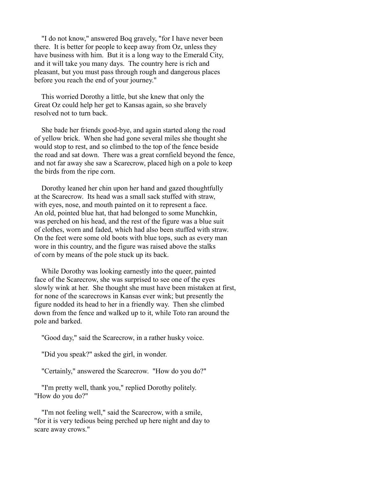"I do not know," answered Boq gravely, "for I have never been there. It is better for people to keep away from Oz, unless they have business with him. But it is a long way to the Emerald City, and it will take you many days. The country here is rich and pleasant, but you must pass through rough and dangerous places before you reach the end of your journey."

 This worried Dorothy a little, but she knew that only the Great Oz could help her get to Kansas again, so she bravely resolved not to turn back.

 She bade her friends good-bye, and again started along the road of yellow brick. When she had gone several miles she thought she would stop to rest, and so climbed to the top of the fence beside the road and sat down. There was a great cornfield beyond the fence, and not far away she saw a Scarecrow, placed high on a pole to keep the birds from the ripe corn.

 Dorothy leaned her chin upon her hand and gazed thoughtfully at the Scarecrow. Its head was a small sack stuffed with straw, with eyes, nose, and mouth painted on it to represent a face. An old, pointed blue hat, that had belonged to some Munchkin, was perched on his head, and the rest of the figure was a blue suit of clothes, worn and faded, which had also been stuffed with straw. On the feet were some old boots with blue tops, such as every man wore in this country, and the figure was raised above the stalks of corn by means of the pole stuck up its back.

 While Dorothy was looking earnestly into the queer, painted face of the Scarecrow, she was surprised to see one of the eyes slowly wink at her. She thought she must have been mistaken at first, for none of the scarecrows in Kansas ever wink; but presently the figure nodded its head to her in a friendly way. Then she climbed down from the fence and walked up to it, while Toto ran around the pole and barked.

"Good day," said the Scarecrow, in a rather husky voice.

"Did you speak?" asked the girl, in wonder.

"Certainly," answered the Scarecrow. "How do you do?"

 "I'm pretty well, thank you," replied Dorothy politely. "How do you do?"

 "I'm not feeling well," said the Scarecrow, with a smile, "for it is very tedious being perched up here night and day to scare away crows."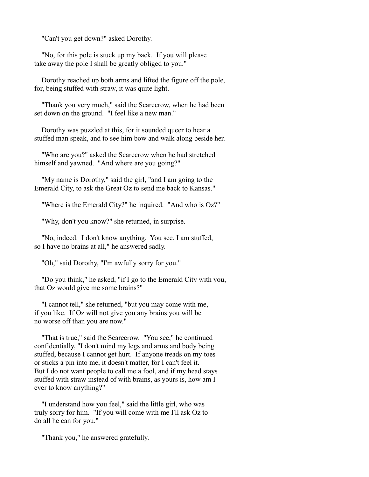"Can't you get down?" asked Dorothy.

 "No, for this pole is stuck up my back. If you will please take away the pole I shall be greatly obliged to you."

 Dorothy reached up both arms and lifted the figure off the pole, for, being stuffed with straw, it was quite light.

 "Thank you very much," said the Scarecrow, when he had been set down on the ground. "I feel like a new man."

 Dorothy was puzzled at this, for it sounded queer to hear a stuffed man speak, and to see him bow and walk along beside her.

 "Who are you?" asked the Scarecrow when he had stretched himself and yawned. "And where are you going?"

 "My name is Dorothy," said the girl, "and I am going to the Emerald City, to ask the Great Oz to send me back to Kansas."

"Where is the Emerald City?" he inquired. "And who is Oz?"

"Why, don't you know?" she returned, in surprise.

 "No, indeed. I don't know anything. You see, I am stuffed, so I have no brains at all," he answered sadly.

"Oh," said Dorothy, "I'm awfully sorry for you."

 "Do you think," he asked, "if I go to the Emerald City with you, that Oz would give me some brains?"

 "I cannot tell," she returned, "but you may come with me, if you like. If Oz will not give you any brains you will be no worse off than you are now."

 "That is true," said the Scarecrow. "You see," he continued confidentially, "I don't mind my legs and arms and body being stuffed, because I cannot get hurt. If anyone treads on my toes or sticks a pin into me, it doesn't matter, for I can't feel it. But I do not want people to call me a fool, and if my head stays stuffed with straw instead of with brains, as yours is, how am I ever to know anything?"

 "I understand how you feel," said the little girl, who was truly sorry for him. "If you will come with me I'll ask Oz to do all he can for you."

"Thank you," he answered gratefully.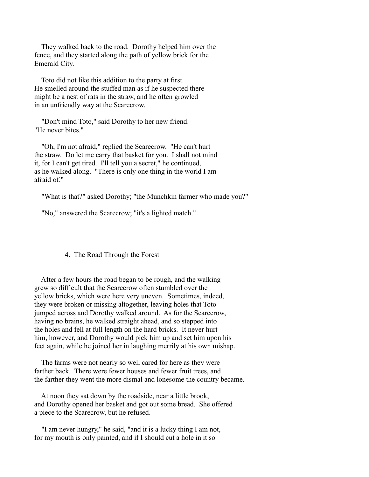They walked back to the road. Dorothy helped him over the fence, and they started along the path of yellow brick for the Emerald City.

 Toto did not like this addition to the party at first. He smelled around the stuffed man as if he suspected there might be a nest of rats in the straw, and he often growled in an unfriendly way at the Scarecrow.

 "Don't mind Toto," said Dorothy to her new friend. "He never bites."

 "Oh, I'm not afraid," replied the Scarecrow. "He can't hurt the straw. Do let me carry that basket for you. I shall not mind it, for I can't get tired. I'll tell you a secret," he continued, as he walked along. "There is only one thing in the world I am afraid of."

"What is that?" asked Dorothy; "the Munchkin farmer who made you?"

"No," answered the Scarecrow; "it's a lighted match."

### 4. The Road Through the Forest

 After a few hours the road began to be rough, and the walking grew so difficult that the Scarecrow often stumbled over the yellow bricks, which were here very uneven. Sometimes, indeed, they were broken or missing altogether, leaving holes that Toto jumped across and Dorothy walked around. As for the Scarecrow, having no brains, he walked straight ahead, and so stepped into the holes and fell at full length on the hard bricks. It never hurt him, however, and Dorothy would pick him up and set him upon his feet again, while he joined her in laughing merrily at his own mishap.

 The farms were not nearly so well cared for here as they were farther back. There were fewer houses and fewer fruit trees, and the farther they went the more dismal and lonesome the country became.

 At noon they sat down by the roadside, near a little brook, and Dorothy opened her basket and got out some bread. She offered a piece to the Scarecrow, but he refused.

 "I am never hungry," he said, "and it is a lucky thing I am not, for my mouth is only painted, and if I should cut a hole in it so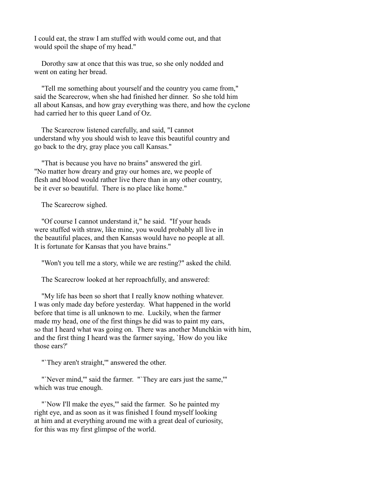I could eat, the straw I am stuffed with would come out, and that would spoil the shape of my head."

 Dorothy saw at once that this was true, so she only nodded and went on eating her bread.

 "Tell me something about yourself and the country you came from," said the Scarecrow, when she had finished her dinner. So she told him all about Kansas, and how gray everything was there, and how the cyclone had carried her to this queer Land of Oz.

 The Scarecrow listened carefully, and said, "I cannot understand why you should wish to leave this beautiful country and go back to the dry, gray place you call Kansas."

 "That is because you have no brains" answered the girl. "No matter how dreary and gray our homes are, we people of flesh and blood would rather live there than in any other country, be it ever so beautiful. There is no place like home."

The Scarecrow sighed.

 "Of course I cannot understand it," he said. "If your heads were stuffed with straw, like mine, you would probably all live in the beautiful places, and then Kansas would have no people at all. It is fortunate for Kansas that you have brains."

"Won't you tell me a story, while we are resting?" asked the child.

The Scarecrow looked at her reproachfully, and answered:

 "My life has been so short that I really know nothing whatever. I was only made day before yesterday. What happened in the world before that time is all unknown to me. Luckily, when the farmer made my head, one of the first things he did was to paint my ears, so that I heard what was going on. There was another Munchkin with him, and the first thing I heard was the farmer saying, `How do you like those ears?'

"`They aren't straight,'" answered the other.

"'Never mind,"' said the farmer. "'They are ears just the same,"' which was true enough.

"Now I'll make the eyes," said the farmer. So he painted my right eye, and as soon as it was finished I found myself looking at him and at everything around me with a great deal of curiosity, for this was my first glimpse of the world.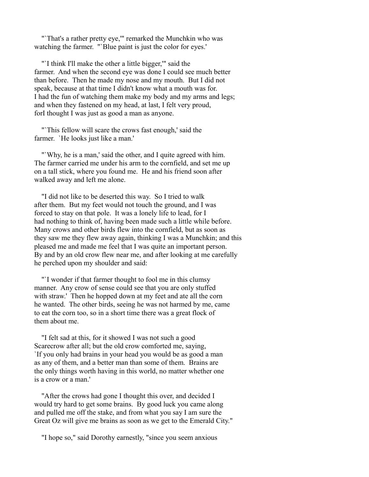"`That's a rather pretty eye,'" remarked the Munchkin who was watching the farmer. "`Blue paint is just the color for eyes.'

 "`I think I'll make the other a little bigger,'" said the farmer. And when the second eye was done I could see much better than before. Then he made my nose and my mouth. But I did not speak, because at that time I didn't know what a mouth was for. I had the fun of watching them make my body and my arms and legs; and when they fastened on my head, at last, I felt very proud, forI thought I was just as good a man as anyone.

 "`This fellow will scare the crows fast enough,' said the farmer. `He looks just like a man.'

 "`Why, he is a man,' said the other, and I quite agreed with him. The farmer carried me under his arm to the cornfield, and set me up on a tall stick, where you found me. He and his friend soon after walked away and left me alone.

 "I did not like to be deserted this way. So I tried to walk after them. But my feet would not touch the ground, and I was forced to stay on that pole. It was a lonely life to lead, for I had nothing to think of, having been made such a little while before. Many crows and other birds flew into the cornfield, but as soon as they saw me they flew away again, thinking I was a Munchkin; and this pleased me and made me feel that I was quite an important person. By and by an old crow flew near me, and after looking at me carefully he perched upon my shoulder and said:

 "`I wonder if that farmer thought to fool me in this clumsy manner. Any crow of sense could see that you are only stuffed with straw.' Then he hopped down at my feet and ate all the corn he wanted. The other birds, seeing he was not harmed by me, came to eat the corn too, so in a short time there was a great flock of them about me.

 "I felt sad at this, for it showed I was not such a good Scarecrow after all; but the old crow comforted me, saying, `If you only had brains in your head you would be as good a man as any of them, and a better man than some of them. Brains are the only things worth having in this world, no matter whether one is a crow or a man.'

 "After the crows had gone I thought this over, and decided I would try hard to get some brains. By good luck you came along and pulled me off the stake, and from what you say I am sure the Great Oz will give me brains as soon as we get to the Emerald City."

"I hope so," said Dorothy earnestly, "since you seem anxious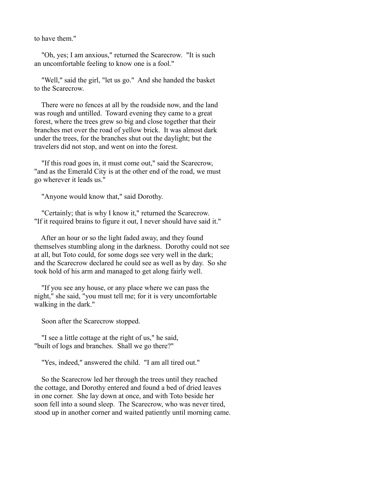to have them."

 "Oh, yes; I am anxious," returned the Scarecrow. "It is such an uncomfortable feeling to know one is a fool."

 "Well," said the girl, "let us go." And she handed the basket to the Scarecrow.

 There were no fences at all by the roadside now, and the land was rough and untilled. Toward evening they came to a great forest, where the trees grew so big and close together that their branches met over the road of yellow brick. It was almost dark under the trees, for the branches shut out the daylight; but the travelers did not stop, and went on into the forest.

 "If this road goes in, it must come out," said the Scarecrow, "and as the Emerald City is at the other end of the road, we must go wherever it leads us."

"Anyone would know that," said Dorothy.

 "Certainly; that is why I know it," returned the Scarecrow. "If it required brains to figure it out, I never should have said it."

 After an hour or so the light faded away, and they found themselves stumbling along in the darkness. Dorothy could not see at all, but Toto could, for some dogs see very well in the dark; and the Scarecrow declared he could see as well as by day. So she took hold of his arm and managed to get along fairly well.

 "If you see any house, or any place where we can pass the night," she said, "you must tell me; for it is very uncomfortable walking in the dark."

Soon after the Scarecrow stopped.

 "I see a little cottage at the right of us," he said, "built of logs and branches. Shall we go there?"

"Yes, indeed," answered the child. "I am all tired out."

 So the Scarecrow led her through the trees until they reached the cottage, and Dorothy entered and found a bed of dried leaves in one corner. She lay down at once, and with Toto beside her soon fell into a sound sleep. The Scarecrow, who was never tired, stood up in another corner and waited patiently until morning came.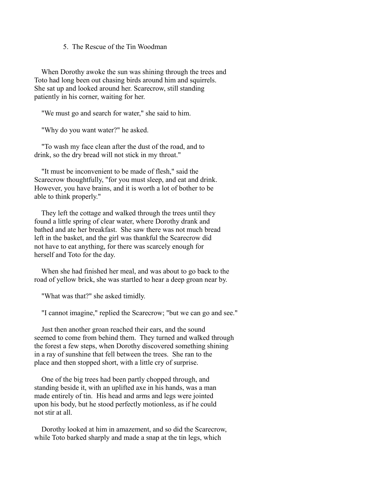## 5. The Rescue of the Tin Woodman

 When Dorothy awoke the sun was shining through the trees and Toto had long been out chasing birds around him and squirrels. She sat up and looked around her. Scarecrow, still standing patiently in his corner, waiting for her.

"We must go and search for water," she said to him.

"Why do you want water?" he asked.

 "To wash my face clean after the dust of the road, and to drink, so the dry bread will not stick in my throat."

 "It must be inconvenient to be made of flesh," said the Scarecrow thoughtfully, "for you must sleep, and eat and drink. However, you have brains, and it is worth a lot of bother to be able to think properly."

 They left the cottage and walked through the trees until they found a little spring of clear water, where Dorothy drank and bathed and ate her breakfast. She saw there was not much bread left in the basket, and the girl was thankful the Scarecrow did not have to eat anything, for there was scarcely enough for herself and Toto for the day.

 When she had finished her meal, and was about to go back to the road of yellow brick, she was startled to hear a deep groan near by.

"What was that?" she asked timidly.

"I cannot imagine," replied the Scarecrow; "but we can go and see."

 Just then another groan reached their ears, and the sound seemed to come from behind them. They turned and walked through the forest a few steps, when Dorothy discovered something shining in a ray of sunshine that fell between the trees. She ran to the place and then stopped short, with a little cry of surprise.

 One of the big trees had been partly chopped through, and standing beside it, with an uplifted axe in his hands, was a man made entirely of tin. His head and arms and legs were jointed upon his body, but he stood perfectly motionless, as if he could not stir at all.

 Dorothy looked at him in amazement, and so did the Scarecrow, while Toto barked sharply and made a snap at the tin legs, which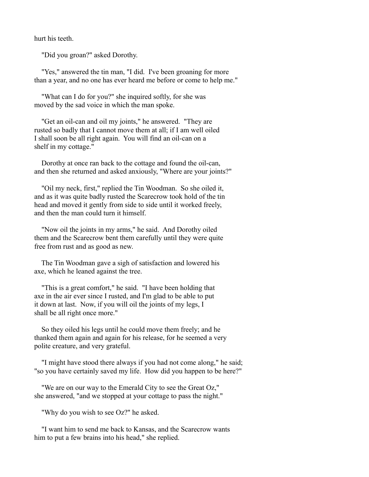hurt his teeth.

"Did you groan?" asked Dorothy.

 "Yes," answered the tin man, "I did. I've been groaning for more than a year, and no one has ever heard me before or come to help me."

 "What can I do for you?" she inquired softly, for she was moved by the sad voice in which the man spoke.

 "Get an oil-can and oil my joints," he answered. "They are rusted so badly that I cannot move them at all; if I am well oiled I shall soon be all right again. You will find an oil-can on a shelf in my cottage."

 Dorothy at once ran back to the cottage and found the oil-can, and then she returned and asked anxiously, "Where are your joints?"

 "Oil my neck, first," replied the Tin Woodman. So she oiled it, and as it was quite badly rusted the Scarecrow took hold of the tin head and moved it gently from side to side until it worked freely, and then the man could turn it himself.

 "Now oil the joints in my arms," he said. And Dorothy oiled them and the Scarecrow bent them carefully until they were quite free from rust and as good as new.

 The Tin Woodman gave a sigh of satisfaction and lowered his axe, which he leaned against the tree.

 "This is a great comfort," he said. "I have been holding that axe in the air ever since I rusted, and I'm glad to be able to put it down at last. Now, if you will oil the joints of my legs, I shall be all right once more."

 So they oiled his legs until he could move them freely; and he thanked them again and again for his release, for he seemed a very polite creature, and very grateful.

 "I might have stood there always if you had not come along," he said; "so you have certainly saved my life. How did you happen to be here?"

 "We are on our way to the Emerald City to see the Great Oz," she answered, "and we stopped at your cottage to pass the night."

"Why do you wish to see Oz?" he asked.

 "I want him to send me back to Kansas, and the Scarecrow wants him to put a few brains into his head," she replied.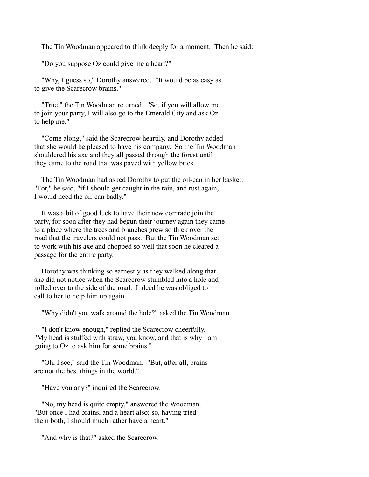The Tin Woodman appeared to think deeply for a moment. Then he said:

"Do you suppose Oz could give me a heart?"

 "Why, I guess so," Dorothy answered. "It would be as easy as to give the Scarecrow brains."

 "True," the Tin Woodman returned. "So, if you will allow me to join your party, I will also go to the Emerald City and ask Oz to help me."

 "Come along," said the Scarecrow heartily, and Dorothy added that she would be pleased to have his company. So the Tin Woodman shouldered his axe and they all passed through the forest until they came to the road that was paved with yellow brick.

 The Tin Woodman had asked Dorothy to put the oil-can in her basket. "For," he said, "if I should get caught in the rain, and rust again, I would need the oil-can badly."

 It was a bit of good luck to have their new comrade join the party, for soon after they had begun their journey again they came to a place where the trees and branches grew so thick over the road that the travelers could not pass. But the Tin Woodman set to work with his axe and chopped so well that soon he cleared a passage for the entire party.

 Dorothy was thinking so earnestly as they walked along that she did not notice when the Scarecrow stumbled into a hole and rolled over to the side of the road. Indeed he was obliged to call to her to help him up again.

"Why didn't you walk around the hole?" asked the Tin Woodman.

 "I don't know enough," replied the Scarecrow cheerfully. "My head is stuffed with straw, you know, and that is why I am going to Oz to ask him for some brains."

 "Oh, I see," said the Tin Woodman. "But, after all, brains are not the best things in the world."

"Have you any?" inquired the Scarecrow.

 "No, my head is quite empty," answered the Woodman. "But once I had brains, and a heart also; so, having tried them both, I should much rather have a heart."

"And why is that?" asked the Scarecrow.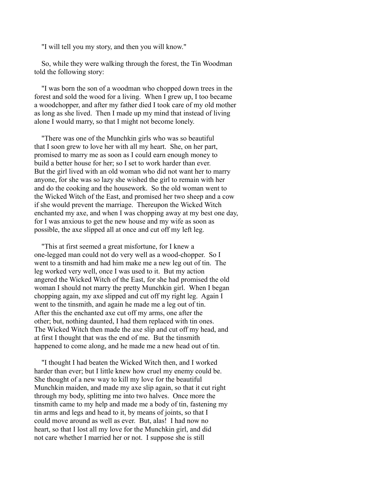"I will tell you my story, and then you will know."

 So, while they were walking through the forest, the Tin Woodman told the following story:

 "I was born the son of a woodman who chopped down trees in the forest and sold the wood for a living. When I grew up, I too became a woodchopper, and after my father died I took care of my old mother as long as she lived. Then I made up my mind that instead of living alone I would marry, so that I might not become lonely.

 "There was one of the Munchkin girls who was so beautiful that I soon grew to love her with all my heart. She, on her part, promised to marry me as soon as I could earn enough money to build a better house for her; so I set to work harder than ever. But the girl lived with an old woman who did not want her to marry anyone, for she was so lazy she wished the girl to remain with her and do the cooking and the housework. So the old woman went to the Wicked Witch of the East, and promised her two sheep and a cow if she would prevent the marriage. Thereupon the Wicked Witch enchanted my axe, and when I was chopping away at my best one day, for I was anxious to get the new house and my wife as soon as possible, the axe slipped all at once and cut off my left leg.

 "This at first seemed a great misfortune, for I knew a one-legged man could not do very well as a wood-chopper. So I went to a tinsmith and had him make me a new leg out of tin. The leg worked very well, once I was used to it. But my action angered the Wicked Witch of the East, for she had promised the old woman I should not marry the pretty Munchkin girl. When I began chopping again, my axe slipped and cut off my right leg. Again I went to the tinsmith, and again he made me a leg out of tin. After this the enchanted axe cut off my arms, one after the other; but, nothing daunted, I had them replaced with tin ones. The Wicked Witch then made the axe slip and cut off my head, and at first I thought that was the end of me. But the tinsmith happened to come along, and he made me a new head out of tin.

 "I thought I had beaten the Wicked Witch then, and I worked harder than ever; but I little knew how cruel my enemy could be. She thought of a new way to kill my love for the beautiful Munchkin maiden, and made my axe slip again, so that it cut right through my body, splitting me into two halves. Once more the tinsmith came to my help and made me a body of tin, fastening my tin arms and legs and head to it, by means of joints, so that I could move around as well as ever. But, alas! I had now no heart, so that I lost all my love for the Munchkin girl, and did not care whether I married her or not. I suppose she is still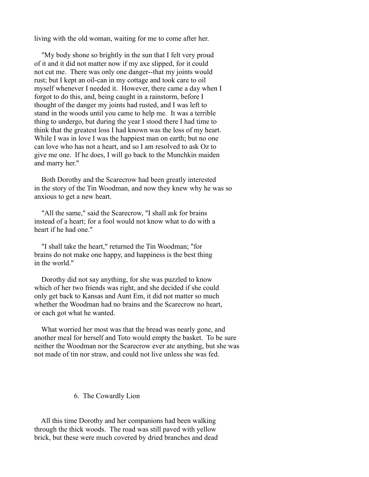living with the old woman, waiting for me to come after her.

 "My body shone so brightly in the sun that I felt very proud of it and it did not matter now if my axe slipped, for it could not cut me. There was only one danger--that my joints would rust; but I kept an oil-can in my cottage and took care to oil myself whenever I needed it. However, there came a day when I forgot to do this, and, being caught in a rainstorm, before I thought of the danger my joints had rusted, and I was left to stand in the woods until you came to help me. It was a terrible thing to undergo, but during the year I stood there I had time to think that the greatest loss I had known was the loss of my heart. While I was in love I was the happiest man on earth; but no one can love who has not a heart, and so I am resolved to ask Oz to give me one. If he does, I will go back to the Munchkin maiden and marry her."

 Both Dorothy and the Scarecrow had been greatly interested in the story of the Tin Woodman, and now they knew why he was so anxious to get a new heart.

 "All the same," said the Scarecrow, "I shall ask for brains instead of a heart; for a fool would not know what to do with a heart if he had one."

 "I shall take the heart," returned the Tin Woodman; "for brains do not make one happy, and happiness is the best thing in the world."

 Dorothy did not say anything, for she was puzzled to know which of her two friends was right, and she decided if she could only get back to Kansas and Aunt Em, it did not matter so much whether the Woodman had no brains and the Scarecrow no heart, or each got what he wanted.

 What worried her most was that the bread was nearly gone, and another meal for herself and Toto would empty the basket. To be sure neither the Woodman nor the Scarecrow ever ate anything, but she was not made of tin nor straw, and could not live unless she was fed.

# 6. The Cowardly Lion

 All this time Dorothy and her companions had been walking through the thick woods. The road was still paved with yellow brick, but these were much covered by dried branches and dead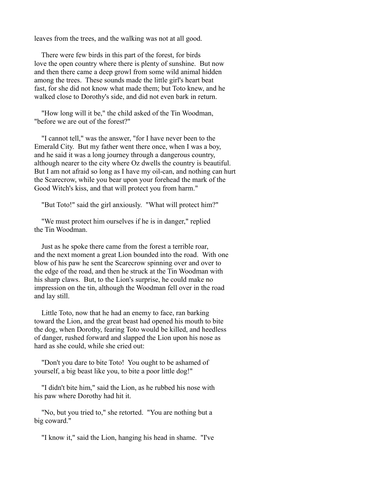leaves from the trees, and the walking was not at all good.

 There were few birds in this part of the forest, for birds love the open country where there is plenty of sunshine. But now and then there came a deep growl from some wild animal hidden among the trees. These sounds made the little girl's heart beat fast, for she did not know what made them; but Toto knew, and he walked close to Dorothy's side, and did not even bark in return.

 "How long will it be," the child asked of the Tin Woodman, "before we are out of the forest?"

 "I cannot tell," was the answer, "for I have never been to the Emerald City. But my father went there once, when I was a boy, and he said it was a long journey through a dangerous country, although nearer to the city where Oz dwells the country is beautiful. But I am not afraid so long as I have my oil-can, and nothing can hurt the Scarecrow, while you bear upon your forehead the mark of the Good Witch's kiss, and that will protect you from harm."

"But Toto!" said the girl anxiously. "What will protect him?"

 "We must protect him ourselves if he is in danger," replied the Tin Woodman.

 Just as he spoke there came from the forest a terrible roar, and the next moment a great Lion bounded into the road. With one blow of his paw he sent the Scarecrow spinning over and over to the edge of the road, and then he struck at the Tin Woodman with his sharp claws. But, to the Lion's surprise, he could make no impression on the tin, although the Woodman fell over in the road and lay still.

 Little Toto, now that he had an enemy to face, ran barking toward the Lion, and the great beast had opened his mouth to bite the dog, when Dorothy, fearing Toto would be killed, and heedless of danger, rushed forward and slapped the Lion upon his nose as hard as she could, while she cried out:

 "Don't you dare to bite Toto! You ought to be ashamed of yourself, a big beast like you, to bite a poor little dog!"

 "I didn't bite him," said the Lion, as he rubbed his nose with his paw where Dorothy had hit it.

 "No, but you tried to," she retorted. "You are nothing but a big coward."

"I know it," said the Lion, hanging his head in shame. "I've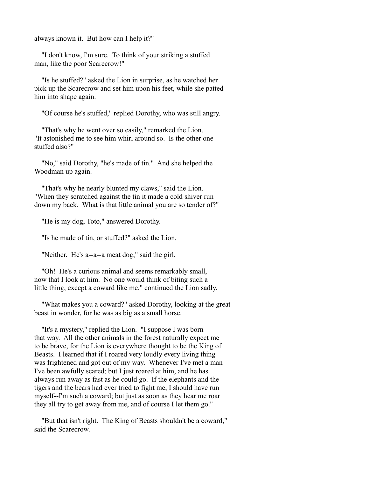always known it. But how can I help it?"

 "I don't know, I'm sure. To think of your striking a stuffed man, like the poor Scarecrow!"

 "Is he stuffed?" asked the Lion in surprise, as he watched her pick up the Scarecrow and set him upon his feet, while she patted him into shape again.

"Of course he's stuffed," replied Dorothy, who was still angry.

 "That's why he went over so easily," remarked the Lion. "It astonished me to see him whirl around so. Is the other one stuffed also?"

 "No," said Dorothy, "he's made of tin." And she helped the Woodman up again.

 "That's why he nearly blunted my claws," said the Lion. "When they scratched against the tin it made a cold shiver run down my back. What is that little animal you are so tender of?"

"He is my dog, Toto," answered Dorothy.

"Is he made of tin, or stuffed?" asked the Lion.

"Neither. He's a--a--a meat dog," said the girl.

 "Oh! He's a curious animal and seems remarkably small, now that I look at him. No one would think of biting such a little thing, except a coward like me," continued the Lion sadly.

 "What makes you a coward?" asked Dorothy, looking at the great beast in wonder, for he was as big as a small horse.

 "It's a mystery," replied the Lion. "I suppose I was born that way. All the other animals in the forest naturally expect me to be brave, for the Lion is everywhere thought to be the King of Beasts. I learned that if I roared very loudly every living thing was frightened and got out of my way. Whenever I've met a man I've been awfully scared; but I just roared at him, and he has always run away as fast as he could go. If the elephants and the tigers and the bears had ever tried to fight me, I should have run myself--I'm such a coward; but just as soon as they hear me roar they all try to get away from me, and of course I let them go."

 "But that isn't right. The King of Beasts shouldn't be a coward," said the Scarecrow.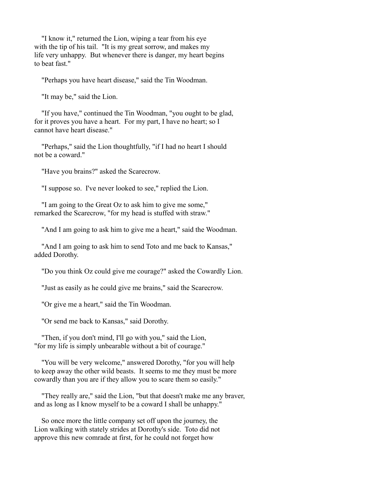"I know it," returned the Lion, wiping a tear from his eye with the tip of his tail. "It is my great sorrow, and makes my life very unhappy. But whenever there is danger, my heart begins to beat fast."

"Perhaps you have heart disease," said the Tin Woodman.

"It may be," said the Lion.

 "If you have," continued the Tin Woodman, "you ought to be glad, for it proves you have a heart. For my part, I have no heart; so I cannot have heart disease."

 "Perhaps," said the Lion thoughtfully, "if I had no heart I should not be a coward."

"Have you brains?" asked the Scarecrow.

"I suppose so. I've never looked to see," replied the Lion.

 "I am going to the Great Oz to ask him to give me some," remarked the Scarecrow, "for my head is stuffed with straw."

"And I am going to ask him to give me a heart," said the Woodman.

 "And I am going to ask him to send Toto and me back to Kansas," added Dorothy.

"Do you think Oz could give me courage?" asked the Cowardly Lion.

"Just as easily as he could give me brains," said the Scarecrow.

"Or give me a heart," said the Tin Woodman.

"Or send me back to Kansas," said Dorothy.

 "Then, if you don't mind, I'll go with you," said the Lion, "for my life is simply unbearable without a bit of courage."

 "You will be very welcome," answered Dorothy, "for you will help to keep away the other wild beasts. It seems to me they must be more cowardly than you are if they allow you to scare them so easily."

 "They really are," said the Lion, "but that doesn't make me any braver, and as long as I know myself to be a coward I shall be unhappy."

 So once more the little company set off upon the journey, the Lion walking with stately strides at Dorothy's side. Toto did not approve this new comrade at first, for he could not forget how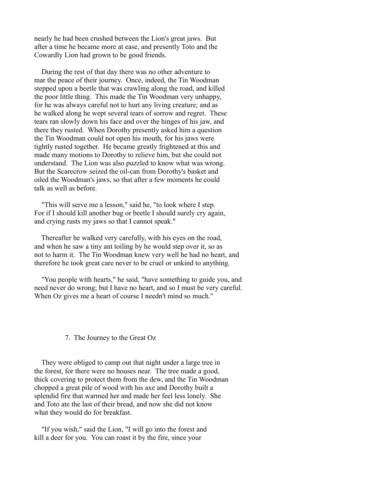nearly he had been crushed between the Lion's great jaws. But after a time he became more at ease, and presently Toto and the Cowardly Lion had grown to be good friends.

 During the rest of that day there was no other adventure to mar the peace of their journey. Once, indeed, the Tin Woodman stepped upon a beetle that was crawling along the road, and killed the poor little thing. This made the Tin Woodman very unhappy, for he was always careful not to hurt any living creature; and as he walked along he wept several tears of sorrow and regret. These tears ran slowly down his face and over the hinges of his jaw, and there they rusted. When Dorothy presently asked him a question the Tin Woodman could not open his mouth, for his jaws were tightly rusted together. He became greatly frightened at this and made many motions to Dorothy to relieve him, but she could not understand. The Lion was also puzzled to know what was wrong. But the Scarecrow seized the oil-can from Dorothy's basket and oiled the Woodman's jaws, so that after a few moments he could talk as well as before.

 "This will serve me a lesson," said he, "to look where I step. For if I should kill another bug or beetle I should surely cry again, and crying rusts my jaws so that I cannot speak."

 Thereafter he walked very carefully, with his eyes on the road, and when he saw a tiny ant toiling by he would step over it, so as not to harm it. The Tin Woodman knew very well he had no heart, and therefore he took great care never to be cruel or unkind to anything.

 "You people with hearts," he said, "have something to guide you, and need never do wrong; but I have no heart, and so I must be very careful. When Oz gives me a heart of course I needn't mind so much."

### 7. The Journey to the Great Oz

 They were obliged to camp out that night under a large tree in the forest, for there were no houses near. The tree made a good, thick covering to protect them from the dew, and the Tin Woodman chopped a great pile of wood with his axe and Dorothy built a splendid fire that warmed her and made her feel less lonely. She and Toto ate the last of their bread, and now she did not know what they would do for breakfast.

 "If you wish," said the Lion, "I will go into the forest and kill a deer for you. You can roast it by the fire, since your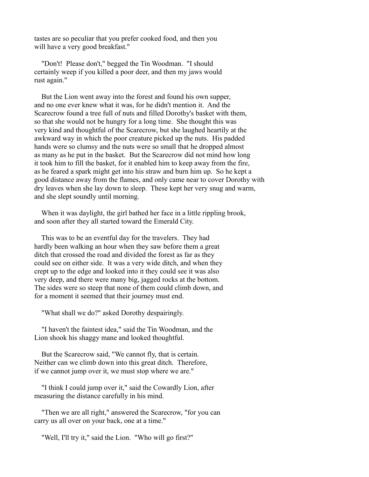tastes are so peculiar that you prefer cooked food, and then you will have a very good breakfast."

 "Don't! Please don't," begged the Tin Woodman. "I should certainly weep if you killed a poor deer, and then my jaws would rust again."

 But the Lion went away into the forest and found his own supper, and no one ever knew what it was, for he didn't mention it. And the Scarecrow found a tree full of nuts and filled Dorothy's basket with them, so that she would not be hungry for a long time. She thought this was very kind and thoughtful of the Scarecrow, but she laughed heartily at the awkward way in which the poor creature picked up the nuts. His padded hands were so clumsy and the nuts were so small that he dropped almost as many as he put in the basket. But the Scarecrow did not mind how long it took him to fill the basket, for it enabled him to keep away from the fire, as he feared a spark might get into his straw and burn him up. So he kept a good distance away from the flames, and only came near to cover Dorothy with dry leaves when she lay down to sleep. These kept her very snug and warm, and she slept soundly until morning.

When it was daylight, the girl bathed her face in a little rippling brook, and soon after they all started toward the Emerald City.

 This was to be an eventful day for the travelers. They had hardly been walking an hour when they saw before them a great ditch that crossed the road and divided the forest as far as they could see on either side. It was a very wide ditch, and when they crept up to the edge and looked into it they could see it was also very deep, and there were many big, jagged rocks at the bottom. The sides were so steep that none of them could climb down, and for a moment it seemed that their journey must end.

"What shall we do?" asked Dorothy despairingly.

 "I haven't the faintest idea," said the Tin Woodman, and the Lion shook his shaggy mane and looked thoughtful.

 But the Scarecrow said, "We cannot fly, that is certain. Neither can we climb down into this great ditch. Therefore, if we cannot jump over it, we must stop where we are."

 "I think I could jump over it," said the Cowardly Lion, after measuring the distance carefully in his mind.

 "Then we are all right," answered the Scarecrow, "for you can carry us all over on your back, one at a time."

"Well, I'll try it," said the Lion. "Who will go first?"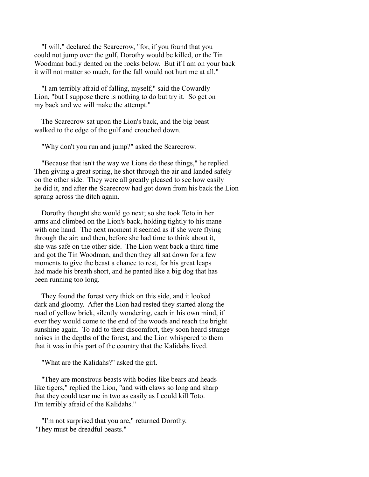"I will," declared the Scarecrow, "for, if you found that you could not jump over the gulf, Dorothy would be killed, or the Tin Woodman badly dented on the rocks below. But if I am on your back it will not matter so much, for the fall would not hurt me at all."

 "I am terribly afraid of falling, myself," said the Cowardly Lion, "but I suppose there is nothing to do but try it. So get on my back and we will make the attempt."

 The Scarecrow sat upon the Lion's back, and the big beast walked to the edge of the gulf and crouched down.

"Why don't you run and jump?" asked the Scarecrow.

 "Because that isn't the way we Lions do these things," he replied. Then giving a great spring, he shot through the air and landed safely on the other side. They were all greatly pleased to see how easily he did it, and after the Scarecrow had got down from his back the Lion sprang across the ditch again.

 Dorothy thought she would go next; so she took Toto in her arms and climbed on the Lion's back, holding tightly to his mane with one hand. The next moment it seemed as if she were flying through the air; and then, before she had time to think about it, she was safe on the other side. The Lion went back a third time and got the Tin Woodman, and then they all sat down for a few moments to give the beast a chance to rest, for his great leaps had made his breath short, and he panted like a big dog that has been running too long.

 They found the forest very thick on this side, and it looked dark and gloomy. After the Lion had rested they started along the road of yellow brick, silently wondering, each in his own mind, if ever they would come to the end of the woods and reach the bright sunshine again. To add to their discomfort, they soon heard strange noises in the depths of the forest, and the Lion whispered to them that it was in this part of the country that the Kalidahs lived.

"What are the Kalidahs?" asked the girl.

 "They are monstrous beasts with bodies like bears and heads like tigers," replied the Lion, "and with claws so long and sharp that they could tear me in two as easily as I could kill Toto. I'm terribly afraid of the Kalidahs."

 "I'm not surprised that you are," returned Dorothy. "They must be dreadful beasts."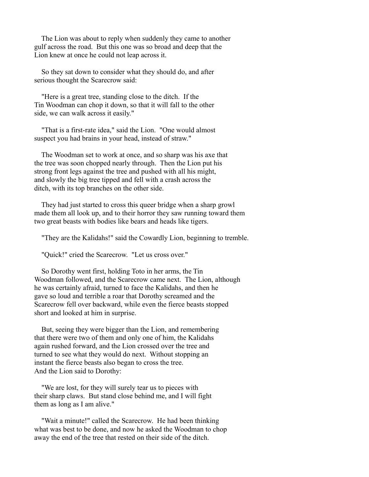The Lion was about to reply when suddenly they came to another gulf across the road. But this one was so broad and deep that the Lion knew at once he could not leap across it.

 So they sat down to consider what they should do, and after serious thought the Scarecrow said:

 "Here is a great tree, standing close to the ditch. If the Tin Woodman can chop it down, so that it will fall to the other side, we can walk across it easily."

 "That is a first-rate idea," said the Lion. "One would almost suspect you had brains in your head, instead of straw."

 The Woodman set to work at once, and so sharp was his axe that the tree was soon chopped nearly through. Then the Lion put his strong front legs against the tree and pushed with all his might, and slowly the big tree tipped and fell with a crash across the ditch, with its top branches on the other side.

 They had just started to cross this queer bridge when a sharp growl made them all look up, and to their horror they saw running toward them two great beasts with bodies like bears and heads like tigers.

"They are the Kalidahs!" said the Cowardly Lion, beginning to tremble.

"Quick!" cried the Scarecrow. "Let us cross over."

 So Dorothy went first, holding Toto in her arms, the Tin Woodman followed, and the Scarecrow came next. The Lion, although he was certainly afraid, turned to face the Kalidahs, and then he gave so loud and terrible a roar that Dorothy screamed and the Scarecrow fell over backward, while even the fierce beasts stopped short and looked at him in surprise.

 But, seeing they were bigger than the Lion, and remembering that there were two of them and only one of him, the Kalidahs again rushed forward, and the Lion crossed over the tree and turned to see what they would do next. Without stopping an instant the fierce beasts also began to cross the tree. And the Lion said to Dorothy:

 "We are lost, for they will surely tear us to pieces with their sharp claws. But stand close behind me, and I will fight them as long as I am alive."

 "Wait a minute!" called the Scarecrow. He had been thinking what was best to be done, and now he asked the Woodman to chop away the end of the tree that rested on their side of the ditch.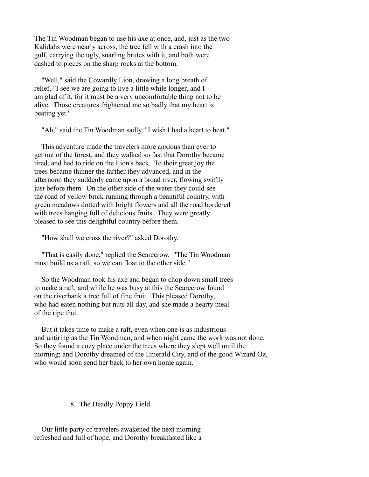The Tin Woodman began to use his axe at once, and, just as the two Kalidahs were nearly across, the tree fell with a crash into the gulf, carrying the ugly, snarling brutes with it, and both were dashed to pieces on the sharp rocks at the bottom.

 "Well," said the Cowardly Lion, drawing a long breath of relief, "I see we are going to live a little while longer, and I am glad of it, for it must be a very uncomfortable thing not to be alive. Those creatures frightened me so badly that my heart is beating yet."

"Ah," said the Tin Woodman sadly, "I wish I had a heart to beat."

 This adventure made the travelers more anxious than ever to get out of the forest, and they walked so fast that Dorothy became tired, and had to ride on the Lion's back. To their great joy the trees became thinner the farther they advanced, and in the afternoon they suddenly came upon a broad river, flowing swiftly just before them. On the other side of the water they could see the road of yellow brick running through a beautiful country, with green meadows dotted with bright flowers and all the road bordered with trees hanging full of delicious fruits. They were greatly pleased to see this delightful country before them.

"How shall we cross the river?" asked Dorothy.

 "That is easily done," replied the Scarecrow. "The Tin Woodman must build us a raft, so we can float to the other side."

 So the Woodman took his axe and began to chop down small trees to make a raft, and while he was busy at this the Scarecrow found on the riverbank a tree full of fine fruit. This pleased Dorothy, who had eaten nothing but nuts all day, and she made a hearty meal of the ripe fruit.

 But it takes time to make a raft, even when one is as industrious and untiring as the Tin Woodman, and when night came the work was not done. So they found a cozy place under the trees where they slept well until the morning; and Dorothy dreamed of the Emerald City, and of the good Wizard Oz, who would soon send her back to her own home again.

## 8. The Deadly Poppy Field

 Our little party of travelers awakened the next morning refreshed and full of hope, and Dorothy breakfasted like a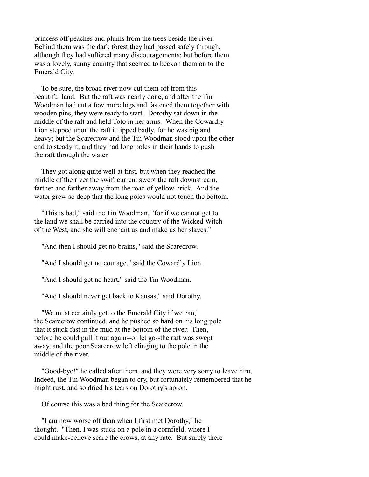princess off peaches and plums from the trees beside the river. Behind them was the dark forest they had passed safely through, although they had suffered many discouragements; but before them was a lovely, sunny country that seemed to beckon them on to the Emerald City.

 To be sure, the broad river now cut them off from this beautiful land. But the raft was nearly done, and after the Tin Woodman had cut a few more logs and fastened them together with wooden pins, they were ready to start. Dorothy sat down in the middle of the raft and held Toto in her arms. When the Cowardly Lion stepped upon the raft it tipped badly, for he was big and heavy; but the Scarecrow and the Tin Woodman stood upon the other end to steady it, and they had long poles in their hands to push the raft through the water.

 They got along quite well at first, but when they reached the middle of the river the swift current swept the raft downstream, farther and farther away from the road of yellow brick. And the water grew so deep that the long poles would not touch the bottom.

 "This is bad," said the Tin Woodman, "for if we cannot get to the land we shall be carried into the country of the Wicked Witch of the West, and she will enchant us and make us her slaves."

"And then I should get no brains," said the Scarecrow.

"And I should get no courage," said the Cowardly Lion.

"And I should get no heart," said the Tin Woodman.

"And I should never get back to Kansas," said Dorothy.

 "We must certainly get to the Emerald City if we can," the Scarecrow continued, and he pushed so hard on his long pole that it stuck fast in the mud at the bottom of the river. Then, before he could pull it out again--or let go--the raft was swept away, and the poor Scarecrow left clinging to the pole in the middle of the river.

 "Good-bye!" he called after them, and they were very sorry to leave him. Indeed, the Tin Woodman began to cry, but fortunately remembered that he might rust, and so dried his tears on Dorothy's apron.

Of course this was a bad thing for the Scarecrow.

 "I am now worse off than when I first met Dorothy," he thought. "Then, I was stuck on a pole in a cornfield, where I could make-believe scare the crows, at any rate. But surely there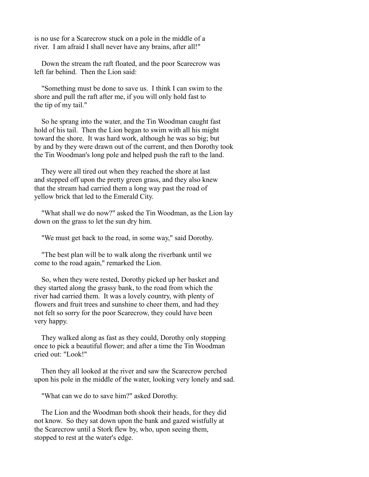is no use for a Scarecrow stuck on a pole in the middle of a river. I am afraid I shall never have any brains, after all!"

 Down the stream the raft floated, and the poor Scarecrow was left far behind. Then the Lion said:

 "Something must be done to save us. I think I can swim to the shore and pull the raft after me, if you will only hold fast to the tip of my tail."

 So he sprang into the water, and the Tin Woodman caught fast hold of his tail. Then the Lion began to swim with all his might toward the shore. It was hard work, although he was so big; but by and by they were drawn out of the current, and then Dorothy took the Tin Woodman's long pole and helped push the raft to the land.

 They were all tired out when they reached the shore at last and stepped off upon the pretty green grass, and they also knew that the stream had carried them a long way past the road of yellow brick that led to the Emerald City.

 "What shall we do now?" asked the Tin Woodman, as the Lion lay down on the grass to let the sun dry him.

"We must get back to the road, in some way," said Dorothy.

 "The best plan will be to walk along the riverbank until we come to the road again," remarked the Lion.

 So, when they were rested, Dorothy picked up her basket and they started along the grassy bank, to the road from which the river had carried them. It was a lovely country, with plenty of flowers and fruit trees and sunshine to cheer them, and had they not felt so sorry for the poor Scarecrow, they could have been very happy.

 They walked along as fast as they could, Dorothy only stopping once to pick a beautiful flower; and after a time the Tin Woodman cried out: "Look!"

 Then they all looked at the river and saw the Scarecrow perched upon his pole in the middle of the water, looking very lonely and sad.

"What can we do to save him?" asked Dorothy.

 The Lion and the Woodman both shook their heads, for they did not know. So they sat down upon the bank and gazed wistfully at the Scarecrow until a Stork flew by, who, upon seeing them, stopped to rest at the water's edge.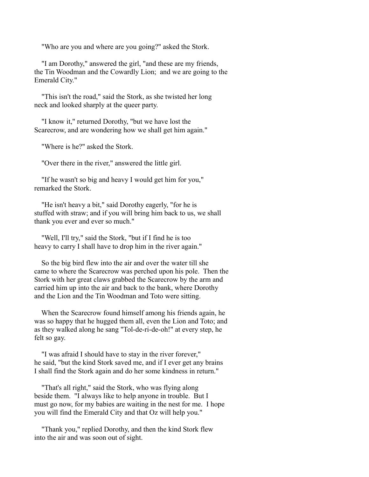"Who are you and where are you going?" asked the Stork.

 "I am Dorothy," answered the girl, "and these are my friends, the Tin Woodman and the Cowardly Lion; and we are going to the Emerald City."

 "This isn't the road," said the Stork, as she twisted her long neck and looked sharply at the queer party.

 "I know it," returned Dorothy, "but we have lost the Scarecrow, and are wondering how we shall get him again."

"Where is he?" asked the Stork.

"Over there in the river," answered the little girl.

 "If he wasn't so big and heavy I would get him for you," remarked the Stork.

 "He isn't heavy a bit," said Dorothy eagerly, "for he is stuffed with straw; and if you will bring him back to us, we shall thank you ever and ever so much."

 "Well, I'll try," said the Stork, "but if I find he is too heavy to carry I shall have to drop him in the river again."

 So the big bird flew into the air and over the water till she came to where the Scarecrow was perched upon his pole. Then the Stork with her great claws grabbed the Scarecrow by the arm and carried him up into the air and back to the bank, where Dorothy and the Lion and the Tin Woodman and Toto were sitting.

 When the Scarecrow found himself among his friends again, he was so happy that he hugged them all, even the Lion and Toto; and as they walked along he sang "Tol-de-ri-de-oh!" at every step, he felt so gay.

 "I was afraid I should have to stay in the river forever," he said, "but the kind Stork saved me, and if I ever get any brains I shall find the Stork again and do her some kindness in return."

 "That's all right," said the Stork, who was flying along beside them. "I always like to help anyone in trouble. But I must go now, for my babies are waiting in the nest for me. I hope you will find the Emerald City and that Oz will help you."

 "Thank you," replied Dorothy, and then the kind Stork flew into the air and was soon out of sight.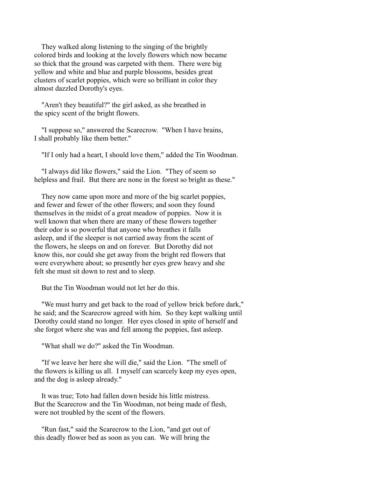They walked along listening to the singing of the brightly colored birds and looking at the lovely flowers which now became so thick that the ground was carpeted with them. There were big yellow and white and blue and purple blossoms, besides great clusters of scarlet poppies, which were so brilliant in color they almost dazzled Dorothy's eyes.

 "Aren't they beautiful?" the girl asked, as she breathed in the spicy scent of the bright flowers.

 "I suppose so," answered the Scarecrow. "When I have brains, I shall probably like them better."

"If I only had a heart, I should love them," added the Tin Woodman.

 "I always did like flowers," said the Lion. "They of seem so helpless and frail. But there are none in the forest so bright as these."

 They now came upon more and more of the big scarlet poppies, and fewer and fewer of the other flowers; and soon they found themselves in the midst of a great meadow of poppies. Now it is well known that when there are many of these flowers together their odor is so powerful that anyone who breathes it falls asleep, and if the sleeper is not carried away from the scent of the flowers, he sleeps on and on forever. But Dorothy did not know this, nor could she get away from the bright red flowers that were everywhere about; so presently her eyes grew heavy and she felt she must sit down to rest and to sleep.

But the Tin Woodman would not let her do this.

 "We must hurry and get back to the road of yellow brick before dark," he said; and the Scarecrow agreed with him. So they kept walking until Dorothy could stand no longer. Her eyes closed in spite of herself and she forgot where she was and fell among the poppies, fast asleep.

"What shall we do?" asked the Tin Woodman.

 "If we leave her here she will die," said the Lion. "The smell of the flowers is killing us all. I myself can scarcely keep my eyes open, and the dog is asleep already."

 It was true; Toto had fallen down beside his little mistress. But the Scarecrow and the Tin Woodman, not being made of flesh, were not troubled by the scent of the flowers.

 "Run fast," said the Scarecrow to the Lion, "and get out of this deadly flower bed as soon as you can. We will bring the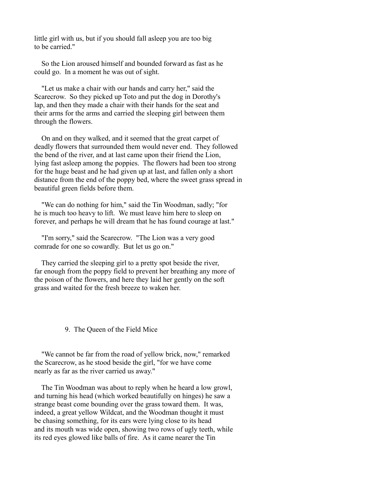little girl with us, but if you should fall asleep you are too big to be carried."

 So the Lion aroused himself and bounded forward as fast as he could go. In a moment he was out of sight.

 "Let us make a chair with our hands and carry her," said the Scarecrow. So they picked up Toto and put the dog in Dorothy's lap, and then they made a chair with their hands for the seat and their arms for the arms and carried the sleeping girl between them through the flowers.

 On and on they walked, and it seemed that the great carpet of deadly flowers that surrounded them would never end. They followed the bend of the river, and at last came upon their friend the Lion, lying fast asleep among the poppies. The flowers had been too strong for the huge beast and he had given up at last, and fallen only a short distance from the end of the poppy bed, where the sweet grass spread in beautiful green fields before them.

 "We can do nothing for him," said the Tin Woodman, sadly; "for he is much too heavy to lift. We must leave him here to sleep on forever, and perhaps he will dream that he has found courage at last."

 "I'm sorry," said the Scarecrow. "The Lion was a very good comrade for one so cowardly. But let us go on."

 They carried the sleeping girl to a pretty spot beside the river, far enough from the poppy field to prevent her breathing any more of the poison of the flowers, and here they laid her gently on the soft grass and waited for the fresh breeze to waken her.

### 9. The Queen of the Field Mice

 "We cannot be far from the road of yellow brick, now," remarked the Scarecrow, as he stood beside the girl, "for we have come nearly as far as the river carried us away."

 The Tin Woodman was about to reply when he heard a low growl, and turning his head (which worked beautifully on hinges) he saw a strange beast come bounding over the grass toward them. It was, indeed, a great yellow Wildcat, and the Woodman thought it must be chasing something, for its ears were lying close to its head and its mouth was wide open, showing two rows of ugly teeth, while its red eyes glowed like balls of fire. As it came nearer the Tin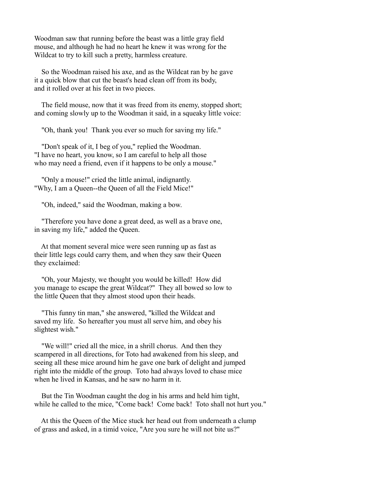Woodman saw that running before the beast was a little gray field mouse, and although he had no heart he knew it was wrong for the Wildcat to try to kill such a pretty, harmless creature.

 So the Woodman raised his axe, and as the Wildcat ran by he gave it a quick blow that cut the beast's head clean off from its body, and it rolled over at his feet in two pieces.

 The field mouse, now that it was freed from its enemy, stopped short; and coming slowly up to the Woodman it said, in a squeaky little voice:

"Oh, thank you! Thank you ever so much for saving my life."

 "Don't speak of it, I beg of you," replied the Woodman. "I have no heart, you know, so I am careful to help all those who may need a friend, even if it happens to be only a mouse."

 "Only a mouse!" cried the little animal, indignantly. "Why, I am a Queen--the Queen of all the Field Mice!"

"Oh, indeed," said the Woodman, making a bow.

 "Therefore you have done a great deed, as well as a brave one, in saving my life," added the Queen.

 At that moment several mice were seen running up as fast as their little legs could carry them, and when they saw their Queen they exclaimed:

 "Oh, your Majesty, we thought you would be killed! How did you manage to escape the great Wildcat?" They all bowed so low to the little Queen that they almost stood upon their heads.

 "This funny tin man," she answered, "killed the Wildcat and saved my life. So hereafter you must all serve him, and obey his slightest wish."

 "We will!" cried all the mice, in a shrill chorus. And then they scampered in all directions, for Toto had awakened from his sleep, and seeing all these mice around him he gave one bark of delight and jumped right into the middle of the group. Toto had always loved to chase mice when he lived in Kansas, and he saw no harm in it.

 But the Tin Woodman caught the dog in his arms and held him tight, while he called to the mice, "Come back! Come back! Toto shall not hurt you."

 At this the Queen of the Mice stuck her head out from underneath a clump of grass and asked, in a timid voice, "Are you sure he will not bite us?"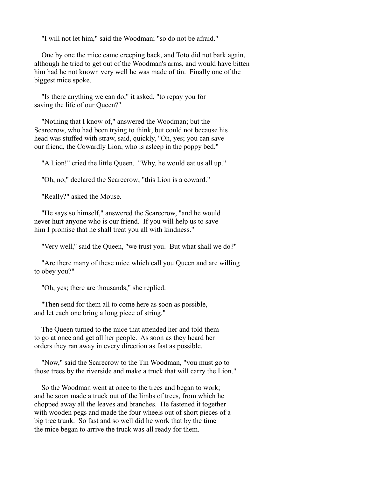"I will not let him," said the Woodman; "so do not be afraid."

 One by one the mice came creeping back, and Toto did not bark again, although he tried to get out of the Woodman's arms, and would have bitten him had he not known very well he was made of tin. Finally one of the biggest mice spoke.

 "Is there anything we can do," it asked, "to repay you for saving the life of our Queen?"

 "Nothing that I know of," answered the Woodman; but the Scarecrow, who had been trying to think, but could not because his head was stuffed with straw, said, quickly, "Oh, yes; you can save our friend, the Cowardly Lion, who is asleep in the poppy bed."

"A Lion!" cried the little Queen. "Why, he would eat us all up."

"Oh, no," declared the Scarecrow; "this Lion is a coward."

"Really?" asked the Mouse.

 "He says so himself," answered the Scarecrow, "and he would never hurt anyone who is our friend. If you will help us to save him I promise that he shall treat you all with kindness."

"Very well," said the Queen, "we trust you. But what shall we do?"

 "Are there many of these mice which call you Queen and are willing to obey you?"

"Oh, yes; there are thousands," she replied.

 "Then send for them all to come here as soon as possible, and let each one bring a long piece of string."

 The Queen turned to the mice that attended her and told them to go at once and get all her people. As soon as they heard her orders they ran away in every direction as fast as possible.

 "Now," said the Scarecrow to the Tin Woodman, "you must go to those trees by the riverside and make a truck that will carry the Lion."

 So the Woodman went at once to the trees and began to work; and he soon made a truck out of the limbs of trees, from which he chopped away all the leaves and branches. He fastened it together with wooden pegs and made the four wheels out of short pieces of a big tree trunk. So fast and so well did he work that by the time the mice began to arrive the truck was all ready for them.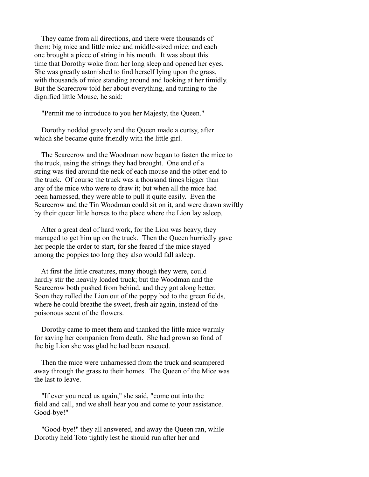They came from all directions, and there were thousands of them: big mice and little mice and middle-sized mice; and each one brought a piece of string in his mouth. It was about this time that Dorothy woke from her long sleep and opened her eyes. She was greatly astonished to find herself lying upon the grass, with thousands of mice standing around and looking at her timidly. But the Scarecrow told her about everything, and turning to the dignified little Mouse, he said:

"Permit me to introduce to you her Majesty, the Queen."

 Dorothy nodded gravely and the Queen made a curtsy, after which she became quite friendly with the little girl.

 The Scarecrow and the Woodman now began to fasten the mice to the truck, using the strings they had brought. One end of a string was tied around the neck of each mouse and the other end to the truck. Of course the truck was a thousand times bigger than any of the mice who were to draw it; but when all the mice had been harnessed, they were able to pull it quite easily. Even the Scarecrow and the Tin Woodman could sit on it, and were drawn swiftly by their queer little horses to the place where the Lion lay asleep.

 After a great deal of hard work, for the Lion was heavy, they managed to get him up on the truck. Then the Queen hurriedly gave her people the order to start, for she feared if the mice stayed among the poppies too long they also would fall asleep.

 At first the little creatures, many though they were, could hardly stir the heavily loaded truck; but the Woodman and the Scarecrow both pushed from behind, and they got along better. Soon they rolled the Lion out of the poppy bed to the green fields, where he could breathe the sweet, fresh air again, instead of the poisonous scent of the flowers.

 Dorothy came to meet them and thanked the little mice warmly for saving her companion from death. She had grown so fond of the big Lion she was glad he had been rescued.

 Then the mice were unharnessed from the truck and scampered away through the grass to their homes. The Queen of the Mice was the last to leave.

 "If ever you need us again," she said, "come out into the field and call, and we shall hear you and come to your assistance. Good-bye!"

 "Good-bye!" they all answered, and away the Queen ran, while Dorothy held Toto tightly lest he should run after her and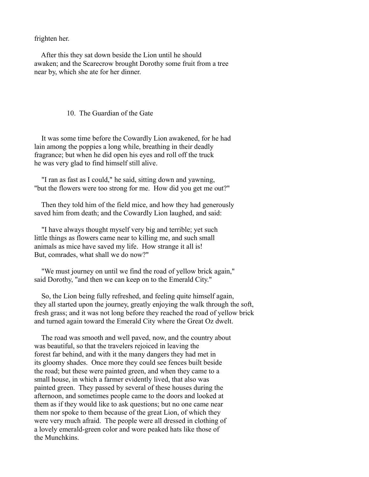frighten her.

 After this they sat down beside the Lion until he should awaken; and the Scarecrow brought Dorothy some fruit from a tree near by, which she ate for her dinner.

### 10. The Guardian of the Gate

 It was some time before the Cowardly Lion awakened, for he had lain among the poppies a long while, breathing in their deadly fragrance; but when he did open his eyes and roll off the truck he was very glad to find himself still alive.

 "I ran as fast as I could," he said, sitting down and yawning, "but the flowers were too strong for me. How did you get me out?"

 Then they told him of the field mice, and how they had generously saved him from death; and the Cowardly Lion laughed, and said:

 "I have always thought myself very big and terrible; yet such little things as flowers came near to killing me, and such small animals as mice have saved my life. How strange it all is! But, comrades, what shall we do now?"

 "We must journey on until we find the road of yellow brick again," said Dorothy, "and then we can keep on to the Emerald City."

 So, the Lion being fully refreshed, and feeling quite himself again, they all started upon the journey, greatly enjoying the walk through the soft, fresh grass; and it was not long before they reached the road of yellow brick and turned again toward the Emerald City where the Great Oz dwelt.

 The road was smooth and well paved, now, and the country about was beautiful, so that the travelers rejoiced in leaving the forest far behind, and with it the many dangers they had met in its gloomy shades. Once more they could see fences built beside the road; but these were painted green, and when they came to a small house, in which a farmer evidently lived, that also was painted green. They passed by several of these houses during the afternoon, and sometimes people came to the doors and looked at them as if they would like to ask questions; but no one came near them nor spoke to them because of the great Lion, of which they were very much afraid. The people were all dressed in clothing of a lovely emerald-green color and wore peaked hats like those of the Munchkins.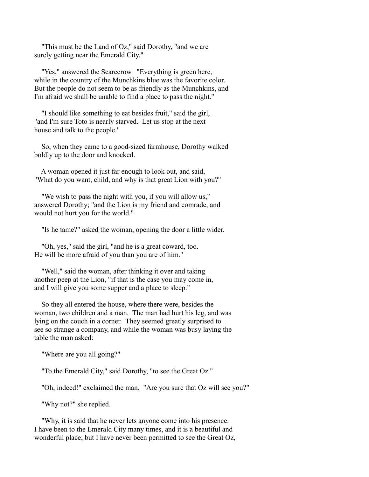"This must be the Land of Oz," said Dorothy, "and we are surely getting near the Emerald City."

 "Yes," answered the Scarecrow. "Everything is green here, while in the country of the Munchkins blue was the favorite color. But the people do not seem to be as friendly as the Munchkins, and I'm afraid we shall be unable to find a place to pass the night."

 "I should like something to eat besides fruit," said the girl, "and I'm sure Toto is nearly starved. Let us stop at the next house and talk to the people."

 So, when they came to a good-sized farmhouse, Dorothy walked boldly up to the door and knocked.

 A woman opened it just far enough to look out, and said, "What do you want, child, and why is that great Lion with you?"

 "We wish to pass the night with you, if you will allow us," answered Dorothy; "and the Lion is my friend and comrade, and would not hurt you for the world."

"Is he tame?" asked the woman, opening the door a little wider.

 "Oh, yes," said the girl, "and he is a great coward, too. He will be more afraid of you than you are of him."

 "Well," said the woman, after thinking it over and taking another peep at the Lion, "if that is the case you may come in, and I will give you some supper and a place to sleep."

 So they all entered the house, where there were, besides the woman, two children and a man. The man had hurt his leg, and was lying on the couch in a corner. They seemed greatly surprised to see so strange a company, and while the woman was busy laying the table the man asked:

"Where are you all going?"

"To the Emerald City," said Dorothy, "to see the Great Oz."

"Oh, indeed!" exclaimed the man. "Are you sure that Oz will see you?"

"Why not?" she replied.

 "Why, it is said that he never lets anyone come into his presence. I have been to the Emerald City many times, and it is a beautiful and wonderful place; but I have never been permitted to see the Great Oz,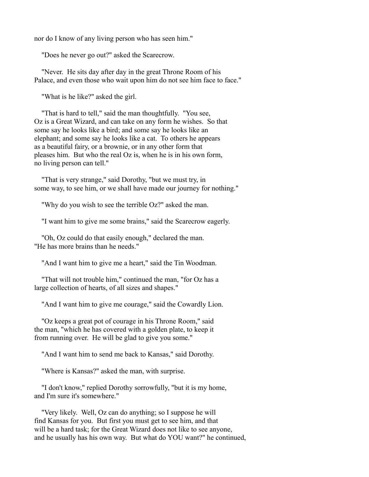nor do I know of any living person who has seen him."

"Does he never go out?" asked the Scarecrow.

 "Never. He sits day after day in the great Throne Room of his Palace, and even those who wait upon him do not see him face to face."

"What is he like?" asked the girl.

 "That is hard to tell," said the man thoughtfully. "You see, Oz is a Great Wizard, and can take on any form he wishes. So that some say he looks like a bird; and some say he looks like an elephant; and some say he looks like a cat. To others he appears as a beautiful fairy, or a brownie, or in any other form that pleases him. But who the real Oz is, when he is in his own form, no living person can tell."

 "That is very strange," said Dorothy, "but we must try, in some way, to see him, or we shall have made our journey for nothing."

"Why do you wish to see the terrible Oz?" asked the man.

"I want him to give me some brains," said the Scarecrow eagerly.

 "Oh, Oz could do that easily enough," declared the man. "He has more brains than he needs."

"And I want him to give me a heart," said the Tin Woodman.

 "That will not trouble him," continued the man, "for Oz has a large collection of hearts, of all sizes and shapes."

"And I want him to give me courage," said the Cowardly Lion.

 "Oz keeps a great pot of courage in his Throne Room," said the man, "which he has covered with a golden plate, to keep it from running over. He will be glad to give you some."

"And I want him to send me back to Kansas," said Dorothy.

"Where is Kansas?" asked the man, with surprise.

 "I don't know," replied Dorothy sorrowfully, "but it is my home, and I'm sure it's somewhere."

 "Very likely. Well, Oz can do anything; so I suppose he will find Kansas for you. But first you must get to see him, and that will be a hard task; for the Great Wizard does not like to see anyone, and he usually has his own way. But what do YOU want?" he continued,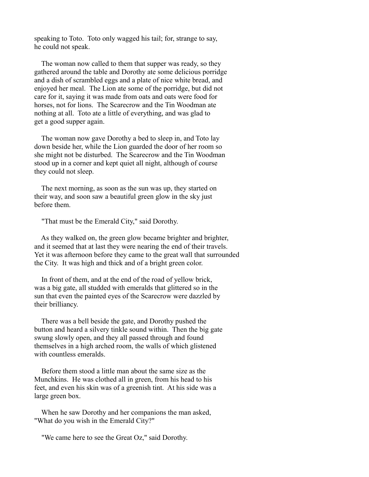speaking to Toto. Toto only wagged his tail; for, strange to say, he could not speak.

 The woman now called to them that supper was ready, so they gathered around the table and Dorothy ate some delicious porridge and a dish of scrambled eggs and a plate of nice white bread, and enjoyed her meal. The Lion ate some of the porridge, but did not care for it, saying it was made from oats and oats were food for horses, not for lions. The Scarecrow and the Tin Woodman ate nothing at all. Toto ate a little of everything, and was glad to get a good supper again.

 The woman now gave Dorothy a bed to sleep in, and Toto lay down beside her, while the Lion guarded the door of her room so she might not be disturbed. The Scarecrow and the Tin Woodman stood up in a corner and kept quiet all night, although of course they could not sleep.

 The next morning, as soon as the sun was up, they started on their way, and soon saw a beautiful green glow in the sky just before them.

"That must be the Emerald City," said Dorothy.

 As they walked on, the green glow became brighter and brighter, and it seemed that at last they were nearing the end of their travels. Yet it was afternoon before they came to the great wall that surrounded the City. It was high and thick and of a bright green color.

 In front of them, and at the end of the road of yellow brick, was a big gate, all studded with emeralds that glittered so in the sun that even the painted eyes of the Scarecrow were dazzled by their brilliancy.

 There was a bell beside the gate, and Dorothy pushed the button and heard a silvery tinkle sound within. Then the big gate swung slowly open, and they all passed through and found themselves in a high arched room, the walls of which glistened with countless emeralds.

 Before them stood a little man about the same size as the Munchkins. He was clothed all in green, from his head to his feet, and even his skin was of a greenish tint. At his side was a large green box.

 When he saw Dorothy and her companions the man asked, "What do you wish in the Emerald City?"

"We came here to see the Great Oz," said Dorothy.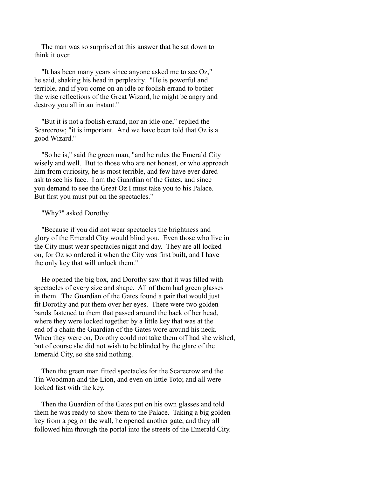The man was so surprised at this answer that he sat down to think it over.

 "It has been many years since anyone asked me to see Oz," he said, shaking his head in perplexity. "He is powerful and terrible, and if you come on an idle or foolish errand to bother the wise reflections of the Great Wizard, he might be angry and destroy you all in an instant."

 "But it is not a foolish errand, nor an idle one," replied the Scarecrow; "it is important. And we have been told that Oz is a good Wizard."

 "So he is," said the green man, "and he rules the Emerald City wisely and well. But to those who are not honest, or who approach him from curiosity, he is most terrible, and few have ever dared ask to see his face. I am the Guardian of the Gates, and since you demand to see the Great Oz I must take you to his Palace. But first you must put on the spectacles."

### "Why?" asked Dorothy.

 "Because if you did not wear spectacles the brightness and glory of the Emerald City would blind you. Even those who live in the City must wear spectacles night and day. They are all locked on, for Oz so ordered it when the City was first built, and I have the only key that will unlock them."

 He opened the big box, and Dorothy saw that it was filled with spectacles of every size and shape. All of them had green glasses in them. The Guardian of the Gates found a pair that would just fit Dorothy and put them over her eyes. There were two golden bands fastened to them that passed around the back of her head, where they were locked together by a little key that was at the end of a chain the Guardian of the Gates wore around his neck. When they were on, Dorothy could not take them off had she wished, but of course she did not wish to be blinded by the glare of the Emerald City, so she said nothing.

 Then the green man fitted spectacles for the Scarecrow and the Tin Woodman and the Lion, and even on little Toto; and all were locked fast with the key.

 Then the Guardian of the Gates put on his own glasses and told them he was ready to show them to the Palace. Taking a big golden key from a peg on the wall, he opened another gate, and they all followed him through the portal into the streets of the Emerald City.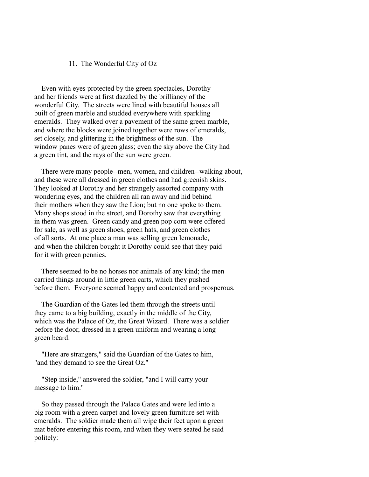### 11. The Wonderful City of Oz

 Even with eyes protected by the green spectacles, Dorothy and her friends were at first dazzled by the brilliancy of the wonderful City. The streets were lined with beautiful houses all built of green marble and studded everywhere with sparkling emeralds. They walked over a pavement of the same green marble, and where the blocks were joined together were rows of emeralds, set closely, and glittering in the brightness of the sun. The window panes were of green glass; even the sky above the City had a green tint, and the rays of the sun were green.

 There were many people--men, women, and children--walking about, and these were all dressed in green clothes and had greenish skins. They looked at Dorothy and her strangely assorted company with wondering eyes, and the children all ran away and hid behind their mothers when they saw the Lion; but no one spoke to them. Many shops stood in the street, and Dorothy saw that everything in them was green. Green candy and green pop corn were offered for sale, as well as green shoes, green hats, and green clothes of all sorts. At one place a man was selling green lemonade, and when the children bought it Dorothy could see that they paid for it with green pennies.

 There seemed to be no horses nor animals of any kind; the men carried things around in little green carts, which they pushed before them. Everyone seemed happy and contented and prosperous.

 The Guardian of the Gates led them through the streets until they came to a big building, exactly in the middle of the City, which was the Palace of Oz, the Great Wizard. There was a soldier before the door, dressed in a green uniform and wearing a long green beard.

 "Here are strangers," said the Guardian of the Gates to him, "and they demand to see the Great Oz."

 "Step inside," answered the soldier, "and I will carry your message to him."

 So they passed through the Palace Gates and were led into a big room with a green carpet and lovely green furniture set with emeralds. The soldier made them all wipe their feet upon a green mat before entering this room, and when they were seated he said politely: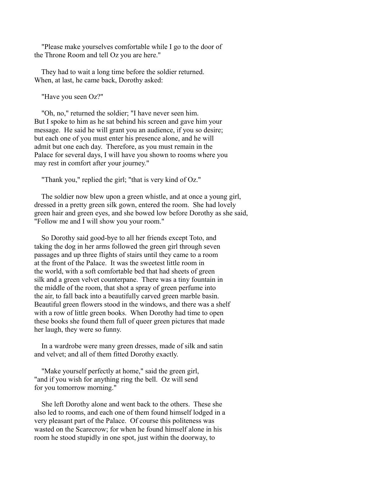"Please make yourselves comfortable while I go to the door of the Throne Room and tell Oz you are here."

 They had to wait a long time before the soldier returned. When, at last, he came back, Dorothy asked:

"Have you seen Oz?"

 "Oh, no," returned the soldier; "I have never seen him. But I spoke to him as he sat behind his screen and gave him your message. He said he will grant you an audience, if you so desire; but each one of you must enter his presence alone, and he will admit but one each day. Therefore, as you must remain in the Palace for several days, I will have you shown to rooms where you may rest in comfort after your journey."

"Thank you," replied the girl; "that is very kind of Oz."

 The soldier now blew upon a green whistle, and at once a young girl, dressed in a pretty green silk gown, entered the room. She had lovely green hair and green eyes, and she bowed low before Dorothy as she said, "Follow me and I will show you your room."

 So Dorothy said good-bye to all her friends except Toto, and taking the dog in her arms followed the green girl through seven passages and up three flights of stairs until they came to a room at the front of the Palace. It was the sweetest little room in the world, with a soft comfortable bed that had sheets of green silk and a green velvet counterpane. There was a tiny fountain in the middle of the room, that shot a spray of green perfume into the air, to fall back into a beautifully carved green marble basin. Beautiful green flowers stood in the windows, and there was a shelf with a row of little green books. When Dorothy had time to open these books she found them full of queer green pictures that made her laugh, they were so funny.

 In a wardrobe were many green dresses, made of silk and satin and velvet; and all of them fitted Dorothy exactly.

 "Make yourself perfectly at home," said the green girl, "and if you wish for anything ring the bell. Oz will send for you tomorrow morning."

 She left Dorothy alone and went back to the others. These she also led to rooms, and each one of them found himself lodged in a very pleasant part of the Palace. Of course this politeness was wasted on the Scarecrow; for when he found himself alone in his room he stood stupidly in one spot, just within the doorway, to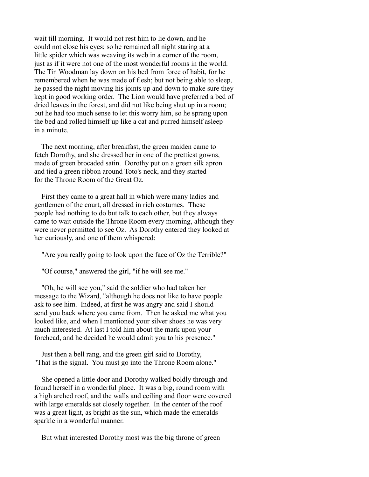wait till morning. It would not rest him to lie down, and he could not close his eyes; so he remained all night staring at a little spider which was weaving its web in a corner of the room, just as if it were not one of the most wonderful rooms in the world. The Tin Woodman lay down on his bed from force of habit, for he remembered when he was made of flesh; but not being able to sleep, he passed the night moving his joints up and down to make sure they kept in good working order. The Lion would have preferred a bed of dried leaves in the forest, and did not like being shut up in a room; but he had too much sense to let this worry him, so he sprang upon the bed and rolled himself up like a cat and purred himself asleep in a minute.

 The next morning, after breakfast, the green maiden came to fetch Dorothy, and she dressed her in one of the prettiest gowns, made of green brocaded satin. Dorothy put on a green silk apron and tied a green ribbon around Toto's neck, and they started for the Throne Room of the Great Oz.

 First they came to a great hall in which were many ladies and gentlemen of the court, all dressed in rich costumes. These people had nothing to do but talk to each other, but they always came to wait outside the Throne Room every morning, although they were never permitted to see Oz. As Dorothy entered they looked at her curiously, and one of them whispered:

"Are you really going to look upon the face of Oz the Terrible?"

"Of course," answered the girl, "if he will see me."

 "Oh, he will see you," said the soldier who had taken her message to the Wizard, "although he does not like to have people ask to see him. Indeed, at first he was angry and said I should send you back where you came from. Then he asked me what you looked like, and when I mentioned your silver shoes he was very much interested. At last I told him about the mark upon your forehead, and he decided he would admit you to his presence."

 Just then a bell rang, and the green girl said to Dorothy, "That is the signal. You must go into the Throne Room alone."

 She opened a little door and Dorothy walked boldly through and found herself in a wonderful place. It was a big, round room with a high arched roof, and the walls and ceiling and floor were covered with large emeralds set closely together. In the center of the roof was a great light, as bright as the sun, which made the emeralds sparkle in a wonderful manner.

But what interested Dorothy most was the big throne of green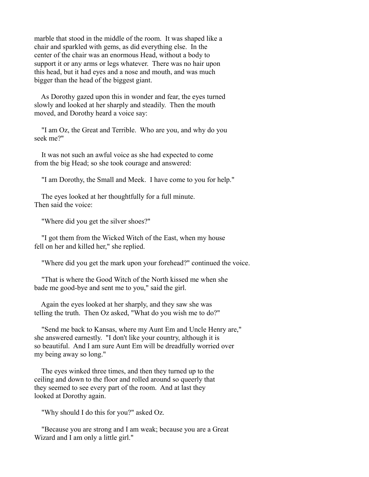marble that stood in the middle of the room. It was shaped like a chair and sparkled with gems, as did everything else. In the center of the chair was an enormous Head, without a body to support it or any arms or legs whatever. There was no hair upon this head, but it had eyes and a nose and mouth, and was much bigger than the head of the biggest giant.

 As Dorothy gazed upon this in wonder and fear, the eyes turned slowly and looked at her sharply and steadily. Then the mouth moved, and Dorothy heard a voice say:

 "I am Oz, the Great and Terrible. Who are you, and why do you seek me?"

 It was not such an awful voice as she had expected to come from the big Head; so she took courage and answered:

"I am Dorothy, the Small and Meek. I have come to you for help."

 The eyes looked at her thoughtfully for a full minute. Then said the voice:

"Where did you get the silver shoes?"

 "I got them from the Wicked Witch of the East, when my house fell on her and killed her," she replied.

"Where did you get the mark upon your forehead?" continued the voice.

 "That is where the Good Witch of the North kissed me when she bade me good-bye and sent me to you," said the girl.

 Again the eyes looked at her sharply, and they saw she was telling the truth. Then Oz asked, "What do you wish me to do?"

 "Send me back to Kansas, where my Aunt Em and Uncle Henry are," she answered earnestly. "I don't like your country, although it is so beautiful. And I am sure Aunt Em will be dreadfully worried over my being away so long."

 The eyes winked three times, and then they turned up to the ceiling and down to the floor and rolled around so queerly that they seemed to see every part of the room. And at last they looked at Dorothy again.

"Why should I do this for you?" asked Oz.

 "Because you are strong and I am weak; because you are a Great Wizard and I am only a little girl."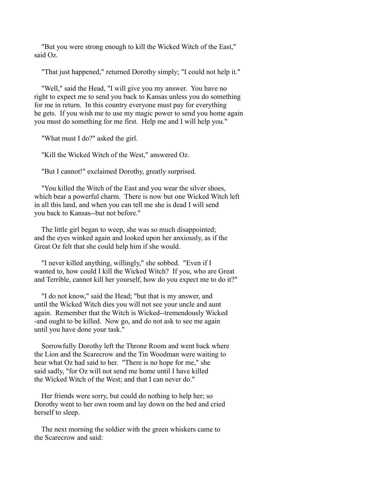"But you were strong enough to kill the Wicked Witch of the East," said Oz.

"That just happened," returned Dorothy simply; "I could not help it."

 "Well," said the Head, "I will give you my answer. You have no right to expect me to send you back to Kansas unless you do something for me in return. In this country everyone must pay for everything he gets. If you wish me to use my magic power to send you home again you must do something for me first. Help me and I will help you."

"What must I do?" asked the girl.

"Kill the Wicked Witch of the West," answered Oz.

"But I cannot!" exclaimed Dorothy, greatly surprised.

 "You killed the Witch of the East and you wear the silver shoes, which bear a powerful charm. There is now but one Wicked Witch left in all this land, and when you can tell me she is dead I will send you back to Kansas--but not before."

 The little girl began to weep, she was so much disappointed; and the eyes winked again and looked upon her anxiously, as if the Great Oz felt that she could help him if she would.

 "I never killed anything, willingly," she sobbed. "Even if I wanted to, how could I kill the Wicked Witch? If you, who are Great and Terrible, cannot kill her yourself, how do you expect me to do it?"

 "I do not know," said the Head; "but that is my answer, and until the Wicked Witch dies you will not see your uncle and aunt again. Remember that the Witch is Wicked--tremendously Wicked -and ought to be killed. Now go, and do not ask to see me again until you have done your task."

 Sorrowfully Dorothy left the Throne Room and went back where the Lion and the Scarecrow and the Tin Woodman were waiting to hear what Oz had said to her. "There is no hope for me," she said sadly, "for Oz will not send me home until I have killed the Wicked Witch of the West; and that I can never do."

 Her friends were sorry, but could do nothing to help her; so Dorothy went to her own room and lay down on the bed and cried herself to sleep.

 The next morning the soldier with the green whiskers came to the Scarecrow and said: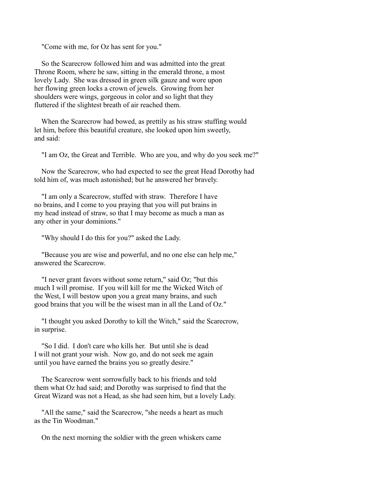"Come with me, for Oz has sent for you."

 So the Scarecrow followed him and was admitted into the great Throne Room, where he saw, sitting in the emerald throne, a most lovely Lady. She was dressed in green silk gauze and wore upon her flowing green locks a crown of jewels. Growing from her shoulders were wings, gorgeous in color and so light that they fluttered if the slightest breath of air reached them.

 When the Scarecrow had bowed, as prettily as his straw stuffing would let him, before this beautiful creature, she looked upon him sweetly, and said:

"I am Oz, the Great and Terrible. Who are you, and why do you seek me?"

 Now the Scarecrow, who had expected to see the great Head Dorothy had told him of, was much astonished; but he answered her bravely.

 "I am only a Scarecrow, stuffed with straw. Therefore I have no brains, and I come to you praying that you will put brains in my head instead of straw, so that I may become as much a man as any other in your dominions."

"Why should I do this for you?" asked the Lady.

 "Because you are wise and powerful, and no one else can help me," answered the Scarecrow.

 "I never grant favors without some return," said Oz; "but this much I will promise. If you will kill for me the Wicked Witch of the West, I will bestow upon you a great many brains, and such good brains that you will be the wisest man in all the Land of Oz."

 "I thought you asked Dorothy to kill the Witch," said the Scarecrow, in surprise.

 "So I did. I don't care who kills her. But until she is dead I will not grant your wish. Now go, and do not seek me again until you have earned the brains you so greatly desire."

 The Scarecrow went sorrowfully back to his friends and told them what Oz had said; and Dorothy was surprised to find that the Great Wizard was not a Head, as she had seen him, but a lovely Lady.

 "All the same," said the Scarecrow, "she needs a heart as much as the Tin Woodman."

On the next morning the soldier with the green whiskers came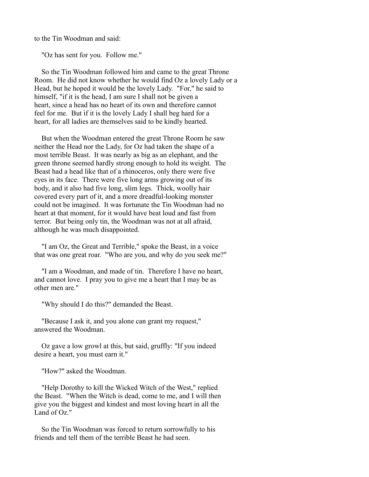to the Tin Woodman and said:

"Oz has sent for you. Follow me."

 So the Tin Woodman followed him and came to the great Throne Room. He did not know whether he would find Oz a lovely Lady or a Head, but he hoped it would be the lovely Lady. "For," he said to himself, "if it is the head, I am sure I shall not be given a heart, since a head has no heart of its own and therefore cannot feel for me. But if it is the lovely Lady I shall beg hard for a heart, for all ladies are themselves said to be kindly hearted.

 But when the Woodman entered the great Throne Room he saw neither the Head nor the Lady, for Oz had taken the shape of a most terrible Beast. It was nearly as big as an elephant, and the green throne seemed hardly strong enough to hold its weight. The Beast had a head like that of a rhinoceros, only there were five eyes in its face. There were five long arms growing out of its body, and it also had five long, slim legs. Thick, woolly hair covered every part of it, and a more dreadful-looking monster could not be imagined. It was fortunate the Tin Woodman had no heart at that moment, for it would have beat loud and fast from terror. But being only tin, the Woodman was not at all afraid, although he was much disappointed.

 "I am Oz, the Great and Terrible," spoke the Beast, in a voice that was one great roar. "Who are you, and why do you seek me?"

 "I am a Woodman, and made of tin. Therefore I have no heart, and cannot love. I pray you to give me a heart that I may be as other men are."

"Why should I do this?" demanded the Beast.

 "Because I ask it, and you alone can grant my request," answered the Woodman.

 Oz gave a low growl at this, but said, gruffly: "If you indeed desire a heart, you must earn it."

"How?" asked the Woodman.

"Help Dorothy to kill the Wicked Witch of the West," replied the Beast. "When the Witch is dead, come to me, and I will then give you the biggest and kindest and most loving heart in all the Land of Oz."

 So the Tin Woodman was forced to return sorrowfully to his friends and tell them of the terrible Beast he had seen.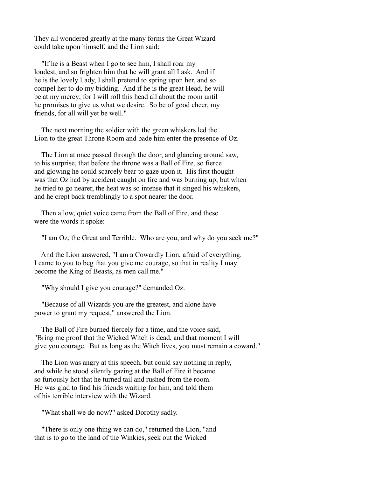They all wondered greatly at the many forms the Great Wizard could take upon himself, and the Lion said:

 "If he is a Beast when I go to see him, I shall roar my loudest, and so frighten him that he will grant all I ask. And if he is the lovely Lady, I shall pretend to spring upon her, and so compel her to do my bidding. And if he is the great Head, he will be at my mercy; for I will roll this head all about the room until he promises to give us what we desire. So be of good cheer, my friends, for all will yet be well."

 The next morning the soldier with the green whiskers led the Lion to the great Throne Room and bade him enter the presence of Oz.

 The Lion at once passed through the door, and glancing around saw, to his surprise, that before the throne was a Ball of Fire, so fierce and glowing he could scarcely bear to gaze upon it. His first thought was that Oz had by accident caught on fire and was burning up; but when he tried to go nearer, the heat was so intense that it singed his whiskers, and he crept back tremblingly to a spot nearer the door.

 Then a low, quiet voice came from the Ball of Fire, and these were the words it spoke:

"I am Oz, the Great and Terrible. Who are you, and why do you seek me?"

 And the Lion answered, "I am a Cowardly Lion, afraid of everything. I came to you to beg that you give me courage, so that in reality I may become the King of Beasts, as men call me."

"Why should I give you courage?" demanded Oz.

 "Because of all Wizards you are the greatest, and alone have power to grant my request," answered the Lion.

 The Ball of Fire burned fiercely for a time, and the voice said, "Bring me proof that the Wicked Witch is dead, and that moment I will give you courage. But as long as the Witch lives, you must remain a coward."

 The Lion was angry at this speech, but could say nothing in reply, and while he stood silently gazing at the Ball of Fire it became so furiously hot that he turned tail and rushed from the room. He was glad to find his friends waiting for him, and told them of his terrible interview with the Wizard.

"What shall we do now?" asked Dorothy sadly.

 "There is only one thing we can do," returned the Lion, "and that is to go to the land of the Winkies, seek out the Wicked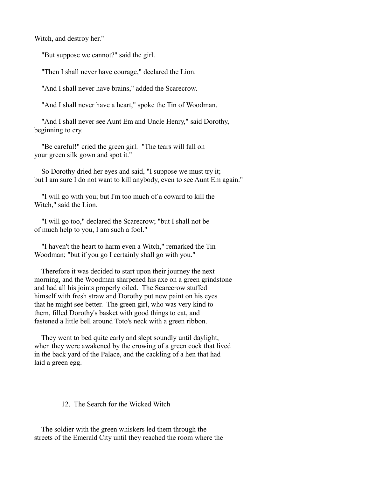Witch, and destroy her."

"But suppose we cannot?" said the girl.

"Then I shall never have courage," declared the Lion.

"And I shall never have brains," added the Scarecrow.

"And I shall never have a heart," spoke the Tin of Woodman.

 "And I shall never see Aunt Em and Uncle Henry," said Dorothy, beginning to cry.

 "Be careful!" cried the green girl. "The tears will fall on your green silk gown and spot it."

 So Dorothy dried her eyes and said, "I suppose we must try it; but I am sure I do not want to kill anybody, even to see Aunt Em again."

 "I will go with you; but I'm too much of a coward to kill the Witch," said the Lion.

 "I will go too," declared the Scarecrow; "but I shall not be of much help to you, I am such a fool."

 "I haven't the heart to harm even a Witch," remarked the Tin Woodman; "but if you go I certainly shall go with you."

 Therefore it was decided to start upon their journey the next morning, and the Woodman sharpened his axe on a green grindstone and had all his joints properly oiled. The Scarecrow stuffed himself with fresh straw and Dorothy put new paint on his eyes that he might see better. The green girl, who was very kind to them, filled Dorothy's basket with good things to eat, and fastened a little bell around Toto's neck with a green ribbon.

 They went to bed quite early and slept soundly until daylight, when they were awakened by the crowing of a green cock that lived in the back yard of the Palace, and the cackling of a hen that had laid a green egg.

# 12. The Search for the Wicked Witch

 The soldier with the green whiskers led them through the streets of the Emerald City until they reached the room where the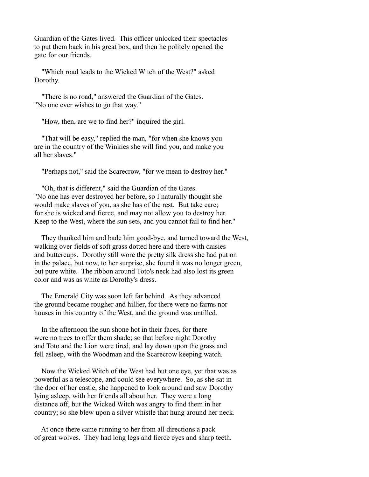Guardian of the Gates lived. This officer unlocked their spectacles to put them back in his great box, and then he politely opened the gate for our friends.

 "Which road leads to the Wicked Witch of the West?" asked Dorothy.

 "There is no road," answered the Guardian of the Gates. "No one ever wishes to go that way."

"How, then, are we to find her?" inquired the girl.

 "That will be easy," replied the man, "for when she knows you are in the country of the Winkies she will find you, and make you all her slaves."

"Perhaps not," said the Scarecrow, "for we mean to destroy her."

 "Oh, that is different," said the Guardian of the Gates. "No one has ever destroyed her before, so I naturally thought she would make slaves of you, as she has of the rest. But take care; for she is wicked and fierce, and may not allow you to destroy her. Keep to the West, where the sun sets, and you cannot fail to find her."

 They thanked him and bade him good-bye, and turned toward the West, walking over fields of soft grass dotted here and there with daisies and buttercups. Dorothy still wore the pretty silk dress she had put on in the palace, but now, to her surprise, she found it was no longer green, but pure white. The ribbon around Toto's neck had also lost its green color and was as white as Dorothy's dress.

 The Emerald City was soon left far behind. As they advanced the ground became rougher and hillier, for there were no farms nor houses in this country of the West, and the ground was untilled.

 In the afternoon the sun shone hot in their faces, for there were no trees to offer them shade; so that before night Dorothy and Toto and the Lion were tired, and lay down upon the grass and fell asleep, with the Woodman and the Scarecrow keeping watch.

 Now the Wicked Witch of the West had but one eye, yet that was as powerful as a telescope, and could see everywhere. So, as she sat in the door of her castle, she happened to look around and saw Dorothy lying asleep, with her friends all about her. They were a long distance off, but the Wicked Witch was angry to find them in her country; so she blew upon a silver whistle that hung around her neck.

 At once there came running to her from all directions a pack of great wolves. They had long legs and fierce eyes and sharp teeth.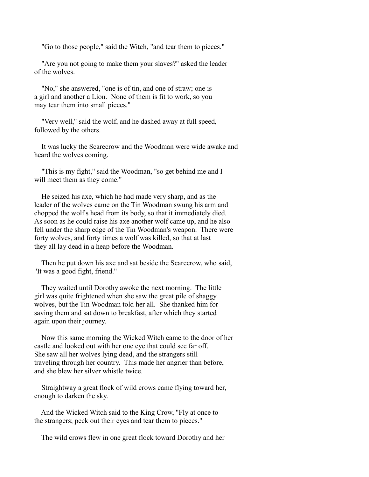"Go to those people," said the Witch, "and tear them to pieces."

 "Are you not going to make them your slaves?" asked the leader of the wolves.

 "No," she answered, "one is of tin, and one of straw; one is a girl and another a Lion. None of them is fit to work, so you may tear them into small pieces."

 "Very well," said the wolf, and he dashed away at full speed, followed by the others.

 It was lucky the Scarecrow and the Woodman were wide awake and heard the wolves coming.

 "This is my fight," said the Woodman, "so get behind me and I will meet them as they come."

 He seized his axe, which he had made very sharp, and as the leader of the wolves came on the Tin Woodman swung his arm and chopped the wolf's head from its body, so that it immediately died. As soon as he could raise his axe another wolf came up, and he also fell under the sharp edge of the Tin Woodman's weapon. There were forty wolves, and forty times a wolf was killed, so that at last they all lay dead in a heap before the Woodman.

 Then he put down his axe and sat beside the Scarecrow, who said, "It was a good fight, friend."

 They waited until Dorothy awoke the next morning. The little girl was quite frightened when she saw the great pile of shaggy wolves, but the Tin Woodman told her all. She thanked him for saving them and sat down to breakfast, after which they started again upon their journey.

 Now this same morning the Wicked Witch came to the door of her castle and looked out with her one eye that could see far off. She saw all her wolves lying dead, and the strangers still traveling through her country. This made her angrier than before, and she blew her silver whistle twice.

 Straightway a great flock of wild crows came flying toward her, enough to darken the sky.

 And the Wicked Witch said to the King Crow, "Fly at once to the strangers; peck out their eyes and tear them to pieces."

The wild crows flew in one great flock toward Dorothy and her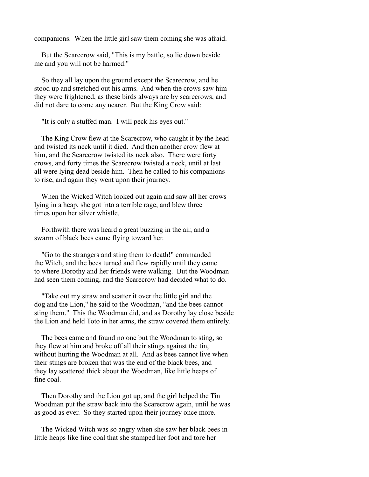companions. When the little girl saw them coming she was afraid.

 But the Scarecrow said, "This is my battle, so lie down beside me and you will not be harmed."

 So they all lay upon the ground except the Scarecrow, and he stood up and stretched out his arms. And when the crows saw him they were frightened, as these birds always are by scarecrows, and did not dare to come any nearer. But the King Crow said:

"It is only a stuffed man. I will peck his eyes out."

 The King Crow flew at the Scarecrow, who caught it by the head and twisted its neck until it died. And then another crow flew at him, and the Scarecrow twisted its neck also. There were forty crows, and forty times the Scarecrow twisted a neck, until at last all were lying dead beside him. Then he called to his companions to rise, and again they went upon their journey.

 When the Wicked Witch looked out again and saw all her crows lying in a heap, she got into a terrible rage, and blew three times upon her silver whistle.

 Forthwith there was heard a great buzzing in the air, and a swarm of black bees came flying toward her.

 "Go to the strangers and sting them to death!" commanded the Witch, and the bees turned and flew rapidly until they came to where Dorothy and her friends were walking. But the Woodman had seen them coming, and the Scarecrow had decided what to do.

 "Take out my straw and scatter it over the little girl and the dog and the Lion," he said to the Woodman, "and the bees cannot sting them." This the Woodman did, and as Dorothy lay close beside the Lion and held Toto in her arms, the straw covered them entirely.

 The bees came and found no one but the Woodman to sting, so they flew at him and broke off all their stings against the tin, without hurting the Woodman at all. And as bees cannot live when their stings are broken that was the end of the black bees, and they lay scattered thick about the Woodman, like little heaps of fine coal.

 Then Dorothy and the Lion got up, and the girl helped the Tin Woodman put the straw back into the Scarecrow again, until he was as good as ever. So they started upon their journey once more.

 The Wicked Witch was so angry when she saw her black bees in little heaps like fine coal that she stamped her foot and tore her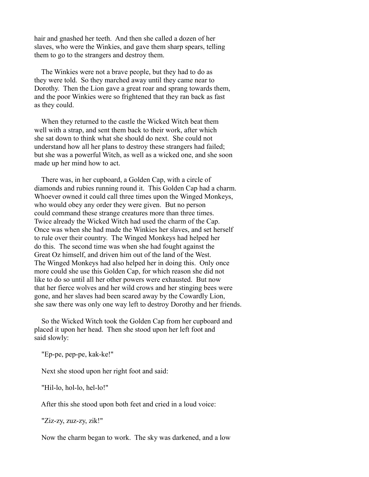hair and gnashed her teeth. And then she called a dozen of her slaves, who were the Winkies, and gave them sharp spears, telling them to go to the strangers and destroy them.

 The Winkies were not a brave people, but they had to do as they were told. So they marched away until they came near to Dorothy. Then the Lion gave a great roar and sprang towards them, and the poor Winkies were so frightened that they ran back as fast as they could.

 When they returned to the castle the Wicked Witch beat them well with a strap, and sent them back to their work, after which she sat down to think what she should do next. She could not understand how all her plans to destroy these strangers had failed; but she was a powerful Witch, as well as a wicked one, and she soon made up her mind how to act.

 There was, in her cupboard, a Golden Cap, with a circle of diamonds and rubies running round it. This Golden Cap had a charm. Whoever owned it could call three times upon the Winged Monkeys, who would obey any order they were given. But no person could command these strange creatures more than three times. Twice already the Wicked Witch had used the charm of the Cap. Once was when she had made the Winkies her slaves, and set herself to rule over their country. The Winged Monkeys had helped her do this. The second time was when she had fought against the Great Oz himself, and driven him out of the land of the West. The Winged Monkeys had also helped her in doing this. Only once more could she use this Golden Cap, for which reason she did not like to do so until all her other powers were exhausted. But now that her fierce wolves and her wild crows and her stinging bees were gone, and her slaves had been scared away by the Cowardly Lion, she saw there was only one way left to destroy Dorothy and her friends.

 So the Wicked Witch took the Golden Cap from her cupboard and placed it upon her head. Then she stood upon her left foot and said slowly:

"Ep-pe, pep-pe, kak-ke!"

Next she stood upon her right foot and said:

"Hil-lo, hol-lo, hel-lo!"

After this she stood upon both feet and cried in a loud voice:

"Ziz-zy, zuz-zy, zik!"

Now the charm began to work. The sky was darkened, and a low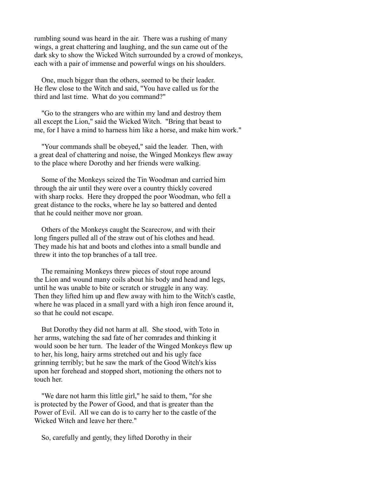rumbling sound was heard in the air. There was a rushing of many wings, a great chattering and laughing, and the sun came out of the dark sky to show the Wicked Witch surrounded by a crowd of monkeys, each with a pair of immense and powerful wings on his shoulders.

 One, much bigger than the others, seemed to be their leader. He flew close to the Witch and said, "You have called us for the third and last time. What do you command?"

 "Go to the strangers who are within my land and destroy them all except the Lion," said the Wicked Witch. "Bring that beast to me, for I have a mind to harness him like a horse, and make him work."

 "Your commands shall be obeyed," said the leader. Then, with a great deal of chattering and noise, the Winged Monkeys flew away to the place where Dorothy and her friends were walking.

 Some of the Monkeys seized the Tin Woodman and carried him through the air until they were over a country thickly covered with sharp rocks. Here they dropped the poor Woodman, who fell a great distance to the rocks, where he lay so battered and dented that he could neither move nor groan.

 Others of the Monkeys caught the Scarecrow, and with their long fingers pulled all of the straw out of his clothes and head. They made his hat and boots and clothes into a small bundle and threw it into the top branches of a tall tree.

 The remaining Monkeys threw pieces of stout rope around the Lion and wound many coils about his body and head and legs, until he was unable to bite or scratch or struggle in any way. Then they lifted him up and flew away with him to the Witch's castle, where he was placed in a small yard with a high iron fence around it, so that he could not escape.

 But Dorothy they did not harm at all. She stood, with Toto in her arms, watching the sad fate of her comrades and thinking it would soon be her turn. The leader of the Winged Monkeys flew up to her, his long, hairy arms stretched out and his ugly face grinning terribly; but he saw the mark of the Good Witch's kiss upon her forehead and stopped short, motioning the others not to touch her.

 "We dare not harm this little girl," he said to them, "for she is protected by the Power of Good, and that is greater than the Power of Evil. All we can do is to carry her to the castle of the Wicked Witch and leave her there."

So, carefully and gently, they lifted Dorothy in their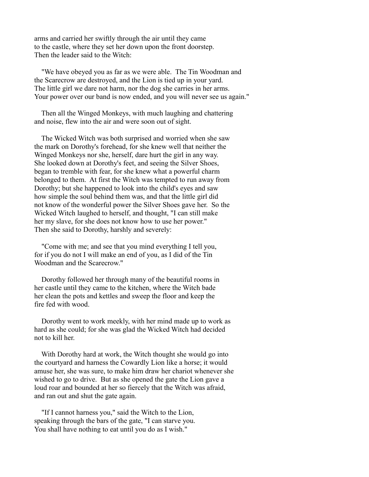arms and carried her swiftly through the air until they came to the castle, where they set her down upon the front doorstep. Then the leader said to the Witch:

 "We have obeyed you as far as we were able. The Tin Woodman and the Scarecrow are destroyed, and the Lion is tied up in your yard. The little girl we dare not harm, nor the dog she carries in her arms. Your power over our band is now ended, and you will never see us again."

 Then all the Winged Monkeys, with much laughing and chattering and noise, flew into the air and were soon out of sight.

 The Wicked Witch was both surprised and worried when she saw the mark on Dorothy's forehead, for she knew well that neither the Winged Monkeys nor she, herself, dare hurt the girl in any way. She looked down at Dorothy's feet, and seeing the Silver Shoes, began to tremble with fear, for she knew what a powerful charm belonged to them. At first the Witch was tempted to run away from Dorothy; but she happened to look into the child's eyes and saw how simple the soul behind them was, and that the little girl did not know of the wonderful power the Silver Shoes gave her. So the Wicked Witch laughed to herself, and thought, "I can still make her my slave, for she does not know how to use her power." Then she said to Dorothy, harshly and severely:

 "Come with me; and see that you mind everything I tell you, for if you do not I will make an end of you, as I did of the Tin Woodman and the Scarecrow."

 Dorothy followed her through many of the beautiful rooms in her castle until they came to the kitchen, where the Witch bade her clean the pots and kettles and sweep the floor and keep the fire fed with wood.

 Dorothy went to work meekly, with her mind made up to work as hard as she could; for she was glad the Wicked Witch had decided not to kill her.

 With Dorothy hard at work, the Witch thought she would go into the courtyard and harness the Cowardly Lion like a horse; it would amuse her, she was sure, to make him draw her chariot whenever she wished to go to drive. But as she opened the gate the Lion gave a loud roar and bounded at her so fiercely that the Witch was afraid, and ran out and shut the gate again.

 "If I cannot harness you," said the Witch to the Lion, speaking through the bars of the gate, "I can starve you. You shall have nothing to eat until you do as I wish."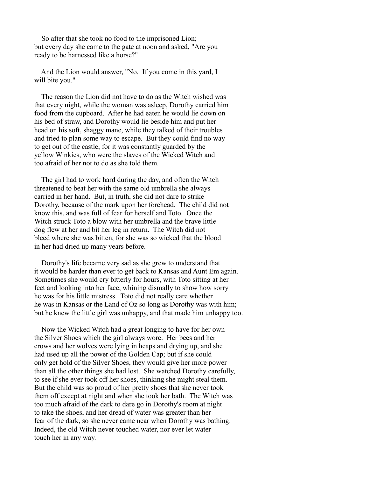So after that she took no food to the imprisoned Lion; but every day she came to the gate at noon and asked, "Are you ready to be harnessed like a horse?"

 And the Lion would answer, "No. If you come in this yard, I will bite you."

 The reason the Lion did not have to do as the Witch wished was that every night, while the woman was asleep, Dorothy carried him food from the cupboard. After he had eaten he would lie down on his bed of straw, and Dorothy would lie beside him and put her head on his soft, shaggy mane, while they talked of their troubles and tried to plan some way to escape. But they could find no way to get out of the castle, for it was constantly guarded by the yellow Winkies, who were the slaves of the Wicked Witch and too afraid of her not to do as she told them.

 The girl had to work hard during the day, and often the Witch threatened to beat her with the same old umbrella she always carried in her hand. But, in truth, she did not dare to strike Dorothy, because of the mark upon her forehead. The child did not know this, and was full of fear for herself and Toto. Once the Witch struck Toto a blow with her umbrella and the brave little dog flew at her and bit her leg in return. The Witch did not bleed where she was bitten, for she was so wicked that the blood in her had dried up many years before.

 Dorothy's life became very sad as she grew to understand that it would be harder than ever to get back to Kansas and Aunt Em again. Sometimes she would cry bitterly for hours, with Toto sitting at her feet and looking into her face, whining dismally to show how sorry he was for his little mistress. Toto did not really care whether he was in Kansas or the Land of Oz so long as Dorothy was with him; but he knew the little girl was unhappy, and that made him unhappy too.

 Now the Wicked Witch had a great longing to have for her own the Silver Shoes which the girl always wore. Her bees and her crows and her wolves were lying in heaps and drying up, and she had used up all the power of the Golden Cap; but if she could only get hold of the Silver Shoes, they would give her more power than all the other things she had lost. She watched Dorothy carefully, to see if she ever took off her shoes, thinking she might steal them. But the child was so proud of her pretty shoes that she never took them off except at night and when she took her bath. The Witch was too much afraid of the dark to dare go in Dorothy's room at night to take the shoes, and her dread of water was greater than her fear of the dark, so she never came near when Dorothy was bathing. Indeed, the old Witch never touched water, nor ever let water touch her in any way.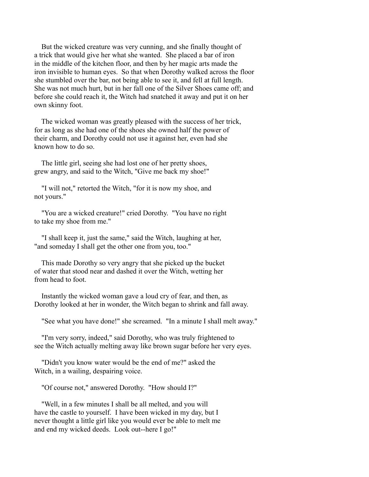But the wicked creature was very cunning, and she finally thought of a trick that would give her what she wanted. She placed a bar of iron in the middle of the kitchen floor, and then by her magic arts made the iron invisible to human eyes. So that when Dorothy walked across the floor she stumbled over the bar, not being able to see it, and fell at full length. She was not much hurt, but in her fall one of the Silver Shoes came off; and before she could reach it, the Witch had snatched it away and put it on her own skinny foot.

 The wicked woman was greatly pleased with the success of her trick, for as long as she had one of the shoes she owned half the power of their charm, and Dorothy could not use it against her, even had she known how to do so.

 The little girl, seeing she had lost one of her pretty shoes, grew angry, and said to the Witch, "Give me back my shoe!"

 "I will not," retorted the Witch, "for it is now my shoe, and not yours."

 "You are a wicked creature!" cried Dorothy. "You have no right to take my shoe from me."

 "I shall keep it, just the same," said the Witch, laughing at her, "and someday I shall get the other one from you, too."

 This made Dorothy so very angry that she picked up the bucket of water that stood near and dashed it over the Witch, wetting her from head to foot.

 Instantly the wicked woman gave a loud cry of fear, and then, as Dorothy looked at her in wonder, the Witch began to shrink and fall away.

"See what you have done!" she screamed. "In a minute I shall melt away."

 "I'm very sorry, indeed," said Dorothy, who was truly frightened to see the Witch actually melting away like brown sugar before her very eyes.

 "Didn't you know water would be the end of me?" asked the Witch, in a wailing, despairing voice.

"Of course not," answered Dorothy. "How should I?"

 "Well, in a few minutes I shall be all melted, and you will have the castle to yourself. I have been wicked in my day, but I never thought a little girl like you would ever be able to melt me and end my wicked deeds. Look out--here I go!"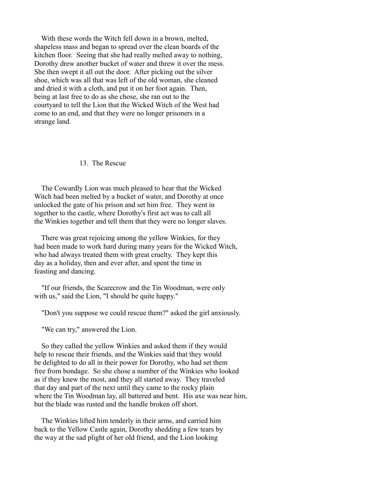With these words the Witch fell down in a brown, melted, shapeless mass and began to spread over the clean boards of the kitchen floor. Seeing that she had really melted away to nothing, Dorothy drew another bucket of water and threw it over the mess. She then swept it all out the door. After picking out the silver shoe, which was all that was left of the old woman, she cleaned and dried it with a cloth, and put it on her foot again. Then, being at last free to do as she chose, she ran out to the courtyard to tell the Lion that the Wicked Witch of the West had come to an end, and that they were no longer prisoners in a strange land.

### 13. The Rescue

 The Cowardly Lion was much pleased to hear that the Wicked Witch had been melted by a bucket of water, and Dorothy at once unlocked the gate of his prison and set him free. They went in together to the castle, where Dorothy's first act was to call all the Winkies together and tell them that they were no longer slaves.

 There was great rejoicing among the yellow Winkies, for they had been made to work hard during many years for the Wicked Witch, who had always treated them with great cruelty. They kept this day as a holiday, then and ever after, and spent the time in feasting and dancing.

 "If our friends, the Scarecrow and the Tin Woodman, were only with us," said the Lion, "I should be quite happy."

"Don't you suppose we could rescue them?" asked the girl anxiously.

"We can try," answered the Lion.

 So they called the yellow Winkies and asked them if they would help to rescue their friends, and the Winkies said that they would be delighted to do all in their power for Dorothy, who had set them free from bondage. So she chose a number of the Winkies who looked as if they knew the most, and they all started away. They traveled that day and part of the next until they came to the rocky plain where the Tin Woodman lay, all battered and bent. His axe was near him, but the blade was rusted and the handle broken off short.

 The Winkies lifted him tenderly in their arms, and carried him back to the Yellow Castle again, Dorothy shedding a few tears by the way at the sad plight of her old friend, and the Lion looking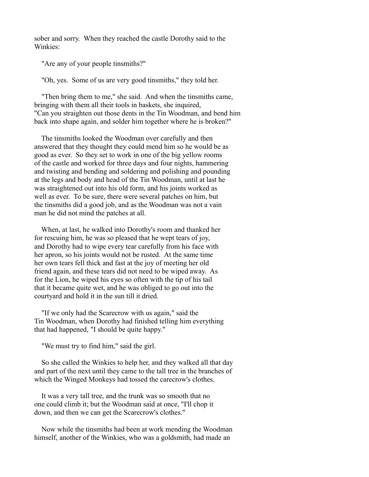sober and sorry. When they reached the castle Dorothy said to the Winkies:

"Are any of your people tinsmiths?"

"Oh, yes. Some of us are very good tinsmiths," they told her.

 "Then bring them to me," she said. And when the tinsmiths came, bringing with them all their tools in baskets, she inquired, "Can you straighten out those dents in the Tin Woodman, and bend him back into shape again, and solder him together where he is broken?"

 The tinsmiths looked the Woodman over carefully and then answered that they thought they could mend him so he would be as good as ever. So they set to work in one of the big yellow rooms of the castle and worked for three days and four nights, hammering and twisting and bending and soldering and polishing and pounding at the legs and body and head of the Tin Woodman, until at last he was straightened out into his old form, and his joints worked as well as ever. To be sure, there were several patches on him, but the tinsmiths did a good job, and as the Woodman was not a vain man he did not mind the patches at all.

 When, at last, he walked into Dorothy's room and thanked her for rescuing him, he was so pleased that he wept tears of joy, and Dorothy had to wipe every tear carefully from his face with her apron, so his joints would not be rusted. At the same time her own tears fell thick and fast at the joy of meeting her old friend again, and these tears did not need to be wiped away. As for the Lion, he wiped his eyes so often with the tip of his tail that it became quite wet, and he was obliged to go out into the courtyard and hold it in the sun till it dried.

 "If we only had the Scarecrow with us again," said the Tin Woodman, when Dorothy had finished telling him everything that had happened, "I should be quite happy."

"We must try to find him," said the girl.

 So she called the Winkies to help her, and they walked all that day and part of the next until they came to the tall tree in the branches of which the Winged Monkeys had tossed the carecrow's clothes.

 It was a very tall tree, and the trunk was so smooth that no one could climb it; but the Woodman said at once, "I'll chop it down, and then we can get the Scarecrow's clothes."

 Now while the tinsmiths had been at work mending the Woodman himself, another of the Winkies, who was a goldsmith, had made an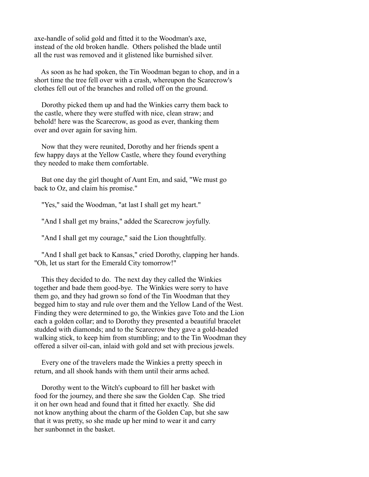axe-handle of solid gold and fitted it to the Woodman's axe, instead of the old broken handle. Others polished the blade until all the rust was removed and it glistened like burnished silver.

 As soon as he had spoken, the Tin Woodman began to chop, and in a short time the tree fell over with a crash, whereupon the Scarecrow's clothes fell out of the branches and rolled off on the ground.

 Dorothy picked them up and had the Winkies carry them back to the castle, where they were stuffed with nice, clean straw; and behold! here was the Scarecrow, as good as ever, thanking them over and over again for saving him.

 Now that they were reunited, Dorothy and her friends spent a few happy days at the Yellow Castle, where they found everything they needed to make them comfortable.

 But one day the girl thought of Aunt Em, and said, "We must go back to Oz, and claim his promise."

"Yes," said the Woodman, "at last I shall get my heart."

"And I shall get my brains," added the Scarecrow joyfully.

"And I shall get my courage," said the Lion thoughtfully.

 "And I shall get back to Kansas," cried Dorothy, clapping her hands. "Oh, let us start for the Emerald City tomorrow!"

 This they decided to do. The next day they called the Winkies together and bade them good-bye. The Winkies were sorry to have them go, and they had grown so fond of the Tin Woodman that they begged him to stay and rule over them and the Yellow Land of the West. Finding they were determined to go, the Winkies gave Toto and the Lion each a golden collar; and to Dorothy they presented a beautiful bracelet studded with diamonds; and to the Scarecrow they gave a gold-headed walking stick, to keep him from stumbling; and to the Tin Woodman they offered a silver oil-can, inlaid with gold and set with precious jewels.

 Every one of the travelers made the Winkies a pretty speech in return, and all shook hands with them until their arms ached.

 Dorothy went to the Witch's cupboard to fill her basket with food for the journey, and there she saw the Golden Cap. She tried it on her own head and found that it fitted her exactly. She did not know anything about the charm of the Golden Cap, but she saw that it was pretty, so she made up her mind to wear it and carry her sunbonnet in the basket.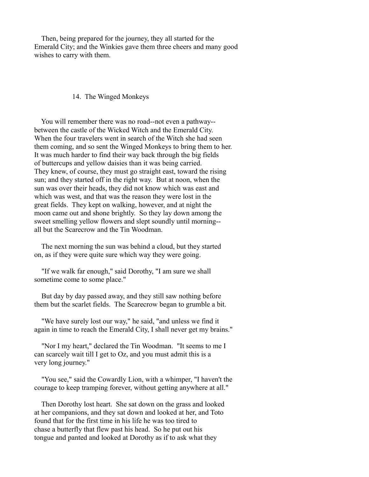Then, being prepared for the journey, they all started for the Emerald City; and the Winkies gave them three cheers and many good wishes to carry with them.

### 14. The Winged Monkeys

 You will remember there was no road--not even a pathway- between the castle of the Wicked Witch and the Emerald City. When the four travelers went in search of the Witch she had seen them coming, and so sent the Winged Monkeys to bring them to her. It was much harder to find their way back through the big fields of buttercups and yellow daisies than it was being carried. They knew, of course, they must go straight east, toward the rising sun; and they started off in the right way. But at noon, when the sun was over their heads, they did not know which was east and which was west, and that was the reason they were lost in the great fields. They kept on walking, however, and at night the moon came out and shone brightly. So they lay down among the sweet smelling yellow flowers and slept soundly until morning- all but the Scarecrow and the Tin Woodman.

 The next morning the sun was behind a cloud, but they started on, as if they were quite sure which way they were going.

 "If we walk far enough," said Dorothy, "I am sure we shall sometime come to some place."

 But day by day passed away, and they still saw nothing before them but the scarlet fields. The Scarecrow began to grumble a bit.

 "We have surely lost our way," he said, "and unless we find it again in time to reach the Emerald City, I shall never get my brains."

 "Nor I my heart," declared the Tin Woodman. "It seems to me I can scarcely wait till I get to Oz, and you must admit this is a very long journey."

 "You see," said the Cowardly Lion, with a whimper, "I haven't the courage to keep tramping forever, without getting anywhere at all."

 Then Dorothy lost heart. She sat down on the grass and looked at her companions, and they sat down and looked at her, and Toto found that for the first time in his life he was too tired to chase a butterfly that flew past his head. So he put out his tongue and panted and looked at Dorothy as if to ask what they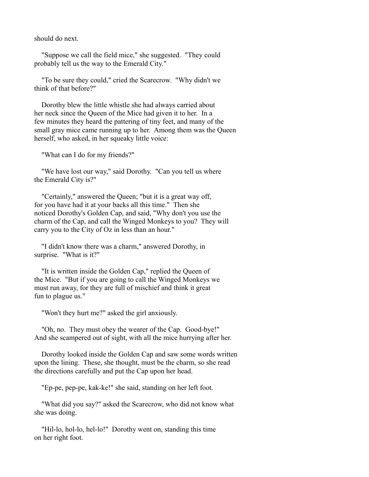should do next.

 "Suppose we call the field mice," she suggested. "They could probably tell us the way to the Emerald City."

 "To be sure they could," cried the Scarecrow. "Why didn't we think of that before?"

 Dorothy blew the little whistle she had always carried about her neck since the Queen of the Mice had given it to her. In a few minutes they heard the pattering of tiny feet, and many of the small gray mice came running up to her. Among them was the Queen herself, who asked, in her squeaky little voice:

"What can I do for my friends?"

 "We have lost our way," said Dorothy. "Can you tell us where the Emerald City is?"

 "Certainly," answered the Queen; "but it is a great way off, for you have had it at your backs all this time." Then she noticed Dorothy's Golden Cap, and said, "Why don't you use the charm of the Cap, and call the Winged Monkeys to you? They will carry you to the City of Oz in less than an hour."

 "I didn't know there was a charm," answered Dorothy, in surprise. "What is it?"

 "It is written inside the Golden Cap," replied the Queen of the Mice. "But if you are going to call the Winged Monkeys we must run away, for they are full of mischief and think it great fun to plague us."

"Won't they hurt me?" asked the girl anxiously.

 "Oh, no. They must obey the wearer of the Cap. Good-bye!" And she scampered out of sight, with all the mice hurrying after her.

 Dorothy looked inside the Golden Cap and saw some words written upon the lining. These, she thought, must be the charm, so she read the directions carefully and put the Cap upon her head.

"Ep-pe, pep-pe, kak-ke!" she said, standing on her left foot.

 "What did you say?" asked the Scarecrow, who did not know what she was doing.

 "Hil-lo, hol-lo, hel-lo!" Dorothy went on, standing this time on her right foot.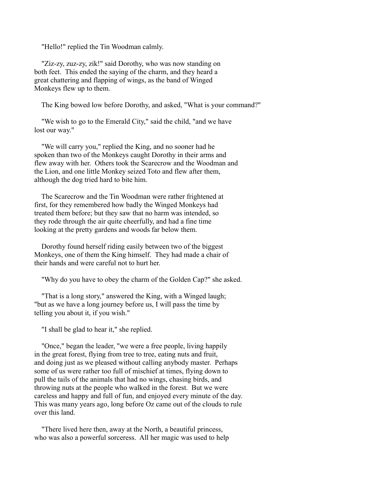"Hello!" replied the Tin Woodman calmly.

 "Ziz-zy, zuz-zy, zik!" said Dorothy, who was now standing on both feet. This ended the saying of the charm, and they heard a great chattering and flapping of wings, as the band of Winged Monkeys flew up to them.

The King bowed low before Dorothy, and asked, "What is your command?"

 "We wish to go to the Emerald City," said the child, "and we have lost our way."

 "We will carry you," replied the King, and no sooner had he spoken than two of the Monkeys caught Dorothy in their arms and flew away with her. Others took the Scarecrow and the Woodman and the Lion, and one little Monkey seized Toto and flew after them, although the dog tried hard to bite him.

 The Scarecrow and the Tin Woodman were rather frightened at first, for they remembered how badly the Winged Monkeys had treated them before; but they saw that no harm was intended, so they rode through the air quite cheerfully, and had a fine time looking at the pretty gardens and woods far below them.

 Dorothy found herself riding easily between two of the biggest Monkeys, one of them the King himself. They had made a chair of their hands and were careful not to hurt her.

"Why do you have to obey the charm of the Golden Cap?" she asked.

 "That is a long story," answered the King, with a Winged laugh; "but as we have a long journey before us, I will pass the time by telling you about it, if you wish."

"I shall be glad to hear it," she replied.

 "Once," began the leader, "we were a free people, living happily in the great forest, flying from tree to tree, eating nuts and fruit, and doing just as we pleased without calling anybody master. Perhaps some of us were rather too full of mischief at times, flying down to pull the tails of the animals that had no wings, chasing birds, and throwing nuts at the people who walked in the forest. But we were careless and happy and full of fun, and enjoyed every minute of the day. This was many years ago, long before Oz came out of the clouds to rule over this land.

 "There lived here then, away at the North, a beautiful princess, who was also a powerful sorceress. All her magic was used to help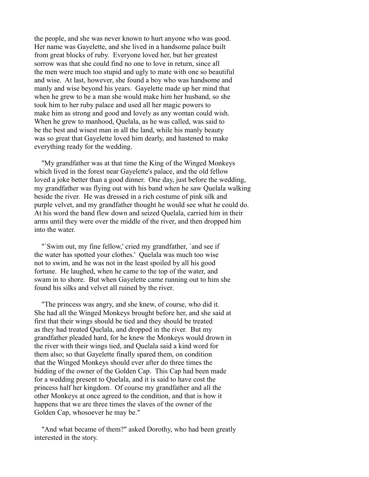the people, and she was never known to hurt anyone who was good. Her name was Gayelette, and she lived in a handsome palace built from great blocks of ruby. Everyone loved her, but her greatest sorrow was that she could find no one to love in return, since all the men were much too stupid and ugly to mate with one so beautiful and wise. At last, however, she found a boy who was handsome and manly and wise beyond his years. Gayelette made up her mind that when he grew to be a man she would make him her husband, so she took him to her ruby palace and used all her magic powers to make him as strong and good and lovely as any woman could wish. When he grew to manhood, Quelala, as he was called, was said to be the best and wisest man in all the land, while his manly beauty was so great that Gayelette loved him dearly, and hastened to make everything ready for the wedding.

 "My grandfather was at that time the King of the Winged Monkeys which lived in the forest near Gayelette's palace, and the old fellow loved a joke better than a good dinner. One day, just before the wedding, my grandfather was flying out with his band when he saw Quelala walking beside the river. He was dressed in a rich costume of pink silk and purple velvet, and my grandfather thought he would see what he could do. At his word the band flew down and seized Quelala, carried him in their arms until they were over the middle of the river, and then dropped him into the water.

 "`Swim out, my fine fellow,' cried my grandfather, `and see if the water has spotted your clothes.' Quelala was much too wise not to swim, and he was not in the least spoiled by all his good fortune. He laughed, when he came to the top of the water, and swam in to shore. But when Gayelette came running out to him she found his silks and velvet all ruined by the river.

 "The princess was angry, and she knew, of course, who did it. She had all the Winged Monkeys brought before her, and she said at first that their wings should be tied and they should be treated as they had treated Quelala, and dropped in the river. But my grandfather pleaded hard, for he knew the Monkeys would drown in the river with their wings tied, and Quelala said a kind word for them also; so that Gayelette finally spared them, on condition that the Winged Monkeys should ever after do three times the bidding of the owner of the Golden Cap. This Cap had been made for a wedding present to Quelala, and it is said to have cost the princess half her kingdom. Of course my grandfather and all the other Monkeys at once agreed to the condition, and that is how it happens that we are three times the slaves of the owner of the Golden Cap, whosoever he may be."

 "And what became of them?" asked Dorothy, who had been greatly interested in the story.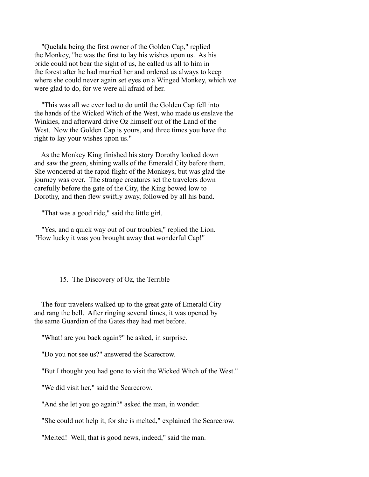"Quelala being the first owner of the Golden Cap," replied the Monkey, "he was the first to lay his wishes upon us. As his bride could not bear the sight of us, he called us all to him in the forest after he had married her and ordered us always to keep where she could never again set eyes on a Winged Monkey, which we were glad to do, for we were all afraid of her.

 "This was all we ever had to do until the Golden Cap fell into the hands of the Wicked Witch of the West, who made us enslave the Winkies, and afterward drive Oz himself out of the Land of the West. Now the Golden Cap is yours, and three times you have the right to lay your wishes upon us."

 As the Monkey King finished his story Dorothy looked down and saw the green, shining walls of the Emerald City before them. She wondered at the rapid flight of the Monkeys, but was glad the journey was over. The strange creatures set the travelers down carefully before the gate of the City, the King bowed low to Dorothy, and then flew swiftly away, followed by all his band.

"That was a good ride," said the little girl.

 "Yes, and a quick way out of our troubles," replied the Lion. "How lucky it was you brought away that wonderful Cap!"

## 15. The Discovery of Oz, the Terrible

 The four travelers walked up to the great gate of Emerald City and rang the bell. After ringing several times, it was opened by the same Guardian of the Gates they had met before.

"What! are you back again?" he asked, in surprise.

"Do you not see us?" answered the Scarecrow.

"But I thought you had gone to visit the Wicked Witch of the West."

"We did visit her," said the Scarecrow.

"And she let you go again?" asked the man, in wonder.

"She could not help it, for she is melted," explained the Scarecrow.

"Melted! Well, that is good news, indeed," said the man.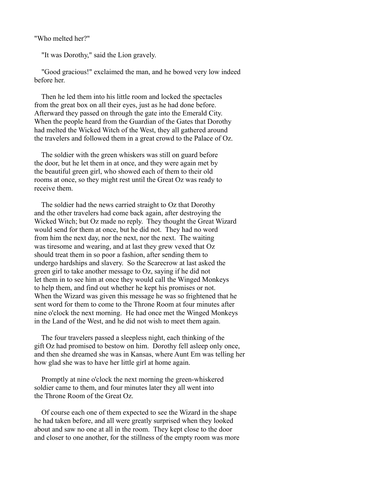"Who melted her?"

"It was Dorothy," said the Lion gravely.

 "Good gracious!" exclaimed the man, and he bowed very low indeed before her.

 Then he led them into his little room and locked the spectacles from the great box on all their eyes, just as he had done before. Afterward they passed on through the gate into the Emerald City. When the people heard from the Guardian of the Gates that Dorothy had melted the Wicked Witch of the West, they all gathered around the travelers and followed them in a great crowd to the Palace of Oz.

 The soldier with the green whiskers was still on guard before the door, but he let them in at once, and they were again met by the beautiful green girl, who showed each of them to their old rooms at once, so they might rest until the Great Oz was ready to receive them.

 The soldier had the news carried straight to Oz that Dorothy and the other travelers had come back again, after destroying the Wicked Witch; but Oz made no reply. They thought the Great Wizard would send for them at once, but he did not. They had no word from him the next day, nor the next, nor the next. The waiting was tiresome and wearing, and at last they grew vexed that Oz should treat them in so poor a fashion, after sending them to undergo hardships and slavery. So the Scarecrow at last asked the green girl to take another message to Oz, saying if he did not let them in to see him at once they would call the Winged Monkeys to help them, and find out whether he kept his promises or not. When the Wizard was given this message he was so frightened that he sent word for them to come to the Throne Room at four minutes after nine o'clock the next morning. He had once met the Winged Monkeys in the Land of the West, and he did not wish to meet them again.

 The four travelers passed a sleepless night, each thinking of the gift Oz had promised to bestow on him. Dorothy fell asleep only once, and then she dreamed she was in Kansas, where Aunt Em was telling her how glad she was to have her little girl at home again.

 Promptly at nine o'clock the next morning the green-whiskered soldier came to them, and four minutes later they all went into the Throne Room of the Great Oz.

 Of course each one of them expected to see the Wizard in the shape he had taken before, and all were greatly surprised when they looked about and saw no one at all in the room. They kept close to the door and closer to one another, for the stillness of the empty room was more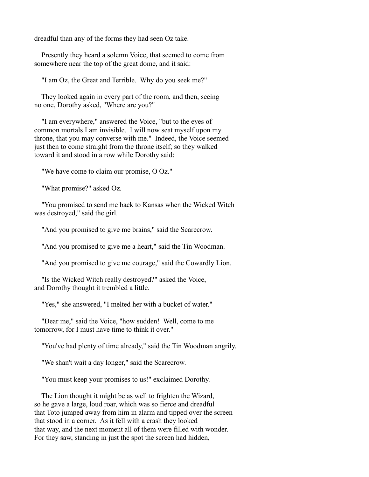dreadful than any of the forms they had seen Oz take.

 Presently they heard a solemn Voice, that seemed to come from somewhere near the top of the great dome, and it said:

"I am Oz, the Great and Terrible. Why do you seek me?"

 They looked again in every part of the room, and then, seeing no one, Dorothy asked, "Where are you?"

 "I am everywhere," answered the Voice, "but to the eyes of common mortals I am invisible. I will now seat myself upon my throne, that you may converse with me." Indeed, the Voice seemed just then to come straight from the throne itself; so they walked toward it and stood in a row while Dorothy said:

"We have come to claim our promise, O Oz."

"What promise?" asked Oz.

 "You promised to send me back to Kansas when the Wicked Witch was destroyed," said the girl.

"And you promised to give me brains," said the Scarecrow.

"And you promised to give me a heart," said the Tin Woodman.

"And you promised to give me courage," said the Cowardly Lion.

 "Is the Wicked Witch really destroyed?" asked the Voice, and Dorothy thought it trembled a little.

"Yes," she answered, "I melted her with a bucket of water."

 "Dear me," said the Voice, "how sudden! Well, come to me tomorrow, for I must have time to think it over."

"You've had plenty of time already," said the Tin Woodman angrily.

"We shan't wait a day longer," said the Scarecrow.

"You must keep your promises to us!" exclaimed Dorothy.

 The Lion thought it might be as well to frighten the Wizard, so he gave a large, loud roar, which was so fierce and dreadful that Toto jumped away from him in alarm and tipped over the screen that stood in a corner. As it fell with a crash they looked that way, and the next moment all of them were filled with wonder. For they saw, standing in just the spot the screen had hidden,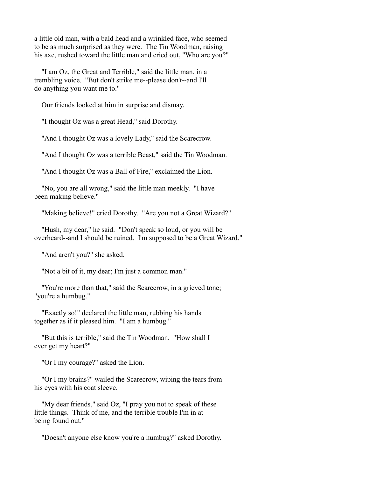a little old man, with a bald head and a wrinkled face, who seemed to be as much surprised as they were. The Tin Woodman, raising his axe, rushed toward the little man and cried out, "Who are you?"

 "I am Oz, the Great and Terrible," said the little man, in a trembling voice. "But don't strike me--please don't--and I'll do anything you want me to."

Our friends looked at him in surprise and dismay.

"I thought Oz was a great Head," said Dorothy.

"And I thought Oz was a lovely Lady," said the Scarecrow.

"And I thought Oz was a terrible Beast," said the Tin Woodman.

"And I thought Oz was a Ball of Fire," exclaimed the Lion.

 "No, you are all wrong," said the little man meekly. "I have been making believe."

"Making believe!" cried Dorothy. "Are you not a Great Wizard?"

 "Hush, my dear," he said. "Don't speak so loud, or you will be overheard--and I should be ruined. I'm supposed to be a Great Wizard."

"And aren't you?" she asked.

"Not a bit of it, my dear; I'm just a common man."

 "You're more than that," said the Scarecrow, in a grieved tone; "you're a humbug."

 "Exactly so!" declared the little man, rubbing his hands together as if it pleased him. "I am a humbug."

 "But this is terrible," said the Tin Woodman. "How shall I ever get my heart?"

"Or I my courage?" asked the Lion.

 "Or I my brains?" wailed the Scarecrow, wiping the tears from his eyes with his coat sleeve.

 "My dear friends," said Oz, "I pray you not to speak of these little things. Think of me, and the terrible trouble I'm in at being found out."

"Doesn't anyone else know you're a humbug?" asked Dorothy.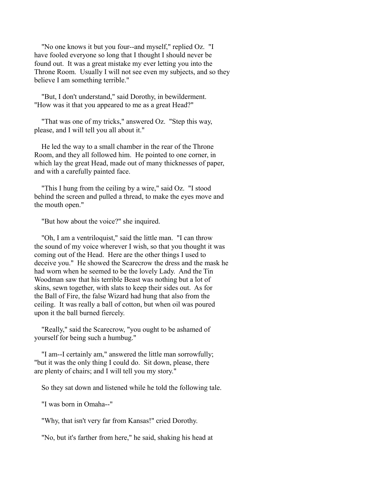"No one knows it but you four--and myself," replied Oz. "I have fooled everyone so long that I thought I should never be found out. It was a great mistake my ever letting you into the Throne Room. Usually I will not see even my subjects, and so they believe I am something terrible."

 "But, I don't understand," said Dorothy, in bewilderment. "How was it that you appeared to me as a great Head?"

 "That was one of my tricks," answered Oz. "Step this way, please, and I will tell you all about it."

 He led the way to a small chamber in the rear of the Throne Room, and they all followed him. He pointed to one corner, in which lay the great Head, made out of many thicknesses of paper, and with a carefully painted face.

 "This I hung from the ceiling by a wire," said Oz. "I stood behind the screen and pulled a thread, to make the eyes move and the mouth open."

"But how about the voice?" she inquired.

 "Oh, I am a ventriloquist," said the little man. "I can throw the sound of my voice wherever I wish, so that you thought it was coming out of the Head. Here are the other things I used to deceive you." He showed the Scarecrow the dress and the mask he had worn when he seemed to be the lovely Lady. And the Tin Woodman saw that his terrible Beast was nothing but a lot of skins, sewn together, with slats to keep their sides out. As for the Ball of Fire, the false Wizard had hung that also from the ceiling. It was really a ball of cotton, but when oil was poured upon it the ball burned fiercely.

 "Really," said the Scarecrow, "you ought to be ashamed of yourself for being such a humbug."

 "I am--I certainly am," answered the little man sorrowfully; "but it was the only thing I could do. Sit down, please, there are plenty of chairs; and I will tell you my story."

So they sat down and listened while he told the following tale.

"I was born in Omaha--"

"Why, that isn't very far from Kansas!" cried Dorothy.

"No, but it's farther from here," he said, shaking his head at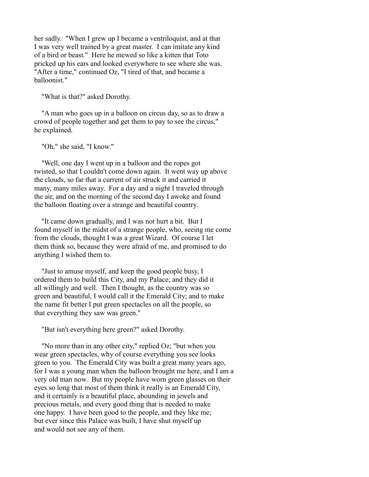her sadly. "When I grew up I became a ventriloquist, and at that I was very well trained by a great master. I can imitate any kind of a bird or beast." Here he mewed so like a kitten that Toto pricked up his ears and looked everywhere to see where she was. "After a time," continued Oz, "I tired of that, and became a balloonist."

"What is that?" asked Dorothy.

 "A man who goes up in a balloon on circus day, so as to draw a crowd of people together and get them to pay to see the circus," he explained.

"Oh," she said, "I know."

 "Well, one day I went up in a balloon and the ropes got twisted, so that I couldn't come down again. It went way up above the clouds, so far that a current of air struck it and carried it many, many miles away. For a day and a night I traveled through the air, and on the morning of the second day I awoke and found the balloon floating over a strange and beautiful country.

 "It came down gradually, and I was not hurt a bit. But I found myself in the midst of a strange people, who, seeing me come from the clouds, thought I was a great Wizard. Of course I let them think so, because they were afraid of me, and promised to do anything I wished them to.

 "Just to amuse myself, and keep the good people busy, I ordered them to build this City, and my Palace; and they did it all willingly and well. Then I thought, as the country was so green and beautiful, I would call it the Emerald City; and to make the name fit better I put green spectacles on all the people, so that everything they saw was green."

"But isn't everything here green?" asked Dorothy.

 "No more than in any other city," replied Oz; "but when you wear green spectacles, why of course everything you see looks green to you. The Emerald City was built a great many years ago, for I was a young man when the balloon brought me here, and I am a very old man now. But my people have worn green glasses on their eyes so long that most of them think it really is an Emerald City, and it certainly is a beautiful place, abounding in jewels and precious metals, and every good thing that is needed to make one happy. I have been good to the people, and they like me; but ever since this Palace was built, I have shut myself up and would not see any of them.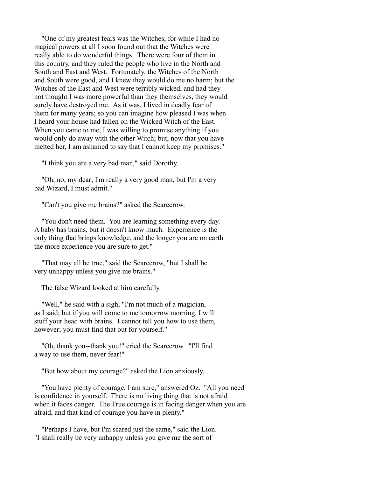"One of my greatest fears was the Witches, for while I had no magical powers at all I soon found out that the Witches were really able to do wonderful things. There were four of them in this country, and they ruled the people who live in the North and South and East and West. Fortunately, the Witches of the North and South were good, and I knew they would do me no harm; but the Witches of the East and West were terribly wicked, and had they not thought I was more powerful than they themselves, they would surely have destroyed me. As it was, I lived in deadly fear of them for many years; so you can imagine how pleased I was when I heard your house had fallen on the Wicked Witch of the East. When you came to me, I was willing to promise anything if you would only do away with the other Witch; but, now that you have melted her, I am ashamed to say that I cannot keep my promises."

"I think you are a very bad man," said Dorothy.

 "Oh, no, my dear; I'm really a very good man, but I'm a very bad Wizard, I must admit."

"Can't you give me brains?" asked the Scarecrow.

 "You don't need them. You are learning something every day. A baby has brains, but it doesn't know much. Experience is the only thing that brings knowledge, and the longer you are on earth the more experience you are sure to get."

 "That may all be true," said the Scarecrow, "but I shall be very unhappy unless you give me brains."

The false Wizard looked at him carefully.

 "Well," he said with a sigh, "I'm not much of a magician, as I said; but if you will come to me tomorrow morning, I will stuff your head with brains. I cannot tell you how to use them, however; you must find that out for yourself."

 "Oh, thank you--thank you!" cried the Scarecrow. "I'll find a way to use them, never fear!"

"But how about my courage?" asked the Lion anxiously.

 "You have plenty of courage, I am sure," answered Oz. "All you need is confidence in yourself. There is no living thing that is not afraid when it faces danger. The True courage is in facing danger when you are afraid, and that kind of courage you have in plenty."

 "Perhaps I have, but I'm scared just the same," said the Lion. "I shall really be very unhappy unless you give me the sort of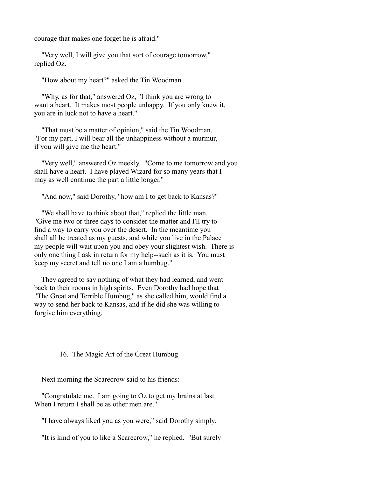courage that makes one forget he is afraid."

 "Very well, I will give you that sort of courage tomorrow," replied Oz.

"How about my heart?" asked the Tin Woodman.

 "Why, as for that," answered Oz, "I think you are wrong to want a heart. It makes most people unhappy. If you only knew it, you are in luck not to have a heart."

 "That must be a matter of opinion," said the Tin Woodman. "For my part, I will bear all the unhappiness without a murmur, if you will give me the heart."

 "Very well," answered Oz meekly. "Come to me tomorrow and you shall have a heart. I have played Wizard for so many years that I may as well continue the part a little longer."

"And now," said Dorothy, "how am I to get back to Kansas?"

 "We shall have to think about that," replied the little man. "Give me two or three days to consider the matter and I'll try to find a way to carry you over the desert. In the meantime you shall all be treated as my guests, and while you live in the Palace my people will wait upon you and obey your slightest wish. There is only one thing I ask in return for my help--such as it is. You must keep my secret and tell no one I am a humbug."

 They agreed to say nothing of what they had learned, and went back to their rooms in high spirits. Even Dorothy had hope that "The Great and Terrible Humbug," as she called him, would find a way to send her back to Kansas, and if he did she was willing to forgive him everything.

### 16. The Magic Art of the Great Humbug

Next morning the Scarecrow said to his friends:

 "Congratulate me. I am going to Oz to get my brains at last. When I return I shall be as other men are."

"I have always liked you as you were," said Dorothy simply.

"It is kind of you to like a Scarecrow," he replied. "But surely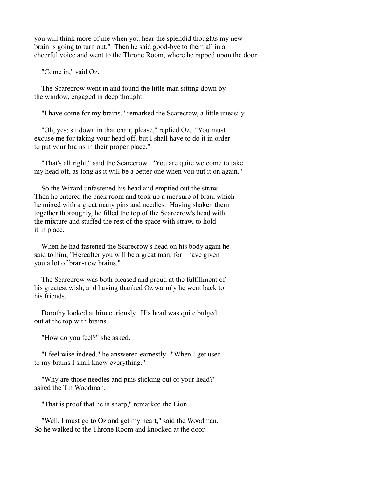you will think more of me when you hear the splendid thoughts my new brain is going to turn out." Then he said good-bye to them all in a cheerful voice and went to the Throne Room, where he rapped upon the door.

"Come in," said Oz.

 The Scarecrow went in and found the little man sitting down by the window, engaged in deep thought.

"I have come for my brains," remarked the Scarecrow, a little uneasily.

 "Oh, yes; sit down in that chair, please," replied Oz. "You must excuse me for taking your head off, but I shall have to do it in order to put your brains in their proper place."

 "That's all right," said the Scarecrow. "You are quite welcome to take my head off, as long as it will be a better one when you put it on again."

 So the Wizard unfastened his head and emptied out the straw. Then he entered the back room and took up a measure of bran, which he mixed with a great many pins and needles. Having shaken them together thoroughly, he filled the top of the Scarecrow's head with the mixture and stuffed the rest of the space with straw, to hold it in place.

 When he had fastened the Scarecrow's head on his body again he said to him, "Hereafter you will be a great man, for I have given you a lot of bran-new brains."

 The Scarecrow was both pleased and proud at the fulfillment of his greatest wish, and having thanked Oz warmly he went back to his friends.

 Dorothy looked at him curiously. His head was quite bulged out at the top with brains.

"How do you feel?" she asked.

 "I feel wise indeed," he answered earnestly. "When I get used to my brains I shall know everything."

 "Why are those needles and pins sticking out of your head?" asked the Tin Woodman.

"That is proof that he is sharp," remarked the Lion.

 "Well, I must go to Oz and get my heart," said the Woodman. So he walked to the Throne Room and knocked at the door.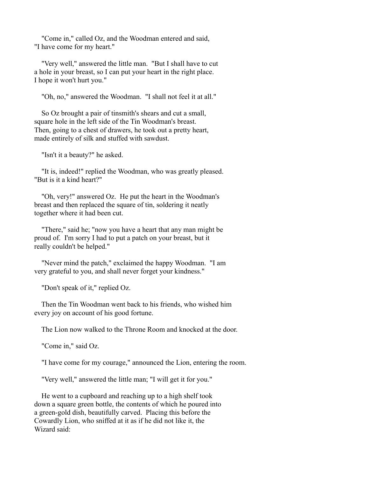"Come in," called Oz, and the Woodman entered and said, "I have come for my heart."

 "Very well," answered the little man. "But I shall have to cut a hole in your breast, so I can put your heart in the right place. I hope it won't hurt you."

"Oh, no," answered the Woodman. "I shall not feel it at all."

 So Oz brought a pair of tinsmith's shears and cut a small, square hole in the left side of the Tin Woodman's breast. Then, going to a chest of drawers, he took out a pretty heart. made entirely of silk and stuffed with sawdust.

"Isn't it a beauty?" he asked.

 "It is, indeed!" replied the Woodman, who was greatly pleased. "But is it a kind heart?"

 "Oh, very!" answered Oz. He put the heart in the Woodman's breast and then replaced the square of tin, soldering it neatly together where it had been cut.

 "There," said he; "now you have a heart that any man might be proud of. I'm sorry I had to put a patch on your breast, but it really couldn't be helped."

 "Never mind the patch," exclaimed the happy Woodman. "I am very grateful to you, and shall never forget your kindness."

"Don't speak of it," replied Oz.

 Then the Tin Woodman went back to his friends, who wished him every joy on account of his good fortune.

The Lion now walked to the Throne Room and knocked at the door.

"Come in," said Oz.

"I have come for my courage," announced the Lion, entering the room.

"Very well," answered the little man; "I will get it for you."

 He went to a cupboard and reaching up to a high shelf took down a square green bottle, the contents of which he poured into a green-gold dish, beautifully carved. Placing this before the Cowardly Lion, who sniffed at it as if he did not like it, the Wizard said: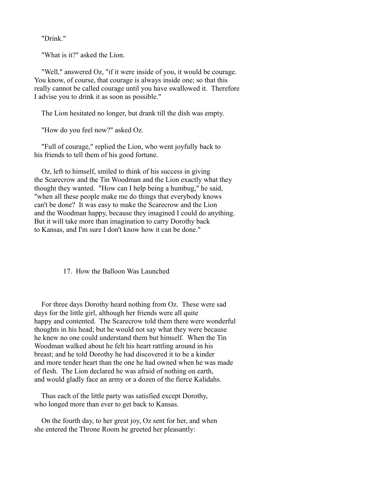"Drink."

"What is it?" asked the Lion.

 "Well," answered Oz, "if it were inside of you, it would be courage. You know, of course, that courage is always inside one; so that this really cannot be called courage until you have swallowed it. Therefore I advise you to drink it as soon as possible."

The Lion hesitated no longer, but drank till the dish was empty.

"How do you feel now?" asked Oz.

 "Full of courage," replied the Lion, who went joyfully back to his friends to tell them of his good fortune.

 Oz, left to himself, smiled to think of his success in giving the Scarecrow and the Tin Woodman and the Lion exactly what they thought they wanted. "How can I help being a humbug," he said, "when all these people make me do things that everybody knows can't be done? It was easy to make the Scarecrow and the Lion and the Woodman happy, because they imagined I could do anything. But it will take more than imagination to carry Dorothy back to Kansas, and I'm sure I don't know how it can be done."

## 17. How the Balloon Was Launched

 For three days Dorothy heard nothing from Oz. These were sad days for the little girl, although her friends were all quite happy and contented. The Scarecrow told them there were wonderful thoughts in his head; but he would not say what they were because he knew no one could understand them but himself. When the Tin Woodman walked about he felt his heart rattling around in his breast; and he told Dorothy he had discovered it to be a kinder and more tender heart than the one he had owned when he was made of flesh. The Lion declared he was afraid of nothing on earth, and would gladly face an army or a dozen of the fierce Kalidahs.

 Thus each of the little party was satisfied except Dorothy, who longed more than ever to get back to Kansas.

 On the fourth day, to her great joy, Oz sent for her, and when she entered the Throne Room he greeted her pleasantly: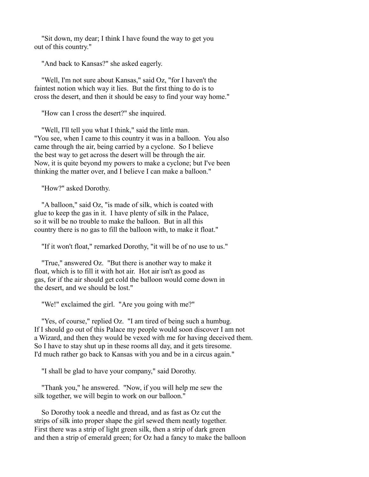"Sit down, my dear; I think I have found the way to get you out of this country."

"And back to Kansas?" she asked eagerly.

 "Well, I'm not sure about Kansas," said Oz, "for I haven't the faintest notion which way it lies. But the first thing to do is to cross the desert, and then it should be easy to find your way home."

"How can I cross the desert?" she inquired.

 "Well, I'll tell you what I think," said the little man. "You see, when I came to this country it was in a balloon. You also came through the air, being carried by a cyclone. So I believe the best way to get across the desert will be through the air. Now, it is quite beyond my powers to make a cyclone; but I've been thinking the matter over, and I believe I can make a balloon."

"How?" asked Dorothy.

 "A balloon," said Oz, "is made of silk, which is coated with glue to keep the gas in it. I have plenty of silk in the Palace, so it will be no trouble to make the balloon. But in all this country there is no gas to fill the balloon with, to make it float."

"If it won't float," remarked Dorothy, "it will be of no use to us."

 "True," answered Oz. "But there is another way to make it float, which is to fill it with hot air. Hot air isn't as good as gas, for if the air should get cold the balloon would come down in the desert, and we should be lost."

"We!" exclaimed the girl. "Are you going with me?"

 "Yes, of course," replied Oz. "I am tired of being such a humbug. If I should go out of this Palace my people would soon discover I am not a Wizard, and then they would be vexed with me for having deceived them. So I have to stay shut up in these rooms all day, and it gets tiresome. I'd much rather go back to Kansas with you and be in a circus again."

"I shall be glad to have your company," said Dorothy.

 "Thank you," he answered. "Now, if you will help me sew the silk together, we will begin to work on our balloon."

 So Dorothy took a needle and thread, and as fast as Oz cut the strips of silk into proper shape the girl sewed them neatly together. First there was a strip of light green silk, then a strip of dark green and then a strip of emerald green; for Oz had a fancy to make the balloon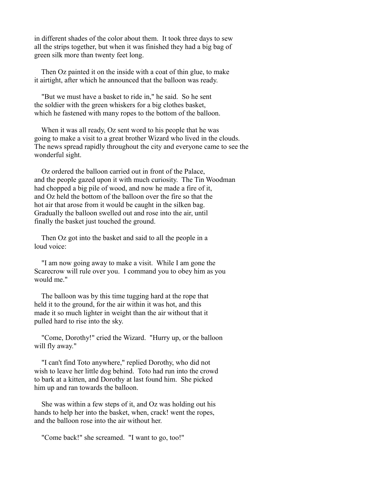in different shades of the color about them. It took three days to sew all the strips together, but when it was finished they had a big bag of green silk more than twenty feet long.

 Then Oz painted it on the inside with a coat of thin glue, to make it airtight, after which he announced that the balloon was ready.

 "But we must have a basket to ride in," he said. So he sent the soldier with the green whiskers for a big clothes basket, which he fastened with many ropes to the bottom of the balloon.

 When it was all ready, Oz sent word to his people that he was going to make a visit to a great brother Wizard who lived in the clouds. The news spread rapidly throughout the city and everyone came to see the wonderful sight.

 Oz ordered the balloon carried out in front of the Palace, and the people gazed upon it with much curiosity. The Tin Woodman had chopped a big pile of wood, and now he made a fire of it, and Oz held the bottom of the balloon over the fire so that the hot air that arose from it would be caught in the silken bag. Gradually the balloon swelled out and rose into the air, until finally the basket just touched the ground.

 Then Oz got into the basket and said to all the people in a loud voice:

 "I am now going away to make a visit. While I am gone the Scarecrow will rule over you. I command you to obey him as you would me."

 The balloon was by this time tugging hard at the rope that held it to the ground, for the air within it was hot, and this made it so much lighter in weight than the air without that it pulled hard to rise into the sky.

 "Come, Dorothy!" cried the Wizard. "Hurry up, or the balloon will fly away."

 "I can't find Toto anywhere," replied Dorothy, who did not wish to leave her little dog behind. Toto had run into the crowd to bark at a kitten, and Dorothy at last found him. She picked him up and ran towards the balloon.

 She was within a few steps of it, and Oz was holding out his hands to help her into the basket, when, crack! went the ropes, and the balloon rose into the air without her.

"Come back!" she screamed. "I want to go, too!"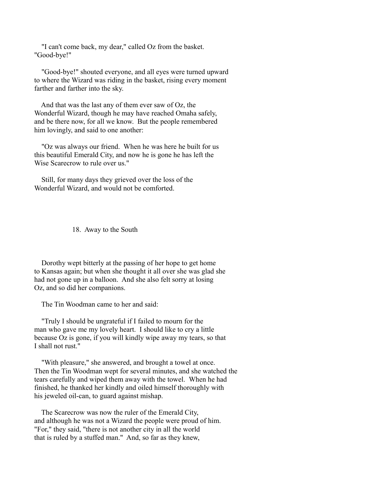"I can't come back, my dear," called Oz from the basket. "Good-bye!"

 "Good-bye!" shouted everyone, and all eyes were turned upward to where the Wizard was riding in the basket, rising every moment farther and farther into the sky.

 And that was the last any of them ever saw of Oz, the Wonderful Wizard, though he may have reached Omaha safely, and be there now, for all we know. But the people remembered him lovingly, and said to one another:

 "Oz was always our friend. When he was here he built for us this beautiful Emerald City, and now he is gone he has left the Wise Scarecrow to rule over us."

 Still, for many days they grieved over the loss of the Wonderful Wizard, and would not be comforted.

18. Away to the South

 Dorothy wept bitterly at the passing of her hope to get home to Kansas again; but when she thought it all over she was glad she had not gone up in a balloon. And she also felt sorry at losing Oz, and so did her companions.

The Tin Woodman came to her and said:

 "Truly I should be ungrateful if I failed to mourn for the man who gave me my lovely heart. I should like to cry a little because Oz is gone, if you will kindly wipe away my tears, so that I shall not rust."

 "With pleasure," she answered, and brought a towel at once. Then the Tin Woodman wept for several minutes, and she watched the tears carefully and wiped them away with the towel. When he had finished, he thanked her kindly and oiled himself thoroughly with his jeweled oil-can, to guard against mishap.

 The Scarecrow was now the ruler of the Emerald City, and although he was not a Wizard the people were proud of him. "For," they said, "there is not another city in all the world that is ruled by a stuffed man." And, so far as they knew,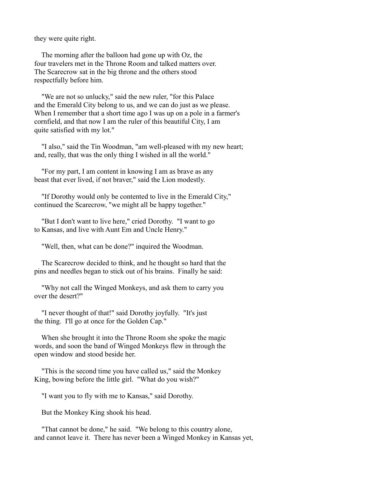they were quite right.

 The morning after the balloon had gone up with Oz, the four travelers met in the Throne Room and talked matters over. The Scarecrow sat in the big throne and the others stood respectfully before him.

 "We are not so unlucky," said the new ruler, "for this Palace and the Emerald City belong to us, and we can do just as we please. When I remember that a short time ago I was up on a pole in a farmer's cornfield, and that now I am the ruler of this beautiful City, I am quite satisfied with my lot."

 "I also," said the Tin Woodman, "am well-pleased with my new heart; and, really, that was the only thing I wished in all the world."

 "For my part, I am content in knowing I am as brave as any beast that ever lived, if not braver," said the Lion modestly.

 "If Dorothy would only be contented to live in the Emerald City," continued the Scarecrow, "we might all be happy together."

 "But I don't want to live here," cried Dorothy. "I want to go to Kansas, and live with Aunt Em and Uncle Henry."

"Well, then, what can be done?" inquired the Woodman.

 The Scarecrow decided to think, and he thought so hard that the pins and needles began to stick out of his brains. Finally he said:

 "Why not call the Winged Monkeys, and ask them to carry you over the desert?"

 "I never thought of that!" said Dorothy joyfully. "It's just the thing. I'll go at once for the Golden Cap."

 When she brought it into the Throne Room she spoke the magic words, and soon the band of Winged Monkeys flew in through the open window and stood beside her.

 "This is the second time you have called us," said the Monkey King, bowing before the little girl. "What do you wish?"

"I want you to fly with me to Kansas," said Dorothy.

But the Monkey King shook his head.

 "That cannot be done," he said. "We belong to this country alone, and cannot leave it. There has never been a Winged Monkey in Kansas yet,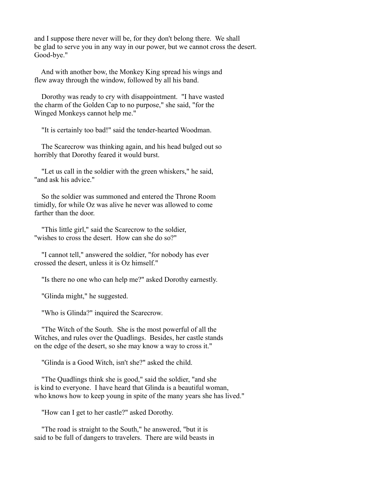and I suppose there never will be, for they don't belong there. We shall be glad to serve you in any way in our power, but we cannot cross the desert. Good-bye."

 And with another bow, the Monkey King spread his wings and flew away through the window, followed by all his band.

 Dorothy was ready to cry with disappointment. "I have wasted the charm of the Golden Cap to no purpose," she said, "for the Winged Monkeys cannot help me."

"It is certainly too bad!" said the tender-hearted Woodman.

 The Scarecrow was thinking again, and his head bulged out so horribly that Dorothy feared it would burst.

 "Let us call in the soldier with the green whiskers," he said, "and ask his advice."

 So the soldier was summoned and entered the Throne Room timidly, for while Oz was alive he never was allowed to come farther than the door.

 "This little girl," said the Scarecrow to the soldier, "wishes to cross the desert. How can she do so?"

 "I cannot tell," answered the soldier, "for nobody has ever crossed the desert, unless it is Oz himself."

"Is there no one who can help me?" asked Dorothy earnestly.

"Glinda might," he suggested.

"Who is Glinda?" inquired the Scarecrow.

 "The Witch of the South. She is the most powerful of all the Witches, and rules over the Quadlings. Besides, her castle stands on the edge of the desert, so she may know a way to cross it."

"Glinda is a Good Witch, isn't she?" asked the child.

 "The Quadlings think she is good," said the soldier, "and she is kind to everyone. I have heard that Glinda is a beautiful woman, who knows how to keep young in spite of the many years she has lived."

"How can I get to her castle?" asked Dorothy.

 "The road is straight to the South," he answered, "but it is said to be full of dangers to travelers. There are wild beasts in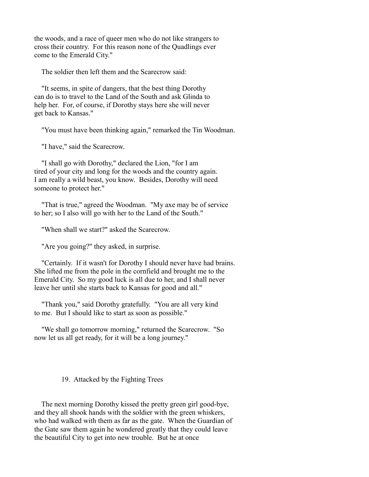the woods, and a race of queer men who do not like strangers to cross their country. For this reason none of the Quadlings ever come to the Emerald City."

The soldier then left them and the Scarecrow said:

 "It seems, in spite of dangers, that the best thing Dorothy can do is to travel to the Land of the South and ask Glinda to help her. For, of course, if Dorothy stays here she will never get back to Kansas."

"You must have been thinking again," remarked the Tin Woodman.

"I have," said the Scarecrow.

 "I shall go with Dorothy," declared the Lion, "for I am tired of your city and long for the woods and the country again. I am really a wild beast, you know. Besides, Dorothy will need someone to protect her."

 "That is true," agreed the Woodman. "My axe may be of service to her; so I also will go with her to the Land of the South."

"When shall we start?" asked the Scarecrow.

"Are you going?" they asked, in surprise.

 "Certainly. If it wasn't for Dorothy I should never have had brains. She lifted me from the pole in the cornfield and brought me to the Emerald City. So my good luck is all due to her, and I shall never leave her until she starts back to Kansas for good and all."

 "Thank you," said Dorothy gratefully. "You are all very kind to me. But I should like to start as soon as possible."

 "We shall go tomorrow morning," returned the Scarecrow. "So now let us all get ready, for it will be a long journey."

### 19. Attacked by the Fighting Trees

 The next morning Dorothy kissed the pretty green girl good-bye, and they all shook hands with the soldier with the green whiskers, who had walked with them as far as the gate. When the Guardian of the Gate saw them again he wondered greatly that they could leave the beautiful City to get into new trouble. But he at once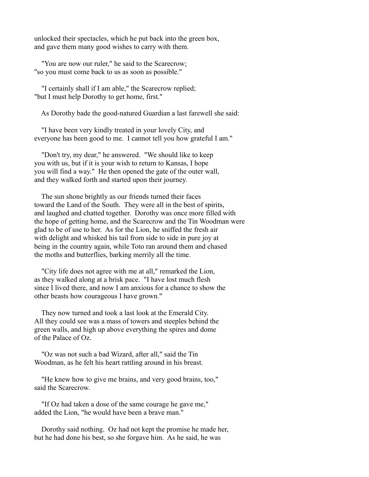unlocked their spectacles, which he put back into the green box, and gave them many good wishes to carry with them.

 "You are now our ruler," he said to the Scarecrow; "so you must come back to us as soon as possible."

 "I certainly shall if I am able," the Scarecrow replied; "but I must help Dorothy to get home, first."

As Dorothy bade the good-natured Guardian a last farewell she said:

 "I have been very kindly treated in your lovely City, and everyone has been good to me. I cannot tell you how grateful I am."

 "Don't try, my dear," he answered. "We should like to keep you with us, but if it is your wish to return to Kansas, I hope you will find a way." He then opened the gate of the outer wall, and they walked forth and started upon their journey.

 The sun shone brightly as our friends turned their faces toward the Land of the South. They were all in the best of spirits, and laughed and chatted together. Dorothy was once more filled with the hope of getting home, and the Scarecrow and the Tin Woodman were glad to be of use to her. As for the Lion, he sniffed the fresh air with delight and whisked his tail from side to side in pure joy at being in the country again, while Toto ran around them and chased the moths and butterflies, barking merrily all the time.

 "City life does not agree with me at all," remarked the Lion, as they walked along at a brisk pace. "I have lost much flesh since I lived there, and now I am anxious for a chance to show the other beasts how courageous I have grown."

 They now turned and took a last look at the Emerald City. All they could see was a mass of towers and steeples behind the green walls, and high up above everything the spires and dome of the Palace of Oz.

 "Oz was not such a bad Wizard, after all," said the Tin Woodman, as he felt his heart rattling around in his breast.

 "He knew how to give me brains, and very good brains, too," said the Scarecrow.

 "If Oz had taken a dose of the same courage he gave me," added the Lion, "he would have been a brave man."

 Dorothy said nothing. Oz had not kept the promise he made her, but he had done his best, so she forgave him. As he said, he was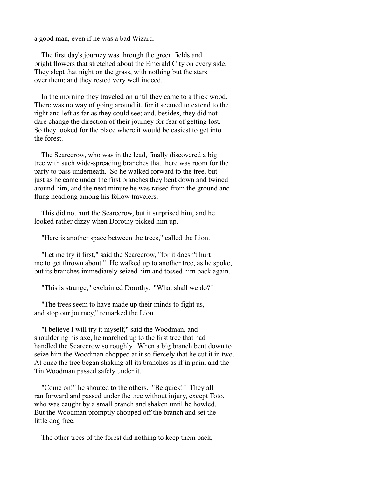a good man, even if he was a bad Wizard.

 The first day's journey was through the green fields and bright flowers that stretched about the Emerald City on every side. They slept that night on the grass, with nothing but the stars over them; and they rested very well indeed.

 In the morning they traveled on until they came to a thick wood. There was no way of going around it, for it seemed to extend to the right and left as far as they could see; and, besides, they did not dare change the direction of their journey for fear of getting lost. So they looked for the place where it would be easiest to get into the forest.

 The Scarecrow, who was in the lead, finally discovered a big tree with such wide-spreading branches that there was room for the party to pass underneath. So he walked forward to the tree, but just as he came under the first branches they bent down and twined around him, and the next minute he was raised from the ground and flung headlong among his fellow travelers.

 This did not hurt the Scarecrow, but it surprised him, and he looked rather dizzy when Dorothy picked him up.

"Here is another space between the trees," called the Lion.

 "Let me try it first," said the Scarecrow, "for it doesn't hurt me to get thrown about." He walked up to another tree, as he spoke, but its branches immediately seized him and tossed him back again.

"This is strange," exclaimed Dorothy. "What shall we do?"

 "The trees seem to have made up their minds to fight us, and stop our journey," remarked the Lion.

 "I believe I will try it myself," said the Woodman, and shouldering his axe, he marched up to the first tree that had handled the Scarecrow so roughly. When a big branch bent down to seize him the Woodman chopped at it so fiercely that he cut it in two. At once the tree began shaking all its branches as if in pain, and the Tin Woodman passed safely under it.

 "Come on!" he shouted to the others. "Be quick!" They all ran forward and passed under the tree without injury, except Toto, who was caught by a small branch and shaken until he howled. But the Woodman promptly chopped off the branch and set the little dog free.

The other trees of the forest did nothing to keep them back,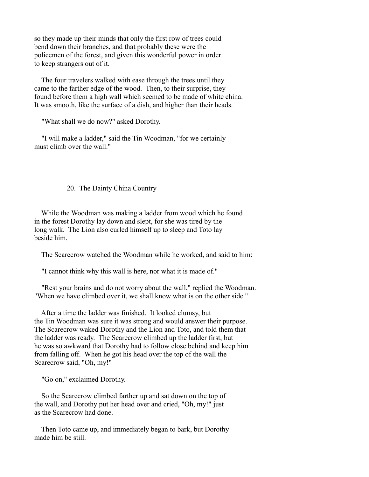so they made up their minds that only the first row of trees could bend down their branches, and that probably these were the policemen of the forest, and given this wonderful power in order to keep strangers out of it.

 The four travelers walked with ease through the trees until they came to the farther edge of the wood. Then, to their surprise, they found before them a high wall which seemed to be made of white china. It was smooth, like the surface of a dish, and higher than their heads.

"What shall we do now?" asked Dorothy.

 "I will make a ladder," said the Tin Woodman, "for we certainly must climb over the wall."

20. The Dainty China Country

 While the Woodman was making a ladder from wood which he found in the forest Dorothy lay down and slept, for she was tired by the long walk. The Lion also curled himself up to sleep and Toto lay beside him.

The Scarecrow watched the Woodman while he worked, and said to him:

"I cannot think why this wall is here, nor what it is made of."

 "Rest your brains and do not worry about the wall," replied the Woodman. "When we have climbed over it, we shall know what is on the other side."

 After a time the ladder was finished. It looked clumsy, but the Tin Woodman was sure it was strong and would answer their purpose. The Scarecrow waked Dorothy and the Lion and Toto, and told them that the ladder was ready. The Scarecrow climbed up the ladder first, but he was so awkward that Dorothy had to follow close behind and keep him from falling off. When he got his head over the top of the wall the Scarecrow said, "Oh, my!"

"Go on," exclaimed Dorothy.

 So the Scarecrow climbed farther up and sat down on the top of the wall, and Dorothy put her head over and cried, "Oh, my!" just as the Scarecrow had done.

 Then Toto came up, and immediately began to bark, but Dorothy made him be still.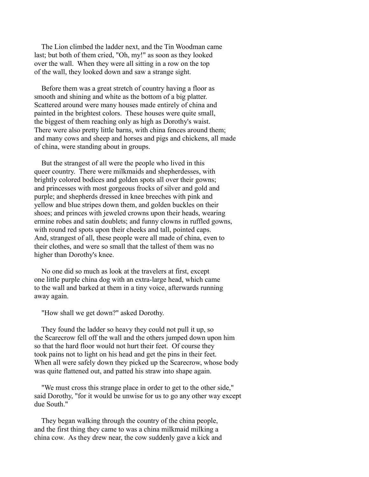The Lion climbed the ladder next, and the Tin Woodman came last; but both of them cried, "Oh, my!" as soon as they looked over the wall. When they were all sitting in a row on the top of the wall, they looked down and saw a strange sight.

 Before them was a great stretch of country having a floor as smooth and shining and white as the bottom of a big platter. Scattered around were many houses made entirely of china and painted in the brightest colors. These houses were quite small, the biggest of them reaching only as high as Dorothy's waist. There were also pretty little barns, with china fences around them; and many cows and sheep and horses and pigs and chickens, all made of china, were standing about in groups.

 But the strangest of all were the people who lived in this queer country. There were milkmaids and shepherdesses, with brightly colored bodices and golden spots all over their gowns; and princesses with most gorgeous frocks of silver and gold and purple; and shepherds dressed in knee breeches with pink and yellow and blue stripes down them, and golden buckles on their shoes; and princes with jeweled crowns upon their heads, wearing ermine robes and satin doublets; and funny clowns in ruffled gowns, with round red spots upon their cheeks and tall, pointed caps. And, strangest of all, these people were all made of china, even to their clothes, and were so small that the tallest of them was no higher than Dorothy's knee.

 No one did so much as look at the travelers at first, except one little purple china dog with an extra-large head, which came to the wall and barked at them in a tiny voice, afterwards running away again.

"How shall we get down?" asked Dorothy.

 They found the ladder so heavy they could not pull it up, so the Scarecrow fell off the wall and the others jumped down upon him so that the hard floor would not hurt their feet. Of course they took pains not to light on his head and get the pins in their feet. When all were safely down they picked up the Scarecrow, whose body was quite flattened out, and patted his straw into shape again.

 "We must cross this strange place in order to get to the other side," said Dorothy, "for it would be unwise for us to go any other way except due South."

 They began walking through the country of the china people, and the first thing they came to was a china milkmaid milking a china cow. As they drew near, the cow suddenly gave a kick and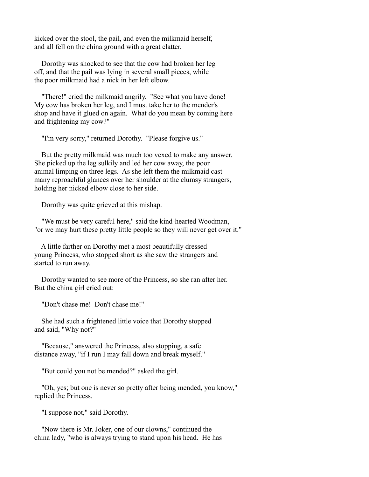kicked over the stool, the pail, and even the milkmaid herself, and all fell on the china ground with a great clatter.

 Dorothy was shocked to see that the cow had broken her leg off, and that the pail was lying in several small pieces, while the poor milkmaid had a nick in her left elbow.

 "There!" cried the milkmaid angrily. "See what you have done! My cow has broken her leg, and I must take her to the mender's shop and have it glued on again. What do you mean by coming here and frightening my cow?"

"I'm very sorry," returned Dorothy. "Please forgive us."

 But the pretty milkmaid was much too vexed to make any answer. She picked up the leg sulkily and led her cow away, the poor animal limping on three legs. As she left them the milkmaid cast many reproachful glances over her shoulder at the clumsy strangers, holding her nicked elbow close to her side.

Dorothy was quite grieved at this mishap.

 "We must be very careful here," said the kind-hearted Woodman, "or we may hurt these pretty little people so they will never get over it."

 A little farther on Dorothy met a most beautifully dressed young Princess, who stopped short as she saw the strangers and started to run away.

 Dorothy wanted to see more of the Princess, so she ran after her. But the china girl cried out:

"Don't chase me! Don't chase me!"

 She had such a frightened little voice that Dorothy stopped and said, "Why not?"

 "Because," answered the Princess, also stopping, a safe distance away, "if I run I may fall down and break myself."

"But could you not be mended?" asked the girl.

 "Oh, yes; but one is never so pretty after being mended, you know," replied the Princess.

"I suppose not," said Dorothy.

 "Now there is Mr. Joker, one of our clowns," continued the china lady, "who is always trying to stand upon his head. He has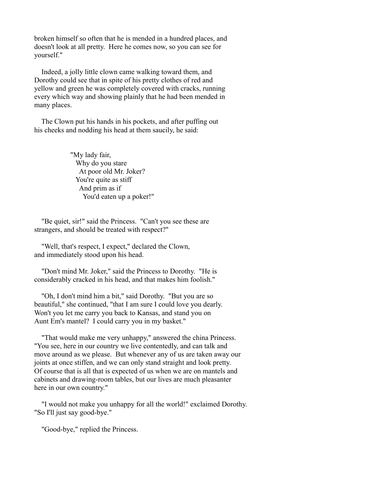broken himself so often that he is mended in a hundred places, and doesn't look at all pretty. Here he comes now, so you can see for yourself."

 Indeed, a jolly little clown came walking toward them, and Dorothy could see that in spite of his pretty clothes of red and yellow and green he was completely covered with cracks, running every which way and showing plainly that he had been mended in many places.

 The Clown put his hands in his pockets, and after puffing out his cheeks and nodding his head at them saucily, he said:

> "My lady fair, Why do you stare At poor old Mr. Joker? You're quite as stiff And prim as if You'd eaten up a poker!"

 "Be quiet, sir!" said the Princess. "Can't you see these are strangers, and should be treated with respect?"

 "Well, that's respect, I expect," declared the Clown, and immediately stood upon his head.

 "Don't mind Mr. Joker," said the Princess to Dorothy. "He is considerably cracked in his head, and that makes him foolish."

 "Oh, I don't mind him a bit," said Dorothy. "But you are so beautiful," she continued, "that I am sure I could love you dearly. Won't you let me carry you back to Kansas, and stand you on Aunt Em's mantel? I could carry you in my basket."

 "That would make me very unhappy," answered the china Princess. "You see, here in our country we live contentedly, and can talk and move around as we please. But whenever any of us are taken away our joints at once stiffen, and we can only stand straight and look pretty. Of course that is all that is expected of us when we are on mantels and cabinets and drawing-room tables, but our lives are much pleasanter here in our own country."

 "I would not make you unhappy for all the world!" exclaimed Dorothy. "So I'll just say good-bye."

"Good-bye," replied the Princess.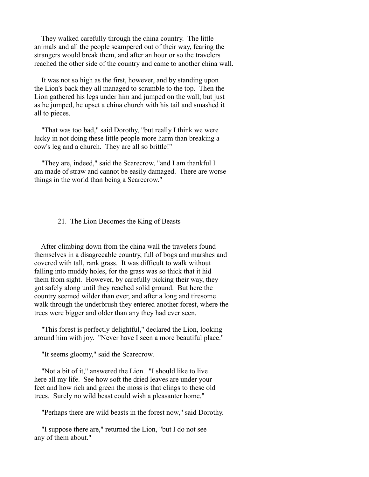They walked carefully through the china country. The little animals and all the people scampered out of their way, fearing the strangers would break them, and after an hour or so the travelers reached the other side of the country and came to another china wall.

 It was not so high as the first, however, and by standing upon the Lion's back they all managed to scramble to the top. Then the Lion gathered his legs under him and jumped on the wall; but just as he jumped, he upset a china church with his tail and smashed it all to pieces.

 "That was too bad," said Dorothy, "but really I think we were lucky in not doing these little people more harm than breaking a cow's leg and a church. They are all so brittle!"

 "They are, indeed," said the Scarecrow, "and I am thankful I am made of straw and cannot be easily damaged. There are worse things in the world than being a Scarecrow."

#### 21. The Lion Becomes the King of Beasts

 After climbing down from the china wall the travelers found themselves in a disagreeable country, full of bogs and marshes and covered with tall, rank grass. It was difficult to walk without falling into muddy holes, for the grass was so thick that it hid them from sight. However, by carefully picking their way, they got safely along until they reached solid ground. But here the country seemed wilder than ever, and after a long and tiresome walk through the underbrush they entered another forest, where the trees were bigger and older than any they had ever seen.

 "This forest is perfectly delightful," declared the Lion, looking around him with joy. "Never have I seen a more beautiful place."

"It seems gloomy," said the Scarecrow.

 "Not a bit of it," answered the Lion. "I should like to live here all my life. See how soft the dried leaves are under your feet and how rich and green the moss is that clings to these old trees. Surely no wild beast could wish a pleasanter home."

"Perhaps there are wild beasts in the forest now," said Dorothy.

 "I suppose there are," returned the Lion, "but I do not see any of them about."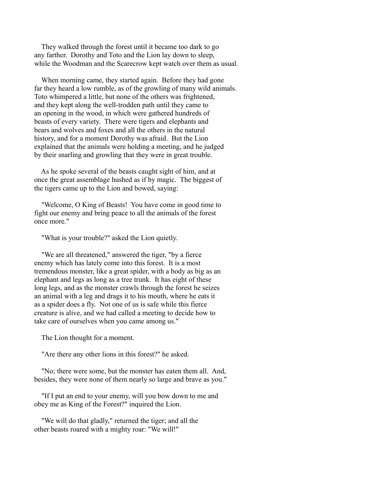They walked through the forest until it became too dark to go any farther. Dorothy and Toto and the Lion lay down to sleep, while the Woodman and the Scarecrow kept watch over them as usual.

 When morning came, they started again. Before they had gone far they heard a low rumble, as of the growling of many wild animals. Toto whimpered a little, but none of the others was frightened, and they kept along the well-trodden path until they came to an opening in the wood, in which were gathered hundreds of beasts of every variety. There were tigers and elephants and bears and wolves and foxes and all the others in the natural history, and for a moment Dorothy was afraid. But the Lion explained that the animals were holding a meeting, and he judged by their snarling and growling that they were in great trouble.

 As he spoke several of the beasts caught sight of him, and at once the great assemblage hushed as if by magic. The biggest of the tigers came up to the Lion and bowed, saying:

 "Welcome, O King of Beasts! You have come in good time to fight our enemy and bring peace to all the animals of the forest once more."

"What is your trouble?" asked the Lion quietly.

 "We are all threatened," answered the tiger, "by a fierce enemy which has lately come into this forest. It is a most tremendous monster, like a great spider, with a body as big as an elephant and legs as long as a tree trunk. It has eight of these long legs, and as the monster crawls through the forest he seizes an animal with a leg and drags it to his mouth, where he eats it as a spider does a fly. Not one of us is safe while this fierce creature is alive, and we had called a meeting to decide how to take care of ourselves when you came among us."

The Lion thought for a moment.

"Are there any other lions in this forest?" he asked.

 "No; there were some, but the monster has eaten them all. And, besides, they were none of them nearly so large and brave as you."

 "If I put an end to your enemy, will you bow down to me and obey me as King of the Forest?" inquired the Lion.

 "We will do that gladly," returned the tiger; and all the other beasts roared with a mighty roar: "We will!"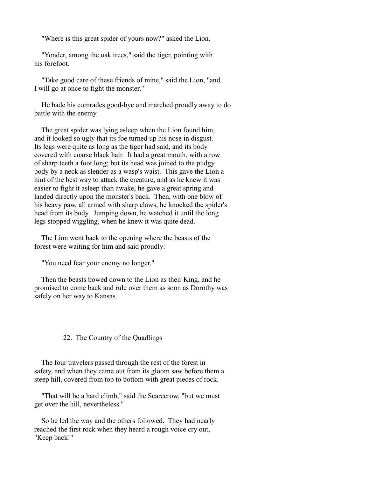"Where is this great spider of yours now?" asked the Lion.

 "Yonder, among the oak trees," said the tiger, pointing with his forefoot.

 "Take good care of these friends of mine," said the Lion, "and I will go at once to fight the monster."

 He bade his comrades good-bye and marched proudly away to do battle with the enemy.

 The great spider was lying asleep when the Lion found him, and it looked so ugly that its foe turned up his nose in disgust. Its legs were quite as long as the tiger had said, and its body covered with coarse black hair. It had a great mouth, with a row of sharp teeth a foot long; but its head was joined to the pudgy body by a neck as slender as a wasp's waist. This gave the Lion a hint of the best way to attack the creature, and as he knew it was easier to fight it asleep than awake, he gave a great spring and landed directly upon the monster's back. Then, with one blow of his heavy paw, all armed with sharp claws, he knocked the spider's head from its body. Jumping down, he watched it until the long legs stopped wiggling, when he knew it was quite dead.

 The Lion went back to the opening where the beasts of the forest were waiting for him and said proudly:

"You need fear your enemy no longer."

 Then the beasts bowed down to the Lion as their King, and he promised to come back and rule over them as soon as Dorothy was safely on her way to Kansas.

# 22. The Country of the Quadlings

 The four travelers passed through the rest of the forest in safety, and when they came out from its gloom saw before them a steep hill, covered from top to bottom with great pieces of rock.

 "That will be a hard climb," said the Scarecrow, "but we must get over the hill, nevertheless."

 So he led the way and the others followed. They had nearly reached the first rock when they heard a rough voice cry out, "Keep back!"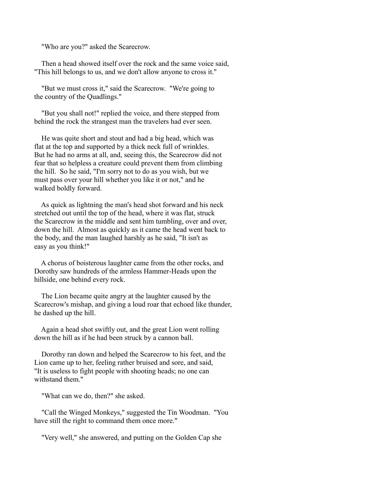"Who are you?" asked the Scarecrow.

 Then a head showed itself over the rock and the same voice said, "This hill belongs to us, and we don't allow anyone to cross it."

 "But we must cross it," said the Scarecrow. "We're going to the country of the Quadlings."

 "But you shall not!" replied the voice, and there stepped from behind the rock the strangest man the travelers had ever seen.

 He was quite short and stout and had a big head, which was flat at the top and supported by a thick neck full of wrinkles. But he had no arms at all, and, seeing this, the Scarecrow did not fear that so helpless a creature could prevent them from climbing the hill. So he said, "I'm sorry not to do as you wish, but we must pass over your hill whether you like it or not," and he walked boldly forward.

 As quick as lightning the man's head shot forward and his neck stretched out until the top of the head, where it was flat, struck the Scarecrow in the middle and sent him tumbling, over and over, down the hill. Almost as quickly as it came the head went back to the body, and the man laughed harshly as he said, "It isn't as easy as you think!"

 A chorus of boisterous laughter came from the other rocks, and Dorothy saw hundreds of the armless Hammer-Heads upon the hillside, one behind every rock.

 The Lion became quite angry at the laughter caused by the Scarecrow's mishap, and giving a loud roar that echoed like thunder, he dashed up the hill.

 Again a head shot swiftly out, and the great Lion went rolling down the hill as if he had been struck by a cannon ball.

 Dorothy ran down and helped the Scarecrow to his feet, and the Lion came up to her, feeling rather bruised and sore, and said, "It is useless to fight people with shooting heads; no one can withstand them<sup>"</sup>

"What can we do, then?" she asked.

 "Call the Winged Monkeys," suggested the Tin Woodman. "You have still the right to command them once more."

"Very well," she answered, and putting on the Golden Cap she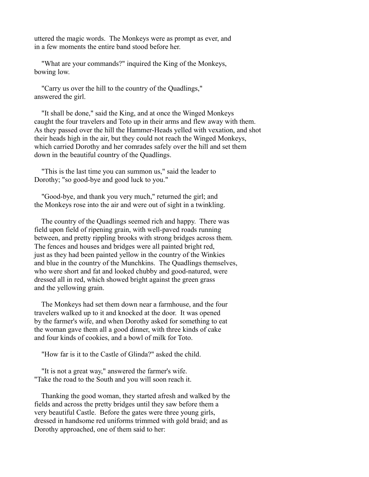uttered the magic words. The Monkeys were as prompt as ever, and in a few moments the entire band stood before her.

 "What are your commands?" inquired the King of the Monkeys, bowing low.

 "Carry us over the hill to the country of the Quadlings," answered the girl.

 "It shall be done," said the King, and at once the Winged Monkeys caught the four travelers and Toto up in their arms and flew away with them. As they passed over the hill the Hammer-Heads yelled with vexation, and shot their heads high in the air, but they could not reach the Winged Monkeys, which carried Dorothy and her comrades safely over the hill and set them down in the beautiful country of the Quadlings.

 "This is the last time you can summon us," said the leader to Dorothy; "so good-bye and good luck to you."

 "Good-bye, and thank you very much," returned the girl; and the Monkeys rose into the air and were out of sight in a twinkling.

 The country of the Quadlings seemed rich and happy. There was field upon field of ripening grain, with well-paved roads running between, and pretty rippling brooks with strong bridges across them. The fences and houses and bridges were all painted bright red, just as they had been painted yellow in the country of the Winkies and blue in the country of the Munchkins. The Quadlings themselves, who were short and fat and looked chubby and good-natured, were dressed all in red, which showed bright against the green grass and the yellowing grain.

 The Monkeys had set them down near a farmhouse, and the four travelers walked up to it and knocked at the door. It was opened by the farmer's wife, and when Dorothy asked for something to eat the woman gave them all a good dinner, with three kinds of cake and four kinds of cookies, and a bowl of milk for Toto.

"How far is it to the Castle of Glinda?" asked the child.

 "It is not a great way," answered the farmer's wife. "Take the road to the South and you will soon reach it.

 Thanking the good woman, they started afresh and walked by the fields and across the pretty bridges until they saw before them a very beautiful Castle. Before the gates were three young girls, dressed in handsome red uniforms trimmed with gold braid; and as Dorothy approached, one of them said to her: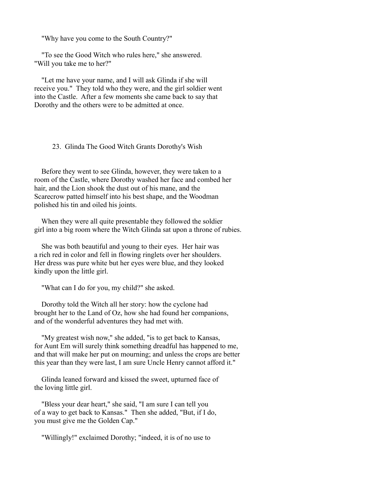"Why have you come to the South Country?"

 "To see the Good Witch who rules here," she answered. "Will you take me to her?"

 "Let me have your name, and I will ask Glinda if she will receive you." They told who they were, and the girl soldier went into the Castle. After a few moments she came back to say that Dorothy and the others were to be admitted at once.

#### 23. Glinda The Good Witch Grants Dorothy's Wish

 Before they went to see Glinda, however, they were taken to a room of the Castle, where Dorothy washed her face and combed her hair, and the Lion shook the dust out of his mane, and the Scarecrow patted himself into his best shape, and the Woodman polished his tin and oiled his joints.

 When they were all quite presentable they followed the soldier girl into a big room where the Witch Glinda sat upon a throne of rubies.

 She was both beautiful and young to their eyes. Her hair was a rich red in color and fell in flowing ringlets over her shoulders. Her dress was pure white but her eyes were blue, and they looked kindly upon the little girl.

"What can I do for you, my child?" she asked.

 Dorothy told the Witch all her story: how the cyclone had brought her to the Land of Oz, how she had found her companions, and of the wonderful adventures they had met with.

 "My greatest wish now," she added, "is to get back to Kansas, for Aunt Em will surely think something dreadful has happened to me, and that will make her put on mourning; and unless the crops are better this year than they were last, I am sure Uncle Henry cannot afford it."

 Glinda leaned forward and kissed the sweet, upturned face of the loving little girl.

 "Bless your dear heart," she said, "I am sure I can tell you of a way to get back to Kansas." Then she added, "But, if I do, you must give me the Golden Cap."

"Willingly!" exclaimed Dorothy; "indeed, it is of no use to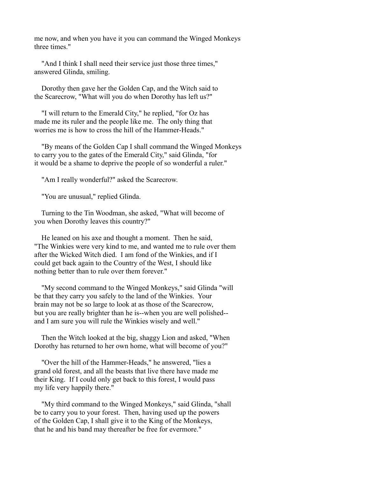me now, and when you have it you can command the Winged Monkeys three times."

 "And I think I shall need their service just those three times," answered Glinda, smiling.

 Dorothy then gave her the Golden Cap, and the Witch said to the Scarecrow, "What will you do when Dorothy has left us?"

 "I will return to the Emerald City," he replied, "for Oz has made me its ruler and the people like me. The only thing that worries me is how to cross the hill of the Hammer-Heads."

 "By means of the Golden Cap I shall command the Winged Monkeys to carry you to the gates of the Emerald City," said Glinda, "for it would be a shame to deprive the people of so wonderful a ruler."

"Am I really wonderful?" asked the Scarecrow.

"You are unusual," replied Glinda.

 Turning to the Tin Woodman, she asked, "What will become of you when Dorothy leaves this country?"

 He leaned on his axe and thought a moment. Then he said, "The Winkies were very kind to me, and wanted me to rule over them after the Wicked Witch died. I am fond of the Winkies, and if I could get back again to the Country of the West, I should like nothing better than to rule over them forever."

 "My second command to the Winged Monkeys," said Glinda "will be that they carry you safely to the land of the Winkies. Your brain may not be so large to look at as those of the Scarecrow, but you are really brighter than he is--when you are well polished- and I am sure you will rule the Winkies wisely and well."

 Then the Witch looked at the big, shaggy Lion and asked, "When Dorothy has returned to her own home, what will become of you?"

 "Over the hill of the Hammer-Heads," he answered, "lies a grand old forest, and all the beasts that live there have made me their King. If I could only get back to this forest, I would pass my life very happily there."

 "My third command to the Winged Monkeys," said Glinda, "shall be to carry you to your forest. Then, having used up the powers of the Golden Cap, I shall give it to the King of the Monkeys, that he and his band may thereafter be free for evermore."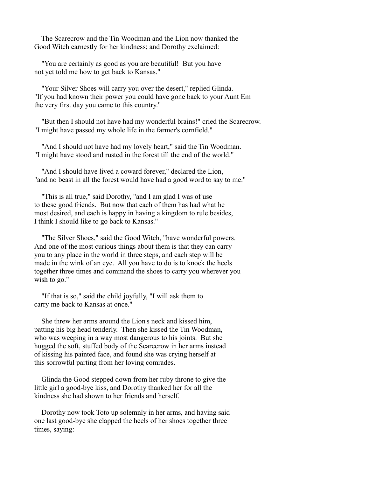The Scarecrow and the Tin Woodman and the Lion now thanked the Good Witch earnestly for her kindness; and Dorothy exclaimed:

 "You are certainly as good as you are beautiful! But you have not yet told me how to get back to Kansas."

 "Your Silver Shoes will carry you over the desert," replied Glinda. "If you had known their power you could have gone back to your Aunt Em the very first day you came to this country."

 "But then I should not have had my wonderful brains!" cried the Scarecrow. "I might have passed my whole life in the farmer's cornfield."

 "And I should not have had my lovely heart," said the Tin Woodman. "I might have stood and rusted in the forest till the end of the world."

 "And I should have lived a coward forever," declared the Lion, "and no beast in all the forest would have had a good word to say to me."

 "This is all true," said Dorothy, "and I am glad I was of use to these good friends. But now that each of them has had what he most desired, and each is happy in having a kingdom to rule besides, I think I should like to go back to Kansas."

 "The Silver Shoes," said the Good Witch, "have wonderful powers. And one of the most curious things about them is that they can carry you to any place in the world in three steps, and each step will be made in the wink of an eye. All you have to do is to knock the heels together three times and command the shoes to carry you wherever you wish to go."

 "If that is so," said the child joyfully, "I will ask them to carry me back to Kansas at once."

 She threw her arms around the Lion's neck and kissed him, patting his big head tenderly. Then she kissed the Tin Woodman, who was weeping in a way most dangerous to his joints. But she hugged the soft, stuffed body of the Scarecrow in her arms instead of kissing his painted face, and found she was crying herself at this sorrowful parting from her loving comrades.

 Glinda the Good stepped down from her ruby throne to give the little girl a good-bye kiss, and Dorothy thanked her for all the kindness she had shown to her friends and herself.

 Dorothy now took Toto up solemnly in her arms, and having said one last good-bye she clapped the heels of her shoes together three times, saying: